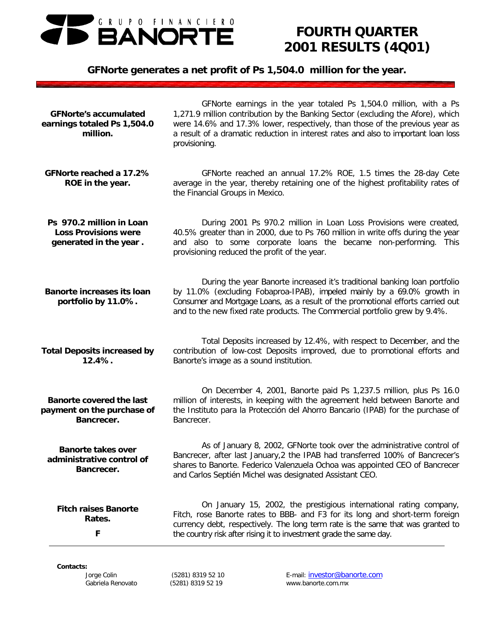

# *FOURTH QUARTER 2001 RESULTS (4Q01)*

# *GFNorte generates a net profit of Ps 1,504.0 million for the year.*

| <b>GFNorte's accumulated</b><br>earnings totaled Ps 1,504.0<br>million.           | GFNorte earnings in the year totaled Ps 1,504.0 million, with a Ps<br>1,271.9 million contribution by the Banking Sector (excluding the Afore), which<br>were 14.6% and 17.3% lower, respectively, than those of the previous year as<br>a result of a dramatic reduction in interest rates and also to important loan loss<br>provisioning. |
|-----------------------------------------------------------------------------------|----------------------------------------------------------------------------------------------------------------------------------------------------------------------------------------------------------------------------------------------------------------------------------------------------------------------------------------------|
| GFNorte reached a 17.2%<br>ROE in the year.                                       | GFNorte reached an annual 17.2% ROE, 1.5 times the 28-day Cete<br>average in the year, thereby retaining one of the highest profitability rates of<br>the Financial Groups in Mexico.                                                                                                                                                        |
| Ps 970.2 million in Loan<br><b>Loss Provisions were</b><br>generated in the year. | During 2001 Ps 970.2 million in Loan Loss Provisions were created,<br>40.5% greater than in 2000, due to Ps 760 million in write offs during the year<br>and also to some corporate loans the became non-performing.<br>This<br>provisioning reduced the profit of the year.                                                                 |
| <b>Banorte increases its loan</b><br>portfolio by 11.0%.                          | During the year Banorte increased it's traditional banking loan portfolio<br>by 11.0% (excluding Fobaproa-IPAB), impeled mainly by a 69.0% growth in<br>Consumer and Mortgage Loans, as a result of the promotional efforts carried out<br>and to the new fixed rate products. The Commercial portfolio grew by 9.4%.                        |
| <b>Total Deposits increased by</b><br>12.4%.                                      | Total Deposits increased by 12.4%, with respect to December, and the<br>contribution of low-cost Deposits improved, due to promotional efforts and<br>Banorte's image as a sound institution.                                                                                                                                                |
| <b>Banorte covered the last</b><br>payment on the purchase of<br>Bancrecer.       | On December 4, 2001, Banorte paid Ps 1,237.5 million, plus Ps 16.0<br>million of interests, in keeping with the agreement held between Banorte and<br>the Instituto para la Protección del Ahorro Bancario (IPAB) for the purchase of<br>Bancrecer.                                                                                          |
| <b>Banorte takes over</b><br>administrative control of<br>Bancrecer.              | As of January 8, 2002, GFNorte took over the administrative control of<br>Bancrecer, after last January, 2 the IPAB had transferred 100% of Bancrecer's<br>shares to Banorte. Federico Valenzuela Ochoa was appointed CEO of Bancrecer<br>and Carlos Septién Michel was designated Assistant CEO.                                            |
| <b>Fitch raises Banorte</b><br>Rates.<br>F                                        | On January 15, 2002, the prestigious international rating company,<br>Fitch, rose Banorte rates to BBB- and F3 for its long and short-term foreign<br>currency debt, respectively. The long term rate is the same that was granted to<br>the country risk after rising it to investment grade the same day.                                  |

#### *Contacts:*

*Jorge Colin (5281) 8319 52 10 E-mail:* investor@banorte.com *Gabriela Renovato (5281) 8319 52 19 www.banorte.com.mx*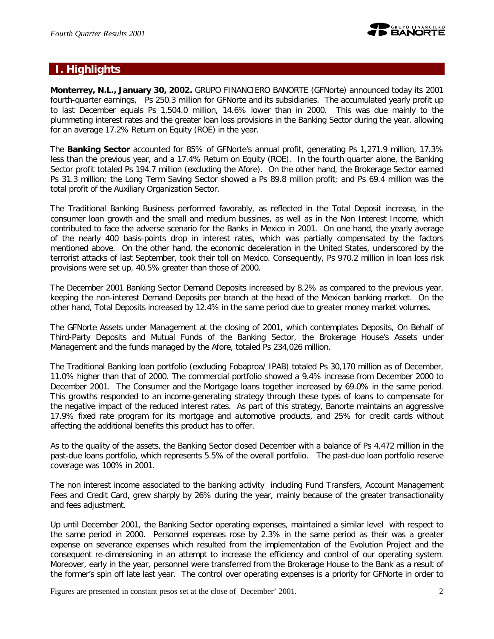

### **I. Highlights**

**Monterrey, N.L., January 30, 2002.** GRUPO FINANCIERO BANORTE (GFNorte) announced today its 2001 fourth-quarter earnings, Ps 250.3 million for GFNorte and its subsidiaries. The accumulated yearly profit up to last December equals Ps 1,504.0 million, 14.6% lower than in 2000. This was due mainly to the plummeting interest rates and the greater loan loss provisions in the Banking Sector during the year, allowing for an average 17.2% Return on Equity (ROE) in the year.

The **Banking Sector** accounted for 85% of GFNorte's annual profit, generating Ps 1,271.9 million, 17.3% less than the previous year, and a 17.4% Return on Equity (ROE). In the fourth quarter alone, the Banking Sector profit totaled Ps 194.7 million (excluding the Afore). On the other hand, the Brokerage Sector earned Ps 31.3 million; the Long Term Saving Sector showed a Ps 89.8 million profit; and Ps 69.4 million was the total profit of the Auxiliary Organization Sector.

The Traditional Banking Business performed favorably, as reflected in the Total Deposit increase, in the consumer loan growth and the small and medium bussines, as well as in the Non Interest Income, which contributed to face the adverse scenario for the Banks in Mexico in 2001. On one hand, the yearly average of the nearly 400 basis-points drop in interest rates, which was partially compensated by the factors mentioned above. On the other hand, the economic deceleration in the United States, underscored by the terrorist attacks of last September, took their toll on Mexico. Consequently, Ps 970.2 million in loan loss risk provisions were set up, 40.5% greater than those of 2000.

The December 2001 Banking Sector Demand Deposits increased by 8.2% as compared to the previous year, keeping the non-interest Demand Deposits per branch at the head of the Mexican banking market. On the other hand, Total Deposits increased by 12.4% in the same period due to greater money market volumes.

The GFNorte Assets under Management at the closing of 2001, which contemplates Deposits, On Behalf of Third-Party Deposits and Mutual Funds of the Banking Sector, the Brokerage House's Assets under Management and the funds managed by the Afore, totaled Ps 234,026 million.

The Traditional Banking loan portfolio (excluding Fobaproa/ IPAB) totaled Ps 30,170 million as of December, 11.0% higher than that of 2000. The commercial portfolio showed a 9.4% increase from December 2000 to December 2001. The Consumer and the Mortgage loans together increased by 69.0% in the same period. This growths responded to an income-generating strategy through these types of loans to compensate for the negative impact of the reduced interest rates. As part of this strategy, Banorte maintains an aggressive 17.9% fixed rate program for its mortgage and automotive products, and 25% for credit cards without affecting the additional benefits this product has to offer.

As to the quality of the assets, the Banking Sector closed December with a balance of Ps 4,472 million in the past-due loans portfolio, which represents 5.5% of the overall portfolio. The past-due loan portfolio reserve coverage was 100% in 2001.

The non interest income associated to the banking activity including Fund Transfers, Account Management Fees and Credit Card, grew sharply by 26% during the year, mainly because of the greater transactionality and fees adjustment.

Up until December 2001, the Banking Sector operating expenses, maintained a similar level with respect to the same period in 2000. Personnel expenses rose by 2.3% in the same period as their was a greater expense on severance expenses which resulted from the implementation of the Evolution Project and the consequent re-dimensioning in an attempt to increase the efficiency and control of our operating system. Moreover, early in the year, personnel were transferred from the Brokerage House to the Bank as a result of the former's spin off late last year. The control over operating expenses is a priority for GFNorte in order to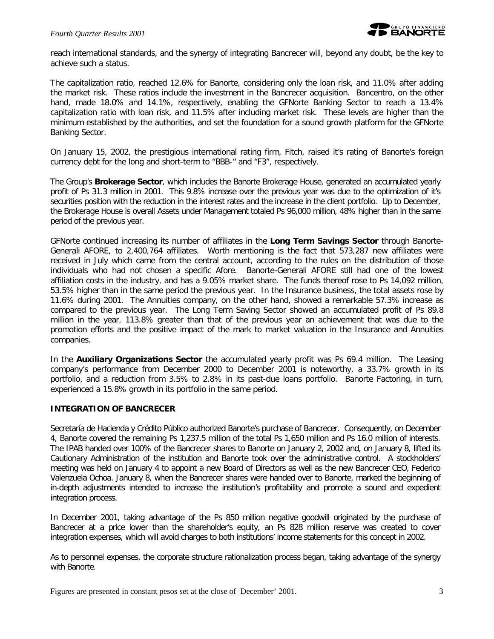reach international standards, and the synergy of integrating Bancrecer will, beyond any doubt, be the key to achieve such a status.

The capitalization ratio, reached 12.6% for Banorte, considering only the loan risk, and 11.0% after adding the market risk. These ratios include the investment in the Bancrecer acquisition. Bancentro, on the other hand, made 18.0% and 14.1%, respectively, enabling the GFNorte Banking Sector to reach a 13.4% capitalization ratio with loan risk, and 11.5% after including market risk. These levels are higher than the minimum established by the authorities, and set the foundation for a sound growth platform for the GFNorte Banking Sector.

On January 15, 2002, the prestigious international rating firm, Fitch, raised it's rating of Banorte's foreign currency debt for the long and short-term to "BBB-" and "F3", respectively.

The Group's **Brokerage Sector**, which includes the Banorte Brokerage House, generated an accumulated yearly profit of Ps 31.3 million in 2001. This 9.8% increase over the previous year was due to the optimization of it's securities position with the reduction in the interest rates and the increase in the client portfolio. Up to December, the Brokerage House is overall Assets under Management totaled Ps 96,000 million, 48% higher than in the same period of the previous year.

GFNorte continued increasing its number of affiliates in the **Long Term Savings Sector** through Banorte-Generali AFORE, to 2,400,764 affiliates. Worth mentioning is the fact that 573,287 new affiliates were received in July which came from the central account, according to the rules on the distribution of those individuals who had not chosen a specific Afore. Banorte-Generali AFORE still had one of the lowest affiliation costs in the industry, and has a 9.05% market share. The funds thereof rose to Ps 14,092 million, 53.5% higher than in the same period the previous year. In the Insurance business, the total assets rose by 11.6% during 2001. The Annuities company, on the other hand, showed a remarkable 57.3% increase as compared to the previous year. The Long Term Saving Sector showed an accumulated profit of Ps 89.8 million in the year, 113.8% greater than that of the previous year an achievement that was due to the promotion efforts and the positive impact of the mark to market valuation in the Insurance and Annuities companies.

In the **Auxiliary Organizations Sector** the accumulated yearly profit was Ps 69.4 million. The Leasing company's performance from December 2000 to December 2001 is noteworthy, a 33.7% growth in its portfolio, and a reduction from 3.5% to 2.8% in its past-due loans portfolio. Banorte Factoring, in turn, experienced a 15.8% growth in its portfolio in the same period.

#### **INTEGRATION OF BANCRECER**

Secretaría de Hacienda y Crédito Público authorized Banorte's purchase of Bancrecer. Consequently, on December 4, Banorte covered the remaining Ps 1,237.5 million of the total Ps 1,650 million and Ps 16.0 million of interests. The IPAB handed over 100% of the Bancrecer shares to Banorte on January 2, 2002 and, on January 8, lifted its Cautionary Administration of the institution and Banorte took over the administrative control. A stockholders' meeting was held on January 4 to appoint a new Board of Directors as well as the new Bancrecer CEO, Federico Valenzuela Ochoa. January 8, when the Bancrecer shares were handed over to Banorte, marked the beginning of in-depth adjustments intended to increase the institution's profitability and promote a sound and expedient integration process.

In December 2001, taking advantage of the Ps 850 million negative goodwill originated by the purchase of Bancrecer at a price lower than the shareholder's equity, an Ps 828 million reserve was created to cover integration expenses, which will avoid charges to both institutions' income statements for this concept in 2002.

As to personnel expenses, the corporate structure rationalization process began, taking advantage of the synergy with Banorte.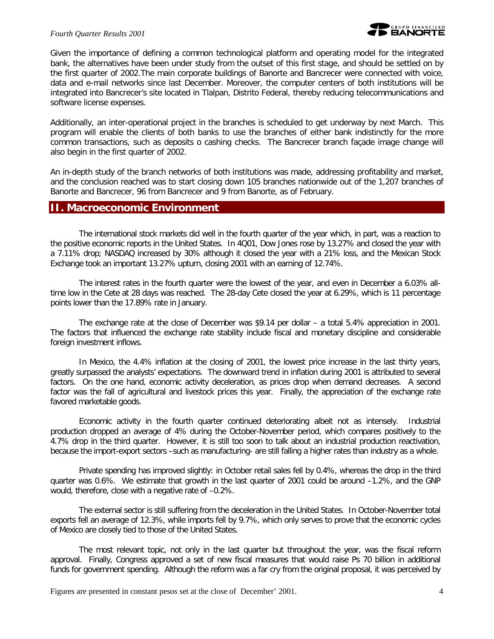

Given the importance of defining a common technological platform and operating model for the integrated bank, the alternatives have been under study from the outset of this first stage, and should be settled on by the first quarter of 2002.The main corporate buildings of Banorte and Bancrecer were connected with voice, data and e-mail networks since last December. Moreover, the computer centers of both institutions will be integrated into Bancrecer's site located in Tlalpan, Distrito Federal, thereby reducing telecommunications and software license expenses.

Additionally, an inter-operational project in the branches is scheduled to get underway by next March. This program will enable the clients of both banks to use the branches of either bank indistinctly for the more common transactions, such as deposits o cashing checks. The Bancrecer branch façade image change will also begin in the first quarter of 2002.

An in-depth study of the branch networks of both institutions was made, addressing profitability and market, and the conclusion reached was to start closing down 105 branches nationwide out of the 1,207 branches of Banorte and Bancrecer, 96 from Bancrecer and 9 from Banorte, as of February.

### **II. Macroeconomic Environment**

The international stock markets did well in the fourth quarter of the year which, in part, was a reaction to the positive economic reports in the United States. In 4Q01, Dow Jones rose by 13.27% and closed the year with a 7.11% drop; NASDAQ increased by 30% although it closed the year with a 21% loss, and the Mexican Stock Exchange took an important 13.27% upturn, closing 2001 with an earning of 12.74%.

The interest rates in the fourth quarter were the lowest of the year, and even in December a 6.03% alltime low in the Cete at 28 days was reached. The 28-day Cete closed the year at 6.29%, which is 11 percentage points lower than the 17.89% rate in January.

The exchange rate at the close of December was \$9.14 per dollar – a total 5.4% appreciation in 2001. The factors that influenced the exchange rate stability include fiscal and monetary discipline and considerable foreign investment inflows.

In Mexico, the 4.4% inflation at the closing of 2001, the lowest price increase in the last thirty years, greatly surpassed the analysts' expectations. The downward trend in inflation during 2001 is attributed to several factors. On the one hand, economic activity deceleration, as prices drop when demand decreases. A second factor was the fall of agricultural and livestock prices this year. Finally, the appreciation of the exchange rate favored marketable goods.

Economic activity in the fourth quarter continued deteriorating albeit not as intensely. Industrial production dropped an average of 4% during the October-November period, which compares positively to the 4.7% drop in the third quarter. However, it is still too soon to talk about an industrial production reactivation, because the import-export sectors –such as manufacturing- are still falling a higher rates than industry as a whole.

Private spending has improved slightly: in October retail sales fell by 0.4%, whereas the drop in the third quarter was 0.6%. We estimate that growth in the last quarter of 2001 could be around –1.2%, and the GNP would, therefore, close with a negative rate of –0.2%.

The external sector is still suffering from the deceleration in the United States. In October-November total exports fell an average of 12.3%, while imports fell by 9.7%, which only serves to prove that the economic cycles of Mexico are closely tied to those of the United States.

The most relevant topic, not only in the last quarter but throughout the year, was the fiscal reform approval. Finally, Congress approved a set of new fiscal measures that would raise Ps 70 billion in additional funds for government spending. Although the reform was a far cry from the original proposal, it was perceived by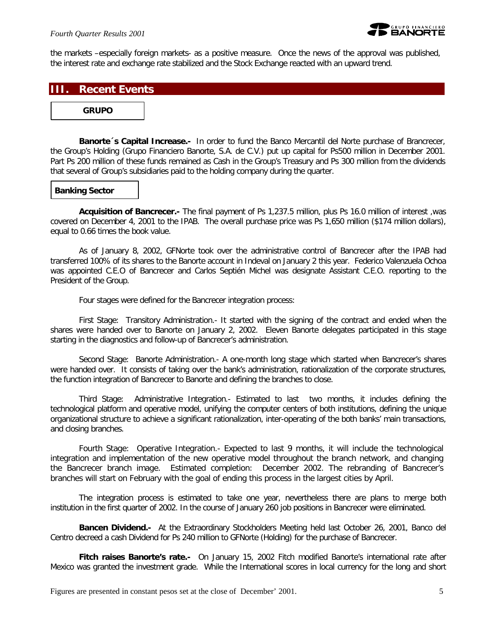

the markets –especially foreign markets- as a positive measure. Once the news of the approval was published, the interest rate and exchange rate stabilized and the Stock Exchange reacted with an upward trend.

### **III. Recent Events**

#### **GRUPO**

*Banorte´s Capital Increase.-* In order to fund the Banco Mercantil del Norte purchase of Brancrecer, the Group's Holding (Grupo Financiero Banorte, S.A. de C.V.) put up capital for Ps500 million in December 2001. Part Ps 200 million of these funds remained as Cash in the Group's Treasury and Ps 300 million from the dividends that several of Group's subsidiaries paid to the holding company during the quarter.

#### *Banking Sector*

*Acquisition of Bancrecer.-* The final payment of Ps 1,237.5 million, plus Ps 16.0 million of interest ,was covered on December 4, 2001 to the IPAB. The overall purchase price was Ps 1,650 million (\$174 million dollars), equal to 0.66 times the book value.

As of January 8, 2002, GFNorte took over the administrative control of Bancrecer after the IPAB had transferred 100% of its shares to the Banorte account in Indeval on January 2 this year. Federico Valenzuela Ochoa was appointed C.E.O of Bancrecer and Carlos Septién Michel was designate Assistant C.E.O. reporting to the President of the Group.

Four stages were defined for the Bancrecer integration process:

First Stage: Transitory Administration.- It started with the signing of the contract and ended when the shares were handed over to Banorte on January 2, 2002. Eleven Banorte delegates participated in this stage starting in the diagnostics and follow-up of Bancrecer's administration.

Second Stage: Banorte Administration.- A one-month long stage which started when Bancrecer's shares were handed over. It consists of taking over the bank's administration, rationalization of the corporate structures, the function integration of Bancrecer to Banorte and defining the branches to close.

Third Stage: Administrative Integration.- Estimated to last two months, it includes defining the technological platform and operative model, unifying the computer centers of both institutions, defining the unique organizational structure to achieve a significant rationalization, inter-operating of the both banks' main transactions, and closing branches.

Fourth Stage: Operative Integration.- Expected to last 9 months, it will include the technological integration and implementation of the new operative model throughout the branch network, and changing the Bancrecer branch image. Estimated completion: December 2002. The rebranding of Bancrecer's branches will start on February with the goal of ending this process in the largest cities by April.

The integration process is estimated to take one year, nevertheless there are plans to merge both institution in the first quarter of 2002. In the course of January 260 job positions in Bancrecer were eliminated.

*Bancen Dividend.-* At the Extraordinary Stockholders Meeting held last October 26, 2001, Banco del Centro decreed a cash Dividend for Ps 240 million to GFNorte (Holding) for the purchase of Bancrecer.

*Fitch raises Banorte's rate.-* On January 15, 2002 Fitch modified Banorte's international rate after Mexico was granted the investment grade. While the International scores in local currency for the long and short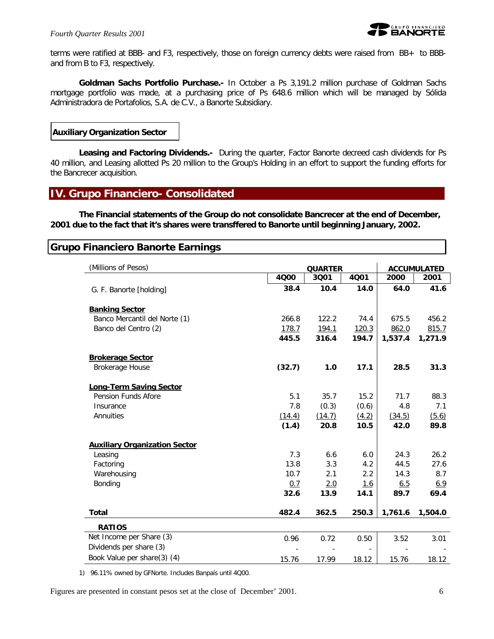

terms were ratified at BBB- and F3, respectively, those on foreign currency debts were raised from BB+ to BBBand from B to F3, respectively.

*Goldman Sachs Portfolio Purchase.-* In October a Ps 3,191.2 million purchase of Goldman Sachs mortgage portfolio was made, at a purchasing price of Ps 648.6 million which will be managed by Sólida Administradora de Portafolios, S.A. de C.V., a Banorte Subsidiary.

#### *Auxiliary Organization Sector*

*Leasing and Factoring Dividends.-* During the quarter, Factor Banorte decreed cash dividends for Ps 40 million, and Leasing allotted Ps 20 million to the Group's Holding in an effort to support the funding efforts for the Bancrecer acquisition.

### **IV. Grupo Financiero- Consolidated**

**The Financial statements of the Group do not consolidate Bancrecer at the end of December, 2001 due to the fact that it's shares were transffered to Banorte until beginning January, 2002.**

### **Grupo Financiero Banorte Earnings**

| (Millions of Pesos)                  | <b>QUARTER</b> |        |            |            | <b>ACCUMULATED</b> |
|--------------------------------------|----------------|--------|------------|------------|--------------------|
|                                      | 4000           | 3001   | 4001       | 2000       | 2001               |
| G. F. Banorte [holding]              | 38.4           | 10.4   | 14.0       | 64.0       | 41.6               |
| <b>Banking Sector</b>                |                |        |            |            |                    |
| Banco Mercantil del Norte (1)        | 266.8          | 122.2  | 74.4       | 675.5      | 456.2              |
| Banco del Centro (2)                 | 178.7          | 194.1  | 120.3      | 862.0      | 815.7              |
|                                      | 445.5          | 316.4  | 194.7      | 1,537.4    | 1,271.9            |
| <b>Brokerage Sector</b>              |                |        |            |            |                    |
| <b>Brokerage House</b>               | (32.7)         | 1.0    | 17.1       | 28.5       | 31.3               |
| <b>Long-Term Saving Sector</b>       |                |        |            |            |                    |
| Pension Funds Afore                  | 5.1            | 35.7   | 15.2       | 71.7       | 88.3               |
| Insurance                            | 7.8            | (0.3)  | (0.6)      | 4.8        | 7.1                |
| Annuities                            | (14.4)         | (14.7) | (4.2)      | (34.5)     | (5.6)              |
|                                      | (1.4)          | 20.8   | 10.5       | 42.0       | 89.8               |
| <b>Auxiliary Organization Sector</b> |                |        |            |            |                    |
| Leasing                              | 7.3            | 6.6    | 6.0        | 24.3       | 26.2               |
| Factoring                            | 13.8           | 3.3    | 4.2        | 44.5       | 27.6               |
| Warehousing                          | 10.7           | 2.1    | 2.2        | 14.3       | 8.7                |
| Bonding                              | 0.7            | 2.0    | <u>1.6</u> | <u>6.5</u> | 6.9                |
|                                      | 32.6           | 13.9   | 14.1       | 89.7       | 69.4               |
| <b>Total</b>                         | 482.4          | 362.5  | 250.3      | 1,761.6    | 1,504.0            |
| <b>RATIOS</b>                        |                |        |            |            |                    |
| Net Income per Share (3)             | 0.96           | 0.72   | 0.50       | 3.52       | 3.01               |
| Dividends per share (3)              |                |        |            |            |                    |
| Book Value per share(3) (4)          | 15.76          | 17.99  | 18.12      | 15.76      | 18.12              |

1) 96.11% owned by GFNorte. Includes Banpaís until 4Q00.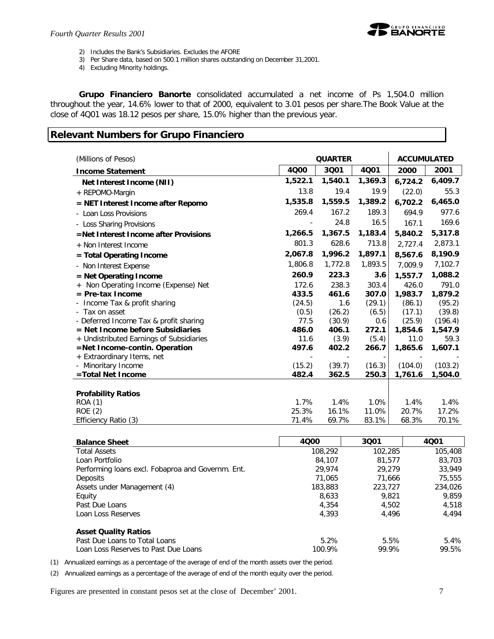

- 2) Includes the Bank's Subsidiaries. Excludes the AFORE
- 3) Per Share data, based on 500.1 million shares outstanding on December 31,2001.
- 4) Excluding Minority holdings.

*Grupo Financiero Banorte* consolidated accumulated a net income of Ps 1,504.0 million throughout the year, 14.6% lower to that of 2000, equivalent to 3.01 pesos per share.The Book Value at the close of 4Q01 was 18.12 pesos per share, 15.0% higher than the previous year.

# **Relevant Numbers for Grupo Financiero**

| (Millions of Pesos)                      |         | <b>QUARTER</b> |         | <b>ACCUMULATED</b> |         |
|------------------------------------------|---------|----------------|---------|--------------------|---------|
| <b>Income Statement</b>                  | 4000    | 3001           | 4Q01    | 2000               | 2001    |
| Net Interest Income (NII)                | 1,522.1 | 1,540.1        | 1,369.3 | 6,724.2            | 6,409.7 |
| + REPOMO-Margin                          | 13.8    | 19.4           | 19.9    | (22.0)             | 55.3    |
| = NET Interest Income after Repomo       | 1,535.8 | 1,559.5        | 1,389.2 | 6,702.2            | 6,465.0 |
| - Loan Loss Provisions                   | 269.4   | 167.2          | 189.3   | 694.9              | 977.6   |
| - Loss Sharing Provisions                |         | 24.8           | 16.5    | 167.1              | 169.6   |
| =Net Interest Income after Provisions    | 1,266.5 | 1,367.5        | 1,183.4 | 5,840.2            | 5,317.8 |
| + Non Interest Income                    | 801.3   | 628.6          | 713.8   | 2,727.4            | 2,873.1 |
| $=$ Total Operating Income               | 2,067.8 | 1,996.2        | 1,897.1 | 8,567.6            | 8,190.9 |
| - Non Interest Expense                   | 1,806.8 | 1,772.8        | 1,893.5 | 7,009.9            | 7,102.7 |
| = Net Operating Income                   | 260.9   | 223.3          | 3.6     | 1,557.7            | 1,088.2 |
| Non Operating Income (Expense) Net       | 172.6   | 238.3          | 303.4   | 426.0              | 791.0   |
| $=$ Pre-tax Income                       | 433.5   | 461.6          | 307.0   | 1,983.7            | 1,879.2 |
| Income Tax & profit sharing              | (24.5)  | 1.6            | (29.1)  | (86.1)             | (95.2)  |
| - Tax on asset                           | (0.5)   | (26.2)         | (6.5)   | (17.1)             | (39.8)  |
| - Deferred Income Tax & profit sharing   | 77.5    | (30.9)         | 0.6     | (25.9)             | (196.4) |
| $=$ Net Income before Subsidiaries       | 486.0   | 406.1          | 272.1   | 1,854.6            | 1,547.9 |
| + Undistributed Earnings of Subsidiaries | 11.6    | (3.9)          | (5.4)   | 11.0               | 59.3    |
| =Net Income-contin. Operation            | 497.6   | 402.2          | 266.7   | 1,865.6            | 1,607.1 |
| + Extraordinary Items, net               |         |                |         |                    |         |
| - Minoritary Income                      | (15.2)  | (39.7)         | (16.3)  | (104.0)            | (103.2) |
| =Total Net Income                        | 482.4   | 362.5          | 250.3   | 1,761.6            | 1,504.0 |
|                                          |         |                |         |                    |         |
| <b>Profability Ratios</b>                |         |                |         |                    |         |
| <b>ROA (1)</b>                           | 1.7%    | 1.4%           | 1.0%    | 1.4%               | 1.4%    |
| <b>ROE (2)</b>                           | 25.3%   | 16.1%          | 11.0%   | 20.7%              | 17.2%   |
| Efficiency Ratio (3)                     | 71.4%   | 69.7%          | 83.1%   | 68.3%              | 70.1%   |

| <b>Balance Sheet</b>                              | 4000    | 3001    | 4001    |
|---------------------------------------------------|---------|---------|---------|
| <b>Total Assets</b>                               | 108,292 | 102,285 | 105,408 |
| Loan Portfolio                                    | 84,107  | 81,577  | 83,703  |
| Performing loans excl. Fobaproa and Governm. Ent. | 29.974  | 29.279  | 33,949  |
| Deposits                                          | 71,065  | 71.666  | 75,555  |
| Assets under Management (4)                       | 183,883 | 223,727 | 234,026 |
| Equity                                            | 8.633   | 9.821   | 9,859   |
| Past Due Loans                                    | 4.354   | 4.502   | 4,518   |
| Loan Loss Reserves                                | 4.393   | 4.496   | 4,494   |
| <b>Asset Quality Ratios</b>                       |         |         |         |
| Past Due Loans to Total Loans                     | 5.2%    | 5.5%    | 5.4%    |
| Loan Loss Reserves to Past Due Loans              | 100.9%  | 99.9%   | 99.5%   |

(1) Annualized earnings as a percentage of the average of end of the month assets over the period.

(2) Annualized earnings as a percentage of the average of end of the month equity over the period.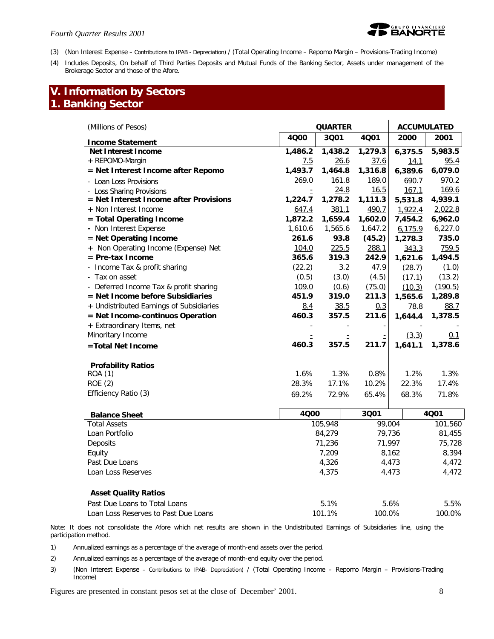

- (3) (Non Interest Expense Contributions to IPAB Depreciation) / (Total Operating Income Repomo Margin Provisions-Trading Income)
- (4) Includes Deposits, On behalf of Third Parties Deposits and Mutual Funds of the Banking Sector, Assets under management of the Brokerage Sector and those of the Afore.

# **V. Information by Sectors 1. Banking Sector**

| (Millions of Pesos)                      |         | <b>QUARTER</b> | <b>ACCUMULATED</b> |         |         |
|------------------------------------------|---------|----------------|--------------------|---------|---------|
| <b>Income Statement</b>                  | 4000    | 3001           | 4001               | 2000    | 2001    |
| <b>Net Interest Income</b>               | 1,486.2 | 1,438.2        | 1,279.3            | 6,375.5 | 5,983.5 |
| + REPOMO-Margin                          | 7.5     | 26.6           | 37.6               | 14.1    | 95.4    |
| = Net Interest Income after Repomo       | 1,493.7 | 1,464.8        | 1,316.8            | 6,389.6 | 6,079.0 |
| - Loan Loss Provisions                   | 269.0   | 161.8          | 189.0              | 690.7   | 970.2   |
| <b>Loss Sharing Provisions</b>           |         | 24.8           | 16.5               | 167.1   | 169.6   |
| = Net Interest Income after Provisions   | 1,224.7 | 1,278.2        | 1,111.3            | 5,531.8 | 4,939.1 |
| + Non Interest Income                    | 647.4   | 381.1          | 490.7              | 1,922.4 | 2,022.8 |
| = Total Operating Income                 | 1,872.2 | 1,659.4        | 1,602.0            | 7,454.2 | 6,962.0 |
| - Non Interest Expense                   | 1,610.6 | 1,565.6        | 1,647.2            | 6,175.9 | 6,227.0 |
| = Net Operating Income                   | 261.6   | 93.8           | (45.2)             | 1,278.3 | 735.0   |
| Non Operating Income (Expense) Net       | 104.0   | 225.5          | 288.1              | 343.3   | 759.5   |
| $=$ Pre-tax Income                       | 365.6   | 319.3          | 242.9              | 1,621.6 | 1,494.5 |
| Income Tax & profit sharing              | (22.2)  | 3.2            | 47.9               | (28.7)  | (1.0)   |
| Tax on asset                             | (0.5)   | (3.0)          | (4.5)              | (17.1)  | (13.2)  |
| Deferred Income Tax & profit sharing     | 109.0   | (0.6)          | (75.0)             | (10.3)  | (190.5) |
| $=$ Net Income before Subsidiaries       | 451.9   | 319.0          | 211.3              | 1,565.6 | 1,289.8 |
| + Undistributed Earnings of Subsidiaries | 8.4     | 38.5           | 0.3                | 78.8    | 88.7    |
| = Net Income-continuos Operation         | 460.3   | 357.5          | 211.6              | 1,644.4 | 1,378.5 |
| + Extraordinary Items, net               |         |                |                    |         |         |
| Minoritary Income                        |         |                |                    | (3.3)   | 0.1     |
| =Total Net Income                        | 460.3   | 357.5          | 211.7              | 1,641.1 | 1,378.6 |
|                                          |         |                |                    |         |         |
| <b>Profability Ratios</b>                | 1.6%    | 1.3%           | 0.8%               | 1.2%    | 1.3%    |
| ROA (1)<br><b>ROE (2)</b>                | 28.3%   | 17.1%          | 10.2%              | 22.3%   | 17.4%   |
|                                          |         |                |                    |         |         |
| Efficiency Ratio (3)                     | 69.2%   | 72.9%          | 65.4%              | 68.3%   | 71.8%   |
|                                          |         |                |                    |         |         |

| <b>Balance Sheet</b>        | 4000    | 3001   | 4001    |
|-----------------------------|---------|--------|---------|
| <b>Total Assets</b>         | 105,948 | 99,004 | 101,560 |
| Loan Portfolio              | 84,279  | 79,736 | 81,455  |
| Deposits                    | 71,236  | 71.997 | 75,728  |
| Equity                      | 7,209   | 8,162  | 8,394   |
| Past Due Loans              | 4,326   | 4,473  | 4,472   |
| Loan Loss Reserves          | 4.375   | 4.473  | 4,472   |
| <b>Asset Quality Ratios</b> |         |        |         |

| Past Due Loans to Total Loans        | 5.1%   | 5.6%   | 5.5%   |
|--------------------------------------|--------|--------|--------|
| Loan Loss Reserves to Past Due Loans | 101.1% | 100.0% | 100.0% |

Note: It does not consolidate the Afore which net results are shown in the Undistributed Earnings of Subsidiaries line, using the participation method.

1) Annualized earnings as a percentage of the average of month-end assets over the period.

2) Annualized earnings as a percentage of the average of month-end equity over the period.

3) (Non Interest Expense – Contributions to IPAB- Depreciation) / (Total Operating Income – Repomo Margin – Provisions-Trading Income)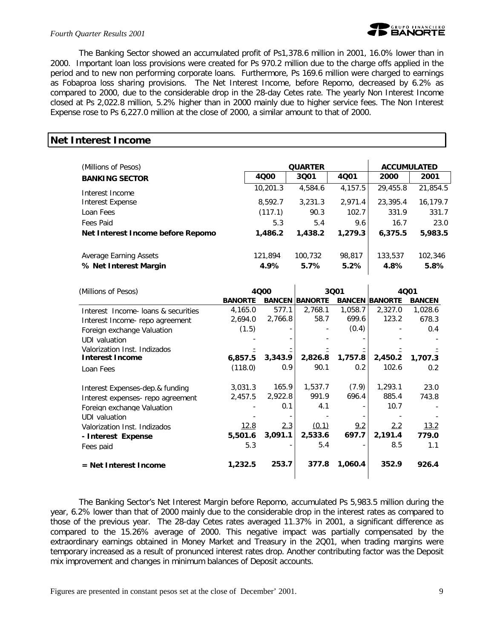

The Banking Sector showed an accumulated profit of Ps1,378.6 million in 2001, 16.0% lower than in 2000. Important loan loss provisions were created for Ps 970.2 million due to the charge offs applied in the period and to new non performing corporate loans. Furthermore, Ps 169.6 million were charged to earnings as Fobaproa loss sharing provisions. The Net Interest Income, before Repomo, decreased by 6.2% as compared to 2000, due to the considerable drop in the 28-day Cetes rate. The yearly Non Interest Income closed at Ps 2,022.8 million, 5.2% higher than in 2000 mainly due to higher service fees. The Non Interest Expense rose to Ps 6,227.0 million at the close of 2000, a similar amount to that of 2000.

### **Net Interest Income**

| (Millions of Pesos)               |          | <b>QUARTER</b> | <b>ACCUMULATED</b> |          |          |
|-----------------------------------|----------|----------------|--------------------|----------|----------|
| <b>BANKING SECTOR</b>             | 4000     | 3001           | 4001               | 2000     | 2001     |
| Interest Income                   | 10,201.3 | 4,584.6        | 4,157.5            | 29,455.8 | 21,854.5 |
| Interest Expense                  | 8,592.7  | 3.231.3        | 2.971.4            | 23,395.4 | 16,179.7 |
| Loan Fees                         | (117.1)  | 90.3           | 102.7              | 331.9    | 331.7    |
| Fees Paid                         | 5.3      | 5.4            | 9.6                | 16.7     | 23.0     |
| Net Interest Income before Repomo | 1,486.2  | 1,438.2        | 1,279.3            | 6,375.5  | 5,983.5  |
| Average Earning Assets            | 121,894  | 100,732        | 98,817             | 133,537  | 102,346  |
| % Net Interest Margin             | 4.9%     | 5.7%           | 5.2%               | 4.8%     | 5.8%     |

| (Millions of Pesos)                 | 3001<br>4000   |         | 4001                  |         |                       |               |
|-------------------------------------|----------------|---------|-----------------------|---------|-----------------------|---------------|
|                                     | <b>BANORTE</b> |         | <b>BANCEN BANORTE</b> |         | <b>BANCEN BANORTE</b> | <b>BANCEN</b> |
| Interest Income- loans & securities | 4,165.0        | 577.1   | 2,768.1               | 1,058.7 | 2,327.0               | 1,028.6       |
| Interest Income- repo agreement     | 2,694.0        | 2,766.8 | 58.7                  | 699.6   | 123.2                 | 678.3         |
| Foreign exchange Valuation          | (1.5)          |         |                       | (0.4)   |                       | 0.4           |
| UDI valuation                       |                |         |                       |         |                       |               |
| Valorization Inst. Indizados        |                |         |                       |         |                       |               |
| <b>Interest Income</b>              | 6,857.5        | 3,343.9 | 2,826.8               | 1,757.8 | 2,450.2               | 1,707.3       |
| Loan Fees                           | (118.0)        | 0.9     | 90.1                  | 0.2     | 102.6                 | 0.2           |
| Interest Expenses-dep.& funding     | 3,031.3        | 165.9   | 1,537.7               | (7.9)   | 1,293.1               | 23.0          |
| Interest expenses- repo agreement   | 2,457.5        | 2,922.8 | 991.9                 | 696.4   | 885.4                 | 743.8         |
| Foreign exchange Valuation          |                | 0.1     | 4.1                   |         | 10.7                  |               |
| UDI valuation                       |                |         |                       |         |                       |               |
| Valorization Inst. Indizados        | 12.8           | 2.3     | (0.1)                 | 9.2     | 2.2                   | 13.2          |
| - Interest Expense                  | 5,501.6        | 3,091.1 | 2,533.6               | 697.7   | 2,191.4               | 779.0         |
| Fees paid                           | 5.3            |         | 5.4                   |         | 8.5                   | 1.1           |
| = Net Interest Income               | 1,232.5        | 253.7   | 377.8                 | 1,060.4 | 352.9                 | 926.4         |

The Banking Sector's Net Interest Margin before Repomo, accumulated Ps 5,983.5 million during the year, 6.2% lower than that of 2000 mainly due to the considerable drop in the interest rates as compared to those of the previous year. The 28-day Cetes rates averaged 11.37% in 2001, a significant difference as compared to the 15.26% average of 2000. This negative impact was partially compensated by the extraordinary earnings obtained in Money Market and Treasury in the 2Q01, when trading margins were temporary increased as a result of pronunced interest rates drop. Another contributing factor was the Deposit mix improvement and changes in minimum balances of Deposit accounts.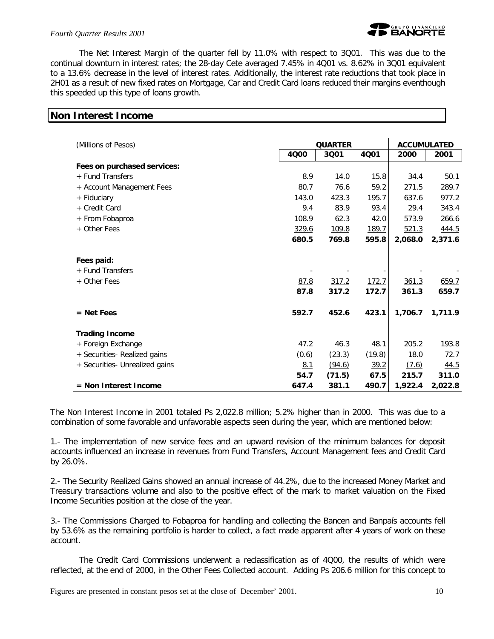

The Net Interest Margin of the quarter fell by 11.0% with respect to 3Q01. This was due to the continual downturn in interest rates; the 28-day Cete averaged 7.45% in 4Q01 vs. 8.62% in 3Q01 equivalent to a 13.6% decrease in the level of interest rates. Additionally, the interest rate reductions that took place in 2H01 as a result of new fixed rates on Mortgage, Car and Credit Card loans reduced their margins eventhough this speeded up this type of loans growth.

| <b>Non Interest Income</b> |  |  |
|----------------------------|--|--|

| (Millions of Pesos)            | <b>QUARTER</b> |        |        | <b>ACCUMULATED</b> |         |  |
|--------------------------------|----------------|--------|--------|--------------------|---------|--|
|                                | 4000           | 3001   | 4001   | 2000               | 2001    |  |
| Fees on purchased services:    |                |        |        |                    |         |  |
| + Fund Transfers               | 8.9            | 14.0   | 15.8   | 34.4               | 50.1    |  |
| + Account Management Fees      | 80.7           | 76.6   | 59.2   | 271.5              | 289.7   |  |
| + Fiduciary                    | 143.0          | 423.3  | 195.7  | 637.6              | 977.2   |  |
| + Credit Card                  | 9.4            | 83.9   | 93.4   | 29.4               | 343.4   |  |
| + From Fobaproa                | 108.9          | 62.3   | 42.0   | 573.9              | 266.6   |  |
| + Other Fees                   | 329.6          | 109.8  | 189.7  | 521.3              | 444.5   |  |
|                                | 680.5          | 769.8  | 595.8  | 2,068.0            | 2,371.6 |  |
| Fees paid:                     |                |        |        |                    |         |  |
| + Fund Transfers               |                |        |        |                    |         |  |
| + Other Fees                   | 87.8           | 317.2  | 172.7  | 361.3              | 659.7   |  |
|                                | 87.8           | 317.2  | 172.7  | 361.3              | 659.7   |  |
| $=$ Net Fees                   | 592.7          | 452.6  | 423.1  | 1,706.7            | 1,711.9 |  |
| <b>Trading Income</b>          |                |        |        |                    |         |  |
| + Foreign Exchange             | 47.2           | 46.3   | 48.1   | 205.2              | 193.8   |  |
| + Securities- Realized gains   | (0.6)          | (23.3) | (19.8) | 18.0               | 72.7    |  |
| + Securities- Unrealized gains | 8.1            | (94.6) | 39.2   | (7.6)              | 44.5    |  |
|                                | 54.7           | (71.5) | 67.5   | 215.7              | 311.0   |  |
| = Non Interest Income          | 647.4          | 381.1  | 490.7  | 1,922.4            | 2,022.8 |  |

The Non Interest Income in 2001 totaled Ps 2,022.8 million; 5.2% higher than in 2000. This was due to a combination of some favorable and unfavorable aspects seen during the year, which are mentioned below:

1.- The implementation of new service fees and an upward revision of the minimum balances for deposit accounts influenced an increase in revenues from Fund Transfers, Account Management fees and Credit Card by 26.0%.

2.- The Security Realized Gains showed an annual increase of 44.2%, due to the increased Money Market and Treasury transactions volume and also to the positive effect of the mark to market valuation on the Fixed Income Securities position at the close of the year.

3.- The Commissions Charged to Fobaproa for handling and collecting the Bancen and Banpaís accounts fell by 53.6% as the remaining portfolio is harder to collect, a fact made apparent after 4 years of work on these account.

The Credit Card Commissions underwent a reclassification as of 4Q00, the results of which were reflected, at the end of 2000, in the Other Fees Collected account. Adding Ps 206.6 million for this concept to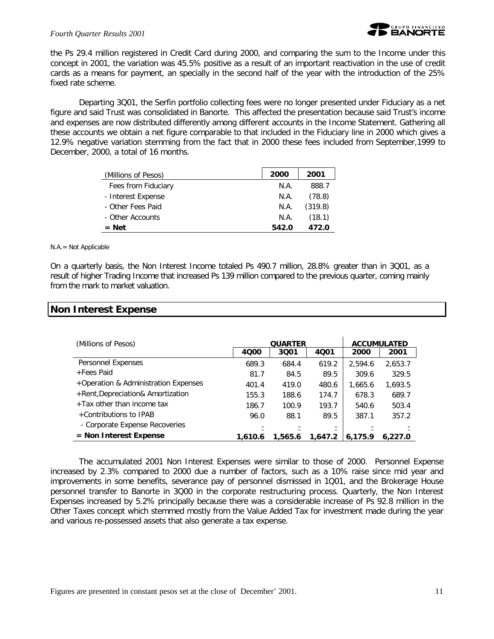

the Ps 29.4 million registered in Credit Card during 2000, and comparing the sum to the Income under this concept in 2001, the variation was 45.5% positive as a result of an important reactivation in the use of credit cards as a means for payment, an specially in the second half of the year with the introduction of the 25% fixed rate scheme.

Departing 3Q01, the Serfin portfolio collecting fees were no longer presented under Fiduciary as a net figure and said Trust was consolidated in Banorte. This affected the presentation because said Trust's income and expenses are now distributed differently among different accounts in the Income Statement. Gathering all these accounts we obtain a net figure comparable to that included in the Fiduciary line in 2000 which gives a 12.9% negative variation stemming from the fact that in 2000 these fees included from September,1999 to December, 2000, a total of 16 months.

| (Millions of Pesos) | 2000  | 2001    |
|---------------------|-------|---------|
| Fees from Fiduciary | N.A.  | 888.7   |
| - Interest Expense  | N.A.  | (78.8)  |
| - Other Fees Paid   | N.A.  | (319.8) |
| - Other Accounts    | N.A.  | (18.1)  |
| $=$ Net             | 542.0 | 472.0   |

N.A.= Not Applicable

On a quarterly basis, the Non Interest Income totaled Ps 490.7 million, 28.8% greater than in 3Q01, as a result of higher Trading Income that increased Ps 139 million compared to the previous quarter, coming mainly from the mark to market valuation.

### **Non Interest Expense**

| (Millions of Pesos)                  |         | <b>QUARTER</b> |         |         | <b>ACCUMULATED</b> |
|--------------------------------------|---------|----------------|---------|---------|--------------------|
|                                      | 4000    | 3001           | 4001    | 2000    | 2001               |
| Personnel Expenses                   | 689.3   | 684.4          | 619.2   | 2.594.6 | 2,653.7            |
| +Fees Paid                           | 81.7    | 84.5           | 89.5    | 309.6   | 329.5              |
| +Operation & Administration Expenses | 401.4   | 419.0          | 480.6   | 1,665.6 | 1,693.5            |
| +Rent, Depreciation& Amortization    | 155.3   | 188.6          | 174.7   | 678.3   | 689.7              |
| +Tax other than income tax           | 186.7   | 100.9          | 193.7   | 540.6   | 503.4              |
| +Contributions to IPAB               | 96.0    | 88.1           | 89.5    | 387.1   | 357.2              |
| - Corporate Expense Recoveries       |         |                |         |         |                    |
| $=$ Non Interest Expense             | 1,610.6 | 1,565.6        | 1,647.2 | 6,175.9 | 6.227.0            |

The accumulated 2001 Non Interest Expenses were similar to those of 2000. Personnel Expense increased by 2.3% compared to 2000 due a number of factors, such as a 10% raise since mid year and improvements in some benefits, severance pay of personnel dismissed in 1Q01, and the Brokerage House personnel transfer to Banorte in 3Q00 in the corporate restructuring process. Quarterly, the Non Interest Expenses increased by 5.2% principally because there was a considerable increase of Ps 92.8 million in the Other Taxes concept which stemmed mostly from the Value Added Tax for investment made during the year and various re-possessed assets that also generate a tax expense.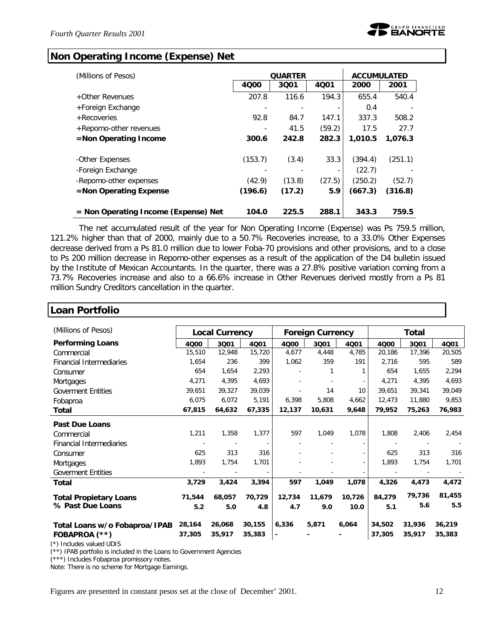# **Non Operating Income (Expense) Net**

| (Millions of Pesos)                    |         | <b>QUARTER</b> |        | <b>ACCUMULATED</b> |         |
|----------------------------------------|---------|----------------|--------|--------------------|---------|
|                                        | 4000    | 3001           | 4001   | 2000               | 2001    |
| +Other Revenues                        | 207.8   | 116.6          | 194.3  | 655.4              | 540.4   |
| +Foreign Exchange                      |         |                |        | 0.4                |         |
| + Recoveries                           | 92.8    | 84.7           | 147.1  | 337.3              | 508.2   |
| +Repomo-other revenues                 |         | 41.5           | (59.2) | 17.5               | 27.7    |
| $=$ Non Operating Income               | 300.6   | 242.8          | 282.3  | 1.010.5            | 1,076.3 |
|                                        |         |                |        |                    |         |
| -Other Expenses                        | (153.7) | (3.4)          | 33.3   | (394.4)            | (251.1) |
| -Foreign Exchange                      |         |                |        | (22.7)             |         |
| -Repomo-other expenses                 | (42.9)  | (13.8)         | (27.5) | (250.2)            | (52.7)  |
| $=$ Non Operating Expense              | (196.6) | (17.2)         | 5.9    | (667.3)            | (316.8) |
|                                        |         |                |        |                    |         |
| $=$ Non Operating Income (Expense) Net | 104.0   | 225.5          | 288.1  | 343.3              | 759.5   |

The net accumulated result of the year for Non Operating Income (Expense) was Ps 759.5 million, 121.2% higher than that of 2000, mainly due to a 50.7% Recoveries increase, to a 33.0% Other Expenses decrease derived from a Ps 81.0 million due to lower Foba-70 provisions and other provisions, and to a close to Ps 200 million decrease in Repomo-other expenses as a result of the application of the D4 bulletin issued by the Institute of Mexican Accountants. In the quarter, there was a 27.8% positive variation coming from a 73.7% Recoveries increase and also to a 66.6% increase in Other Revenues derived mostly from a Ps 81 million Sundry Creditors cancellation in the quarter.

| Loan Portfolio                  |        |                       |                          |                |                         |        |        |                |        |
|---------------------------------|--------|-----------------------|--------------------------|----------------|-------------------------|--------|--------|----------------|--------|
| (Millions of Pesos)             |        | <b>Local Currency</b> |                          |                | <b>Foreign Currency</b> |        | Total  |                |        |
| <b>Performing Loans</b>         | 4000   | 3Q01                  | 4001                     | 4000           | 3001                    | 4Q01   | 4000   | 3Q01           | 4001   |
| Commercial                      | 15,510 | 12,948                | 15,720                   | 4,677          | 4,448                   | 4,785  | 20,186 | 17,396         | 20,505 |
| <b>Financial Intermediaries</b> | 1,654  | 236                   | 399                      | 1,062          | 359                     | 191    | 2,716  | 595            | 589    |
| Consumer                        | 654    | 1,654                 | 2,293                    |                |                         | 1      | 654    | 1,655          | 2,294  |
| Mortgages                       | 4,271  | 4,395                 | 4,693                    |                |                         |        | 4,271  | 4,395          | 4,693  |
| <b>Goverment Entities</b>       | 39,651 | 39,327                | 39,039                   |                | 14                      | 10     | 39,651 | 39,341         | 39,049 |
| Fobaproa                        | 6,075  | 6,072                 | 5,191                    | 6,398          | 5,808                   | 4,662  | 12,473 | 11,880         | 9,853  |
| Total                           | 67,815 | 64,632                | 67,335                   | 12,137         | 10,631                  | 9,648  | 79,952 | 75,263         | 76,983 |
| <b>Past Due Loans</b>           |        |                       |                          |                |                         |        |        |                |        |
| Commercial                      | 1,211  | 1,358                 | 1,377                    | 597            | 1,049                   | 1,078  | 1,808  | 2,406          | 2,454  |
| <b>Financial Intermediaries</b> |        |                       | $\overline{\phantom{a}}$ |                |                         |        |        | $\overline{a}$ |        |
| Consumer                        | 625    | 313                   | 316                      |                |                         |        | 625    | 313            | 316    |
| Mortgages                       | 1,893  | 1,754                 | 1,701                    |                |                         |        | 1,893  | 1,754          | 1,701  |
| Goverment Entities              |        |                       |                          |                |                         |        |        |                |        |
| <b>Total</b>                    | 3,729  | 3,424                 | 3,394                    | 597            | 1,049                   | 1,078  | 4,326  | 4,473          | 4,472  |
| <b>Total Propietary Loans</b>   | 71,544 | 68.057                | 70,729                   | 12,734         | 11,679                  | 10,726 | 84,279 | 79,736         | 81,455 |
| % Past Due Loans                | 5.2    | 5.0                   | 4.8                      | 4.7            | 9.0                     | 10.0   | 5.1    | 5.6            | 5.5    |
| Total Loans w/o Fobaproa/IPAB   | 28,164 | 26,068                | 30,155                   | 6,336          | 5,871                   | 6,064  | 34,502 | 31,936         | 36,219 |
| FOBAPROA (**)                   | 37,305 | 35,917                | 35,383                   | $\blacksquare$ |                         |        | 37,305 | 35,917         | 35,383 |

(\*) Includes valued UDIS

(\*\*) IPAB portfolio is included in the Loans to Government Agencies

(\*\*\*) Includes Fobaproa promissory notes.

Note: There is no scheme for Mortgage Earnings.

Figures are presented in constant pesos set at the close of December' 2001. 12

ן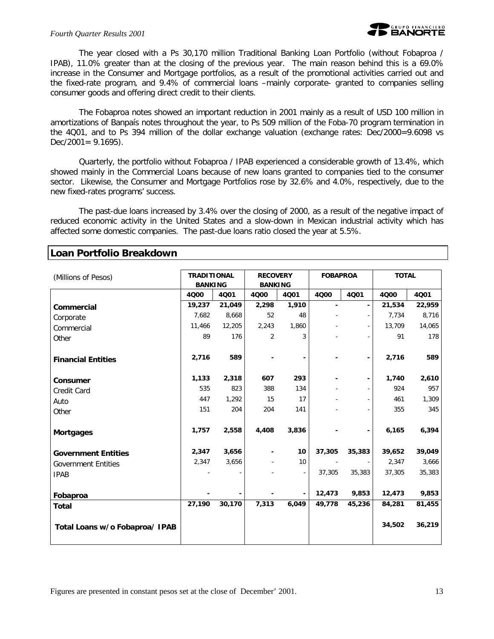

The year closed with a Ps 30,170 million Traditional Banking Loan Portfolio (without Fobaproa / IPAB), 11.0% greater than at the closing of the previous year. The main reason behind this is a 69.0% increase in the Consumer and Mortgage portfolios, as a result of the promotional activities carried out and the fixed-rate program, and 9.4% of commercial loans –mainly corporate- granted to companies selling consumer goods and offering direct credit to their clients.

The Fobaproa notes showed an important reduction in 2001 mainly as a result of USD 100 million in amortizations of Banpaís notes throughout the year, to Ps 509 million of the Foba-70 program termination in the 4Q01, and to Ps 394 million of the dollar exchange valuation (exchange rates: Dec/2000=9.6098 vs  $Dec/2001 = 9.1695$ ).

Quarterly, the portfolio without Fobaproa / IPAB experienced a considerable growth of 13.4%, which showed mainly in the Commercial Loans because of new loans granted to companies tied to the consumer sector. Likewise, the Consumer and Mortgage Portfolios rose by 32.6% and 4.0%, respectively, due to the new fixed-rates programs' success.

The past-due loans increased by 3.4% over the closing of 2000, as a result of the negative impact of reduced economic activity in the United States and a slow-down in Mexican industrial activity which has affected some domestic companies. The past-due loans ratio closed the year at 5.5%.

| (Millions of Pesos)            | <b>TRADITIONAL</b><br><b>BANKING</b> |        | <b>RECOVERY</b><br><b>BANKING</b> |       | <b>FOBAPROA</b> |        | <b>TOTAL</b> |        |
|--------------------------------|--------------------------------------|--------|-----------------------------------|-------|-----------------|--------|--------------|--------|
|                                | 4000                                 | 4Q01   | 4000                              | 4001  | 4Q00            | 4001   | 4000         | 4Q01   |
| Commercial                     | 19,237                               | 21,049 | 2,298                             | 1,910 | $\blacksquare$  |        | 21,534       | 22,959 |
| Corporate                      | 7,682                                | 8,668  | 52                                | 48    |                 |        | 7,734        | 8,716  |
| Commercial                     | 11,466                               | 12,205 | 2,243                             | 1,860 |                 |        | 13,709       | 14,065 |
| Other                          | 89                                   | 176    | 2                                 | 3     |                 |        | 91           | 178    |
| <b>Financial Entities</b>      | 2,716                                | 589    |                                   | -     |                 |        | 2,716        | 589    |
| Consumer                       | 1,133                                | 2,318  | 607                               | 293   |                 |        | 1,740        | 2,610  |
| Credit Card                    | 535                                  | 823    | 388                               | 134   |                 |        | 924          | 957    |
| Auto                           | 447                                  | 1,292  | 15                                | 17    |                 |        | 461          | 1,309  |
| Other                          | 151                                  | 204    | 204                               | 141   |                 |        | 355          | 345    |
| <b>Mortgages</b>               | 1,757                                | 2,558  | 4,408                             | 3,836 |                 |        | 6,165        | 6,394  |
| <b>Government Entities</b>     | 2,347                                | 3,656  |                                   | 10    | 37,305          | 35,383 | 39,652       | 39,049 |
| <b>Government Entities</b>     | 2,347                                | 3,656  |                                   | 10    |                 |        | 2,347        | 3,666  |
| <b>IPAB</b>                    |                                      |        |                                   |       | 37,305          | 35,383 | 37,305       | 35,383 |
| Fobaproa                       |                                      |        |                                   |       | 12,473          | 9,853  | 12,473       | 9,853  |
| <b>Total</b>                   | 27,190                               | 30,170 | 7,313                             | 6,049 | 49,778          | 45,236 | 84,281       | 81,455 |
| Total Loans w/o Fobaproa/ IPAB |                                      |        |                                   |       |                 |        | 34,502       | 36,219 |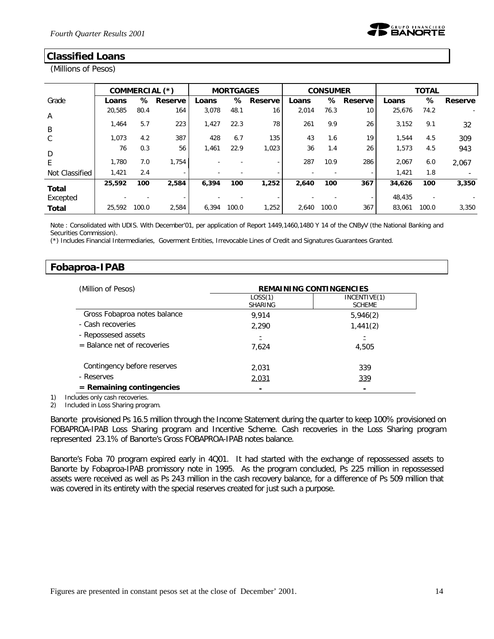# **Classified Loans**

(Millions of Pesos)

|                |        |       | COMMERCIAL (*) |       | <b>MORTGAGES</b> |         |       | <b>CONSUMER</b> |         |        | <b>TOTAL</b> |         |
|----------------|--------|-------|----------------|-------|------------------|---------|-------|-----------------|---------|--------|--------------|---------|
| Grade          | Loans  | ℅     | Reserve        | Loans | ℅                | Reserve | Loans | %               | Reserve | Loans  | %            | Reserve |
| A              | 20,585 | 80.4  | 164            | 3,078 | 48.1             | 16      | 2,014 | 76.3            | 10      | 25,676 | 74.2         |         |
| B              | 1.464  | 5.7   | 223            | 1,427 | 22.3             | 78      | 261   | 9.9             | 26      | 3,152  | 9.1          | 32      |
| C              | 1,073  | 4.2   | 387            | 428   | 6.7              | 135     | 43    | 1.6             | 19      | 1,544  | 4.5          | 309     |
| D              | 76     | 0.3   | 56             | 1,461 | 22.9             | 1,023   | 36    | 1.4             | 26      | 1,573  | 4.5          | 943     |
| E              | 1,780  | 7.0   | 1,754          |       |                  |         | 287   | 10.9            | 286     | 2,067  | 6.0          | 2.067   |
| Not Classified | 1,421  | 2.4   |                |       |                  |         |       |                 | ٠       | 1,421  | 1.8          |         |
| <b>Total</b>   | 25,592 | 100   | 2,584          | 6.394 | 100              | 1,252   | 2,640 | 100             | 367     | 34,626 | 100          | 3,350   |
| Excepted       |        |       |                |       |                  |         |       |                 | ۰       | 48,435 |              |         |
| <b>Total</b>   | 25,592 | 100.0 | 2,584          | 6,394 | 100.0            | 1,252   | 2,640 | 100.0           | 367     | 83,061 | 100.0        | 3,350   |

Note : Consolidated with UDIS. With December'01, per application of Report 1449,1460,1480 Y 14 of the CNByV (the National Banking and Securities Commission).

(\*) Includes Financial Intermediaries, Goverment Entities, Irrevocable Lines of Credit and Signatures Guarantees Granted.

### **Fobaproa-IPAB**

| (Million of Pesos)           | <b>REMAINING CONTINGENCIES</b> |                               |  |  |  |
|------------------------------|--------------------------------|-------------------------------|--|--|--|
|                              | LOSS(1)<br><b>SHARING</b>      | INCENTIVE(1)<br><b>SCHEME</b> |  |  |  |
| Gross Fobaproa notes balance | 9.914                          | 5,946(2)                      |  |  |  |
| - Cash recoveries            | 2,290                          | 1,441(2)                      |  |  |  |
| - Repossesed assets          | Ξ                              |                               |  |  |  |
| = Balance net of recoveries  | 7,624                          | 4,505                         |  |  |  |
| Contingency before reserves  | 2,031                          | 339                           |  |  |  |
| - Reserves                   | 2,031                          | 339                           |  |  |  |
| $=$ Remaining contingencies  |                                | $\blacksquare$                |  |  |  |

1) Includes only cash recoveries.

2) Included in Loss Sharing program.

Banorte provisioned Ps 16.5 million through the Income Statement during the quarter to keep 100% provisioned on FOBAPROA-IPAB Loss Sharing program and Incentive Scheme. Cash recoveries in the Loss Sharing program represented 23.1% of Banorte's Gross FOBAPROA-IPAB notes balance.

Banorte's Foba 70 program expired early in 4Q01. It had started with the exchange of repossessed assets to Banorte by Fobaproa-IPAB promissory note in 1995. As the program concluded, Ps 225 million in repossessed assets were received as well as Ps 243 million in the cash recovery balance, for a difference of Ps 509 million that was covered in its entirety with the special reserves created for just such a purpose.

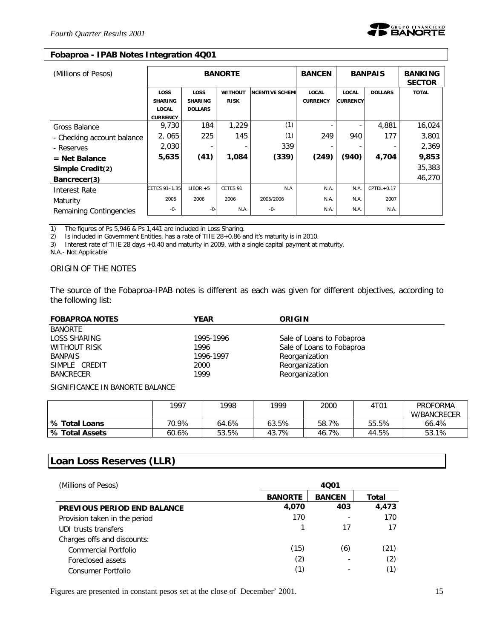#### **Fobaproa - IPAB Notes Integration 4Q01**

| (Millions of Pesos)        |                                                                  | <b>BANORTE</b><br><b>BANCEN</b>          |                               |                        |                                 |                                 | <b>BANPAIS</b> | <b>BANKING</b><br><b>SECTOR</b> |
|----------------------------|------------------------------------------------------------------|------------------------------------------|-------------------------------|------------------------|---------------------------------|---------------------------------|----------------|---------------------------------|
|                            | <b>LOSS</b><br><b>SHARING</b><br><b>LOCAL</b><br><b>CURRENCY</b> | LOSS<br><b>SHARING</b><br><b>DOLLARS</b> | <b>WITHOUT</b><br><b>RISK</b> | <b>NCENTIVE SCHEME</b> | <b>LOCAL</b><br><b>CURRENCY</b> | <b>LOCAL</b><br><b>CURRENCY</b> | <b>DOLLARS</b> | <b>TOTAL</b>                    |
| Gross Balance              | 9,730                                                            | 184                                      | 1,229                         | (1)                    |                                 |                                 | 4,881          | 16,024                          |
| - Checking account balance | 2,065                                                            | 225                                      | 145                           | (1)                    | 249                             | 940                             | 177            | 3,801                           |
| - Reserves                 | 2,030                                                            |                                          |                               | 339                    |                                 |                                 |                | 2,369                           |
| $=$ Net Balance            | 5,635                                                            | (41)                                     | 1,084                         | (339)                  | (249)                           | (940)                           | 4,704          | 9,853                           |
| Simple Credit(2)           |                                                                  |                                          |                               |                        |                                 |                                 |                | 35,383                          |
| Bancrecer(3)               |                                                                  |                                          |                               |                        |                                 |                                 |                | 46,270                          |
| Interest Rate              | CETES 91-1.35                                                    | $LIBOR + 5$                              | CETES 91                      | N.A.                   | N.A.                            | N.A.                            | $CPTDL+0.17$   |                                 |
| Maturity                   | 2005                                                             | 2006                                     | 2006                          | 2005/2006              | N.A.                            | N.A.                            | 2007           |                                 |
| Remaining Contingencies    | -0-                                                              | -0-                                      | N.A.                          | -0-                    | N.A.                            | N.A.                            | N.A.           |                                 |

1) The figures of Ps 5,946 & Ps 1,441 are included in Loss Sharing.

2) Is included in Government Entities, has a rate of TIIE 28+0.86 and it's maturity is in 2010.

3) Interest rate of TIIE 28 days +0.40 and maturity in 2009, with a single capital payment at maturity.

N.A.- Not Applicable

### *ORIGIN OF THE NOTES*

The source of the Fobaproa-IPAB notes is different as each was given for different objectives, according to the following list:

| <b>FOBAPROA NOTES</b> | <b>YEAR</b> | ORIGIN                    |
|-----------------------|-------------|---------------------------|
| <b>BANORTE</b>        |             |                           |
| LOSS SHARING          | 1995-1996   | Sale of Loans to Fobaproa |
| WITHOUT RISK          | 1996        | Sale of Loans to Fobaproa |
| <b>BANPAIS</b>        | 1996-1997   | Reorganization            |
| SIMPLE CREDIT         | 2000        | Reorganization            |
| <b>BANCRECER</b>      | 1999        | Reorganization            |

*SIGNIFICANCE IN BANORTE BALANCE*

|                       | 1997  | 1998  | 1999  | 2000  | 4T01  | <b>PROFORMA</b> |
|-----------------------|-------|-------|-------|-------|-------|-----------------|
|                       |       |       |       |       |       | W/BANCRECER     |
| S Total Loans         | 70.9% | 64.6% | 63.5% | 58.7% | 55.5% | 66.4%           |
| <b>% Total Assets</b> | 60.6% | 53.5% | 43.7% | 46.7% | 44.5% | 53.1%           |

### **Loan Loss Reserves (LLR)**

| (Millions of Pesos)                | 4001           |               |       |  |  |  |
|------------------------------------|----------------|---------------|-------|--|--|--|
|                                    | <b>BANORTE</b> | <b>BANCEN</b> | Total |  |  |  |
| <b>PREVIOUS PERIOD END BALANCE</b> | 4,070          | 403           | 4,473 |  |  |  |
| Provision taken in the period      | 170            |               | 170   |  |  |  |
| UDI trusts transfers               |                | 17            |       |  |  |  |
| Charges offs and discounts:        |                |               |       |  |  |  |
| Commercial Portfolio               | (15)           | (6)           | (21)  |  |  |  |
| Foreclosed assets                  | (2)            |               | (2)   |  |  |  |
| Consumer Portfolio                 | (1)            |               |       |  |  |  |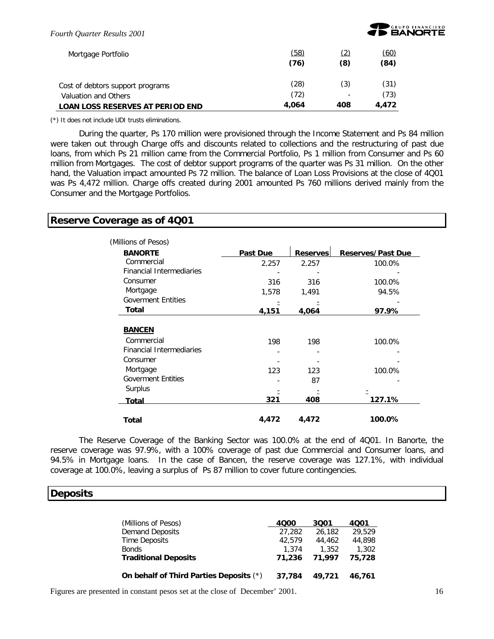

| Mortgage Portfolio                      | (58)<br>(76) | (8) | (60)<br>(84) |
|-----------------------------------------|--------------|-----|--------------|
| Cost of debtors support programs        | (28)         | (3) | (31)         |
| Valuation and Others                    | (72)         | -   | (73)         |
| <b>LOAN LOSS RESERVES AT PERIOD END</b> | 4.064        | 408 | 4.472        |

(\*) It does not include UDI trusts eliminations.

During the quarter, Ps 170 million were provisioned through the Income Statement and Ps 84 million were taken out through Charge offs and discounts related to collections and the restructuring of past due loans, from which Ps 21 million came from the Commercial Portfolio, Ps 1 million from Consumer and Ps 60 million from Mortgages. The cost of debtor support programs of the quarter was Ps 31 million. On the other hand, the Valuation impact amounted Ps 72 million. The balance of Loan Loss Provisions at the close of 4Q01 was Ps 4,472 million. Charge offs created during 2001 amounted Ps 760 millions derived mainly from the Consumer and the Mortgage Portfolios.

### **Reserve Coverage as of 4Q01**

| (Millions of Pesos)             |          |                 |                          |
|---------------------------------|----------|-----------------|--------------------------|
| <b>BANORTE</b>                  | Past Due | <b>Reserves</b> | <b>Reserves/Past Due</b> |
| Commercial                      | 2.257    | 2.257           | 100.0%                   |
| <b>Financial Intermediaries</b> |          |                 |                          |
| Consumer                        | 316      | 316             | 100.0%                   |
| Mortgage                        | 1,578    | 1,491           | 94.5%                    |
| <b>Goverment Entities</b>       |          |                 |                          |
| Total                           | 4,151    | 4,064           | 97.9%                    |
|                                 |          |                 |                          |
| <b>BANCEN</b>                   |          |                 |                          |
| Commercial                      | 198      | 198             | 100.0%                   |
| <b>Financial Intermediaries</b> |          |                 |                          |
| Consumer                        |          |                 |                          |
| Mortgage                        | 123      | 123             | 100.0%                   |
| <b>Goverment Entities</b>       |          | 87              |                          |
| Surplus                         |          |                 |                          |
| Total                           | 321      | 408             | 127.1%                   |
| Total                           | 4,472    | 4,472           | 100.0%                   |

The Reserve Coverage of the Banking Sector was 100.0% at the end of 4Q01. In Banorte, the reserve coverage was 97.9%, with a 100% coverage of past due Commercial and Consumer loans, and 94.5% in Mortgage loans. In the case of Bancen, the reserve coverage was 127.1%, with individual coverage at 100.0%, leaving a surplus of Ps 87 million to cover future contingencies.

### **Deposits**

| (Millions of Pesos)                     | 4000   | 3001   | 4001   |
|-----------------------------------------|--------|--------|--------|
| <b>Demand Deposits</b>                  | 27,282 | 26,182 | 29.529 |
| Time Deposits                           | 42.579 | 44,462 | 44,898 |
| <b>Bonds</b>                            | 1.374  | 1.352  | 1,302  |
| <b>Traditional Deposits</b>             | 71,236 | 71.997 | 75,728 |
| On behalf of Third Parties Deposits (*) | 37,784 | 49.721 | 46.761 |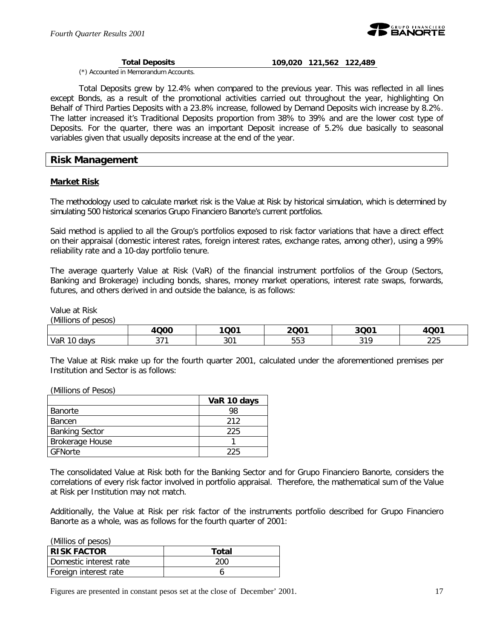

#### **Total Deposits 109,020 121,562 122,489**

(\*) Accounted in Memorandum Accounts.

Total Deposits grew by 12.4% when compared to the previous year. This was reflected in all lines except Bonds, as a result of the promotional activities carried out throughout the year, highlighting On Behalf of Third Parties Deposits with a 23.8% increase, followed by Demand Deposits wich increase by 8.2%. The latter increased it's Traditional Deposits proportion from 38% to 39% and are the lower cost type of Deposits. For the quarter, there was an important Deposit increase of 5.2% due basically to seasonal variables given that usually deposits increase at the end of the year.

### **Risk Management**

#### **Market Risk**

The methodology used to calculate market risk is the Value at Risk by historical simulation, which is determined by simulating 500 historical scenarios Grupo Financiero Banorte's current portfolios.

Said method is applied to all the Group's portfolios exposed to risk factor variations that have a direct effect on their appraisal (domestic interest rates, foreign interest rates, exchange rates, among other), using a 99% reliability rate and a 10-day portfolio tenure.

The average quarterly Value at Risk (VaR) of the financial instrument portfolios of the Group (Sectors, Banking and Brokerage) including bonds, shares, money market operations, interest rate swaps, forwards, futures, and others derived in and outside the balance, is as follows:

Value at Risk

*(Millions of pesos)*

|                       | 000<br>д           | 1Q01 | 2001             | $3Q0^*$      | 1001          |
|-----------------------|--------------------|------|------------------|--------------|---------------|
| VaR<br>$\sim$<br>davs | ᅐᄀ <i>ᆁ</i><br>ິ ເ | 301  | rro<br>nn<br>ບບບ | 010<br>، ا ب | $\cap$<br>220 |

The Value at Risk make up for the fourth quarter 2001, calculated under the aforementioned premises per Institution and Sector is as follows:

(Millions of Pesos)

|                       | VaR 10 days |
|-----------------------|-------------|
| l Banorte             | 98          |
| l Bancen              | 212         |
| <b>Banking Sector</b> | 225         |
| Brokerage House       |             |
| GFNorte               | 225         |

The consolidated Value at Risk both for the Banking Sector and for Grupo Financiero Banorte, considers the correlations of every risk factor involved in portfolio appraisal. Therefore, the mathematical sum of the Value at Risk per Institution may not match.

Additionally, the Value at Risk per risk factor of the instruments portfolio described for Grupo Financiero Banorte as a whole, was as follows for the fourth quarter of 2001:

| (Millios of pesos)     |       |
|------------------------|-------|
| <b>RISK FACTOR</b>     | Total |
| Domestic interest rate | 200   |
| Foreign interest rate  |       |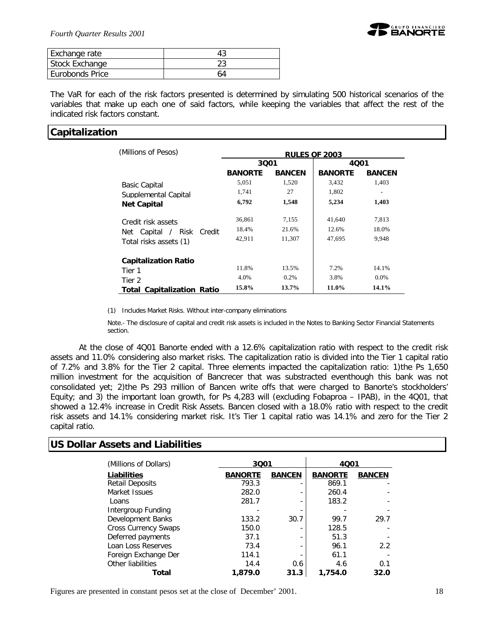

| Exchange rate   |    |
|-----------------|----|
| Stock Exchange  |    |
| Eurobonds Price | 64 |

The VaR for each of the risk factors presented is determined by simulating 500 historical scenarios of the variables that make up each one of said factors, while keeping the variables that affect the rest of the indicated risk factors constant.

### **Capitalization**

| (Millions of Pesos)               | <b>RULES OF 2003</b> |               |                |               |  |
|-----------------------------------|----------------------|---------------|----------------|---------------|--|
|                                   | 3001<br>4001         |               |                |               |  |
|                                   | <b>BANORTE</b>       | <b>BANCEN</b> | <b>BANORTE</b> | <b>BANCEN</b> |  |
| <b>Basic Capital</b>              | 5,051                | 1,520         | 3,432          | 1,403         |  |
| Supplemental Capital              | 1,741                | 27            | 1,802          |               |  |
| <b>Net Capital</b>                | 6,792                | 1,548         | 5,234          | 1,403         |  |
| Credit risk assets                | 36,861               | 7,155         | 41,640         | 7,813         |  |
| Risk<br>Credit<br>Net Capital /   | 18.4%                | 21.6%         | 12.6%          | 18.0%         |  |
| Total risks assets (1)            | 42,911               | 11,307        | 47,695         | 9,948         |  |
| <b>Capitalization Ratio</b>       |                      |               |                |               |  |
| Tier 1                            | 11.8%                | 13.5%         | 7.2%           | 14.1%         |  |
| Tier 2                            | 4.0%                 | $0.2\%$       | 3.8%           | $0.0\%$       |  |
| <b>Total Capitalization Ratio</b> | 15.8%                | 13.7%         | 11.0%          | 14.1%         |  |

(1) Includes Market Risks. Without inter-company eliminations

Note.- The disclosure of capital and credit risk assets is included in the Notes to Banking Sector Financial Statements section.

At the close of 4Q01 Banorte ended with a 12.6% capitalization ratio with respect to the credit risk assets and 11.0% considering also market risks. The capitalization ratio is divided into the Tier 1 capital ratio of 7.2% and 3.8% for the Tier 2 capital. Three elements impacted the capitalization ratio: 1)the Ps 1,650 million investment for the acquisition of Bancrecer that was substracted eventhough this bank was not consolidated yet; 2)the Ps 293 million of Bancen write offs that were charged to Banorte's stockholders' Equity; and 3) the important loan growth, for Ps 4,283 will (excluding Fobaproa – IPAB), in the 4Q01, that showed a 12.4% increase in Credit Risk Assets. Bancen closed with a 18.0% ratio with respect to the credit risk assets and 14.1% considering market risk. It's Tier 1 capital ratio was 14.1% and zero for the Tier 2 capital ratio.

### **US Dollar Assets and Liabilities**

| (Millions of Dollars)       | 3001           |               | 4001           |               |  |
|-----------------------------|----------------|---------------|----------------|---------------|--|
| Liabilities                 | <b>BANORTE</b> | <b>BANCEN</b> | <b>BANORTE</b> | <b>BANCEN</b> |  |
| <b>Retail Deposits</b>      | 793.3          |               | 869.1          |               |  |
| Market Issues               | 282.0          |               | 260.4          |               |  |
| Loans                       | 281.7          |               | 183.2          |               |  |
| Intergroup Funding          |                |               |                |               |  |
| Development Banks           | 133.2          | 30.7          | 99.7           | 29.7          |  |
| <b>Cross Currency Swaps</b> | 150.0          |               | 128.5          |               |  |
| Deferred payments           | 37.1           |               | 51.3           |               |  |
| Loan Loss Reserves          | 73.4           |               | 96.1           | 2.2           |  |
| Foreign Exchange Der        | 114.1          |               | 61.1           |               |  |
| Other liabilities           | 14.4           | 0.6           | 4.6            | 0.1           |  |
| Total                       | 1,879.0        | 31.3          | 1,754.0        | 32.0          |  |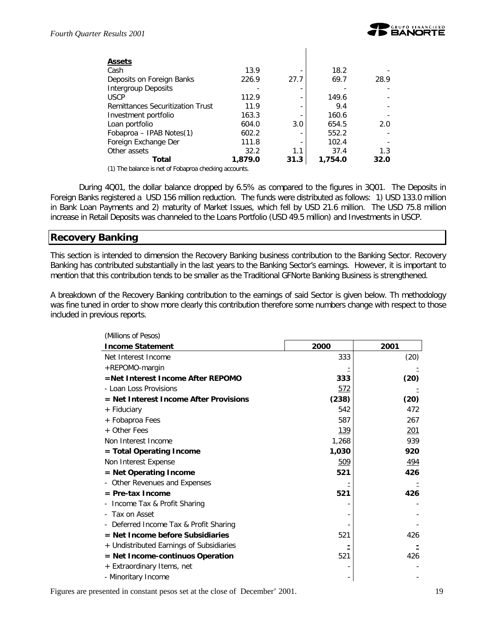| <b>Assets</b>                           |         |      |         |      |
|-----------------------------------------|---------|------|---------|------|
| Cash                                    | 13.9    |      | 18.2    |      |
| Deposits on Foreign Banks               | 226.9   | 27.7 | 69.7    | 28.9 |
| Intergroup Deposits                     |         |      |         |      |
| <b>USCP</b>                             | 112.9   |      | 149.6   |      |
| <b>Remittances Securitization Trust</b> | 11.9    |      | 9.4     |      |
| Investment portfolio                    | 163.3   |      | 160.6   |      |
| Loan portfolio                          | 604.0   | 3.0  | 654.5   | 2.0  |
| Fobaproa – IPAB Notes(1)                | 602.2   |      | 552.2   |      |
| Foreign Exchange Der                    | 111.8   |      | 102.4   |      |
| Other assets                            | 32.2    | 1.1  | 37.4    | 1.3  |
| Total                                   | 1,879.0 | 31.3 | 1,754.0 | 32.0 |
| $\sim$ $\sim$ $\sim$                    |         |      |         |      |

(1) The balance is net of Fobaproa checking accounts.

During 4Q01, the dollar balance dropped by 6.5% as compared to the figures in 3Q01. The Deposits in Foreign Banks registered a USD 156 million reduction. The funds were distributed as follows: 1) USD 133.0 million in Bank Loan Payments and 2) maturity of Market Issues, which fell by USD 21.6 million. The USD 75.8 million increase in Retail Deposits was channeled to the Loans Portfolio (USD 49.5 million) and Investments in USCP.

### **Recovery Banking**

This section is intended to dimension the Recovery Banking business contribution to the Banking Sector. Recovery Banking has contributed substantially in the last years to the Banking Sector's earnings. However, it is important to mention that this contribution tends to be smaller as the Traditional GFNorte Banking Business is strengthened.

A breakdown of the Recovery Banking contribution to the earnings of said Sector is given below. Th methodology was fine tuned in order to show more clearly this contribution therefore some numbers change with respect to those included in previous reports.

| (Millions of Pesos)                      |             |            |
|------------------------------------------|-------------|------------|
| <b>Income Statement</b>                  | 2000        | 2001       |
| Net Interest Income                      | 333         | (20)       |
| +REPOMO-margin                           |             |            |
| =Net Interest Income After REPOMO        | 333         | (20)       |
| - Loan Loss Provisions                   | <u>572</u>  |            |
| = Net Interest Income After Provisions   | (238)       | (20)       |
| + Fiduciary                              | 542         | 472        |
| + Fobaproa Fees                          | 587         | 267        |
| + Other Fees                             | <u> 139</u> | 201        |
| Non Interest Income                      | 1,268       | 939        |
| = Total Operating Income                 | 1,030       | 920        |
| Non Interest Expense                     | <u>509</u>  | <u>494</u> |
| = Net Operating Income                   | 521         | 426        |
| Other Revenues and Expenses              |             |            |
| $=$ Pre-tax Income                       | 521         | 426        |
| Income Tax & Profit Sharing              |             |            |
| - Tax on Asset                           |             |            |
| - Deferred Income Tax & Profit Sharing   |             |            |
| = Net Income before Subsidiaries         | 521         | 426        |
| + Undistributed Earnings of Subsidiaries |             |            |
| = Net Income-continuos Operation         | 521         | 426        |
| + Extraordinary Items, net               |             |            |
| - Minoritary Income                      |             |            |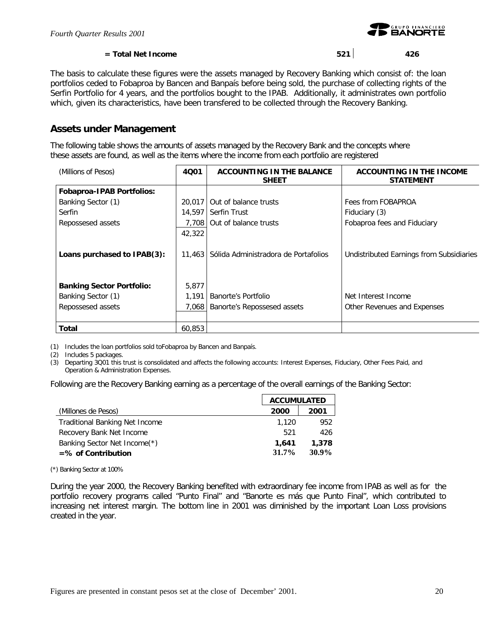

### **= Total Net Income 521 426**

The basis to calculate these figures were the assets managed by Recovery Banking which consist of: the loan portfolios ceded to Fobaproa by Bancen and Banpaís before being sold, the purchase of collecting rights of the Serfin Portfolio for 4 years, and the portfolios bought to the IPAB. Additionally, it administrates own portfolio which, given its characteristics, have been transfered to be collected through the Recovery Banking.

### **Assets under Management**

The following table shows the amounts of assets managed by the Recovery Bank and the concepts where these assets are found, as well as the items where the income from each portfolio are registered

| (Millions of Pesos)              | 4001   | ACCOUNTING IN THE BALANCE<br><b>SHEET</b> | ACCOUNTING IN THE INCOME<br><b>STATEMENT</b> |
|----------------------------------|--------|-------------------------------------------|----------------------------------------------|
| <b>Fobaproa-IPAB Portfolios:</b> |        |                                           |                                              |
| Banking Sector (1)               | 20,017 | Out of balance trusts                     | Fees from FOBAPROA                           |
| Serfin                           | 14.597 | Serfin Trust                              | Fiduciary (3)                                |
| Repossesed assets                | 7,708  | Out of balance trusts                     | Fobaproa fees and Fiduciary                  |
|                                  | 42,322 |                                           |                                              |
| Loans purchased to IPAB(3):      | 11.463 | Sólida Administradora de Portafolios      | Undistributed Earnings from Subsidiaries     |
| <b>Banking Sector Portfolio:</b> | 5,877  |                                           |                                              |
| Banking Sector (1)               | 1.191  | Banorte's Portfolio                       | Net Interest Income                          |
| Repossesed assets                | 7,068  | Banorte's Repossesed assets               | Other Revenues and Expenses                  |
|                                  |        |                                           |                                              |
| <b>Total</b>                     | 60.853 |                                           |                                              |

(1) Includes the loan portfolios sold toFobaproa by Bancen and Banpaís.

(2) Includes 5 packages.

(3) Departing 3Q01 this trust is consolidated and affects the following accounts: Interest Expenses, Fiduciary, Other Fees Paid, and Operation & Administration Expenses.

Following are the Recovery Banking earning as a percentage of the overall earnings of the Banking Sector:

|                                       | <b>ACCUMULATED</b> |          |
|---------------------------------------|--------------------|----------|
| (Millones de Pesos)                   | 2000               | 2001     |
| <b>Traditional Banking Net Income</b> | 1.120              | 952      |
| Recovery Bank Net Income              | 521                | 426      |
| Banking Sector Net Income(*)          | 1,641              | 1,378    |
| $=$ % of Contribution                 | $31.7\%$           | $30.9\%$ |

(\*) Banking Sector at 100%

During the year 2000, the Recovery Banking benefited with extraordinary fee income from IPAB as well as for the portfolio recovery programs called "Punto Final" and "Banorte es más que Punto Final", which contributed to increasing net interest margin. The bottom line in 2001 was diminished by the important Loan Loss provisions created in the year.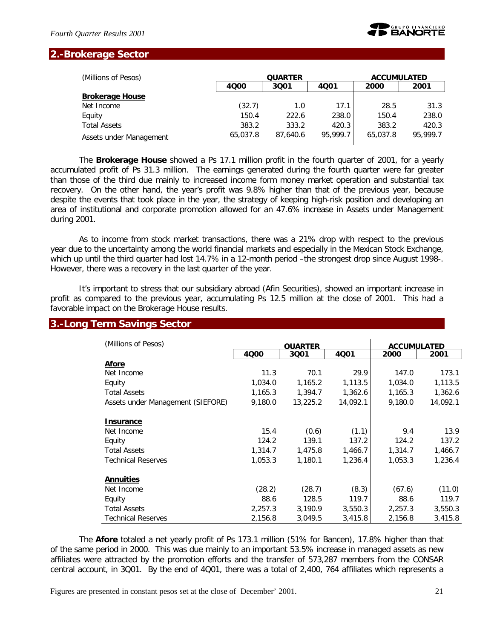

### **2.-Brokerage Sector**

| (Millions of Pesos)     | <b>QUARTER</b><br>4000<br>3001<br>4001 |          |          | <b>ACCUMULATED</b> |          |  |
|-------------------------|----------------------------------------|----------|----------|--------------------|----------|--|
|                         |                                        |          |          | 2000               | 2001     |  |
| <b>Brokerage House</b>  |                                        |          |          |                    |          |  |
| Net Income              | (32.7)                                 | 1.0      | 17.1     | 28.5               | 31.3     |  |
| Equity                  | 150.4                                  | 222.6    | 238.0    | 150.4              | 238.0    |  |
| <b>Total Assets</b>     | 383.2                                  | 333.2    | 420.3    | 383.2              | 420.3    |  |
| Assets under Management | 65,037.8                               | 87.640.6 | 95,999.7 | 65,037.8           | 95,999.7 |  |

The *Brokerage House* showed a Ps 17.1 million profit in the fourth quarter of 2001, for a yearly accumulated profit of Ps 31.3 million. The earnings generated during the fourth quarter were far greater than those of the third due mainly to increased income form money market operation and substantial tax recovery. On the other hand, the year's profit was 9.8% higher than that of the previous year, because despite the events that took place in the year, the strategy of keeping high-risk position and developing an area of institutional and corporate promotion allowed for an 47.6% increase in Assets under Management during 2001.

As to income from stock market transactions, there was a 21% drop with respect to the previous year due to the uncertainty among the world financial markets and especially in the Mexican Stock Exchange, which up until the third quarter had lost 14.7% in a 12-month period –the strongest drop since August 1998-. However, there was a recovery in the last quarter of the year.

It's important to stress that our subsidiary abroad (Afin Securities), showed an important increase in profit as compared to the previous year, accumulating Ps 12.5 million at the close of 2001. This had a favorable impact on the Brokerage House results.

### **3.-Long Term Savings Sector**

| (Millions of Pesos)               |         | <b>QUARTER</b> |          | <b>ACCUMULATED</b> |          |
|-----------------------------------|---------|----------------|----------|--------------------|----------|
|                                   | 4000    | 3001           | 4001     | 2000               | 2001     |
| <b>Afore</b>                      |         |                |          |                    |          |
| Net Income                        | 11.3    | 70.1           | 29.9     | 147.0              | 173.1    |
| Equity                            | 1,034.0 | 1,165.2        | 1,113.5  | 1,034.0            | 1,113.5  |
| <b>Total Assets</b>               | 1,165.3 | 1,394.7        | 1,362.6  | 1,165.3            | 1,362.6  |
| Assets under Management (SIEFORE) | 9,180.0 | 13,225.2       | 14,092.1 | 9,180.0            | 14,092.1 |
| <b>Insurance</b>                  |         |                |          |                    |          |
| Net Income                        | 15.4    | (0.6)          | (1.1)    | 9.4                | 13.9     |
| Equity                            | 124.2   | 139.1          | 137.2    | 124.2              | 137.2    |
| <b>Total Assets</b>               | 1,314.7 | 1,475.8        | 1,466.7  | 1,314.7            | 1,466.7  |
| <b>Technical Reserves</b>         | 1,053.3 | 1,180.1        | 1,236.4  | 1,053.3            | 1,236.4  |
| <b>Annuities</b>                  |         |                |          |                    |          |
| Net Income                        | (28.2)  | (28.7)         | (8.3)    | (67.6)             | (11.0)   |
| Equity                            | 88.6    | 128.5          | 119.7    | 88.6               | 119.7    |
| <b>Total Assets</b>               | 2,257.3 | 3,190.9        | 3,550.3  | 2,257.3            | 3,550.3  |
| <b>Technical Reserves</b>         | 2,156.8 | 3,049.5        | 3,415.8  | 2,156.8            | 3,415.8  |

The *Afore* totaled a net yearly profit of Ps 173.1 million (51% for Bancen), 17.8% higher than that of the same period in 2000. This was due mainly to an important 53.5% increase in managed assets as new affiliates were attracted by the promotion efforts and the transfer of 573,287 members from the CONSAR central account, in 3Q01. By the end of 4Q01, there was a total of 2,400, 764 affiliates which represents a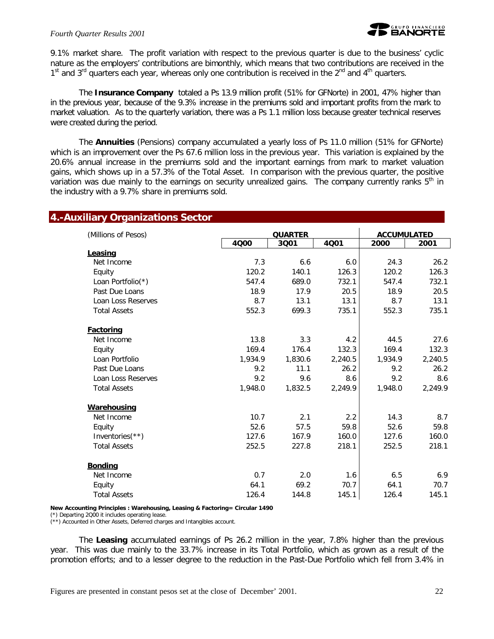9.1% market share. The profit variation with respect to the previous quarter is due to the business' cyclic nature as the employers' contributions are bimonthly, which means that two contributions are received in the  $1<sup>st</sup>$  and  $3<sup>rd</sup>$  quarters each year, whereas only one contribution is received in the  $2<sup>nd</sup>$  and  $4<sup>th</sup>$  quarters.

The *Insurance Company* totaled a Ps 13.9 million profit (51% for GFNorte) in 2001, 47% higher than in the previous year, because of the 9.3% increase in the premiums sold and important profits from the mark to market valuation. As to the quarterly variation, there was a Ps 1.1 million loss because greater technical reserves were created during the period.

The *Annuities* (Pensions) company accumulated a yearly loss of Ps 11.0 million (51% for GFNorte) which is an improvement over the Ps 67.6 million loss in the previous year. This variation is explained by the 20.6% annual increase in the premiums sold and the important earnings from mark to market valuation gains, which shows up in a 57.3% of the Total Asset. In comparison with the previous quarter, the positive variation was due mainly to the earnings on security unrealized gains. The company currently ranks  $5<sup>th</sup>$  in the industry with a 9.7% share in premiums sold.

| (Millions of Pesos) |         | <b>QUARTER</b> |         | <b>ACCUMULATED</b> |         |
|---------------------|---------|----------------|---------|--------------------|---------|
|                     | 4000    | 3Q01           | 4Q01    | 2000               | 2001    |
| Leasing             |         |                |         |                    |         |
| Net Income          | 7.3     | 6.6            | 6.0     | 24.3               | 26.2    |
| Equity              | 120.2   | 140.1          | 126.3   | 120.2              | 126.3   |
| Loan Portfolio(*)   | 547.4   | 689.0          | 732.1   | 547.4              | 732.1   |
| Past Due Loans      | 18.9    | 17.9           | 20.5    | 18.9               | 20.5    |
| Loan Loss Reserves  | 8.7     | 13.1           | 13.1    | 8.7                | 13.1    |
| <b>Total Assets</b> | 552.3   | 699.3          | 735.1   | 552.3              | 735.1   |
| Factoring           |         |                |         |                    |         |
| Net Income          | 13.8    | 3.3            | 4.2     | 44.5               | 27.6    |
| Equity              | 169.4   | 176.4          | 132.3   | 169.4              | 132.3   |
| Loan Portfolio      | 1,934.9 | 1,830.6        | 2,240.5 | 1,934.9            | 2,240.5 |
| Past Due Loans      | 9.2     | 11.1           | 26.2    | 9.2                | 26.2    |
| Loan Loss Reserves  | 9.2     | 9.6            | 8.6     | 9.2                | 8.6     |
| <b>Total Assets</b> | 1,948.0 | 1,832.5        | 2,249.9 | 1,948.0            | 2,249.9 |
| Warehousing         |         |                |         |                    |         |
| Net Income          | 10.7    | 2.1            | 2.2     | 14.3               | 8.7     |
| Equity              | 52.6    | 57.5           | 59.8    | 52.6               | 59.8    |
| Inventories(**)     | 127.6   | 167.9          | 160.0   | 127.6              | 160.0   |
| <b>Total Assets</b> | 252.5   | 227.8          | 218.1   | 252.5              | 218.1   |
| <b>Bonding</b>      |         |                |         |                    |         |
| Net Income          | 0.7     | 2.0            | 1.6     | 6.5                | 6.9     |
| Equity              | 64.1    | 69.2           | 70.7    | 64.1               | 70.7    |
| <b>Total Assets</b> | 126.4   | 144.8          | 145.1   | 126.4              | 145.1   |

#### **New Accounting Principles : Warehousing, Leasing & Factoring= Circular 1490**

(\*) Departing 2Q00 it includes operating lease.

(\*\*) Accounted in Other Assets, Deferred charges and Intangibles account.

The *Leasing* accumulated earnings of Ps 26.2 million in the year, 7.8% higher than the previous year. This was due mainly to the 33.7% increase in its Total Portfolio, which as grown as a result of the promotion efforts; and to a lesser degree to the reduction in the Past-Due Portfolio which fell from 3.4% in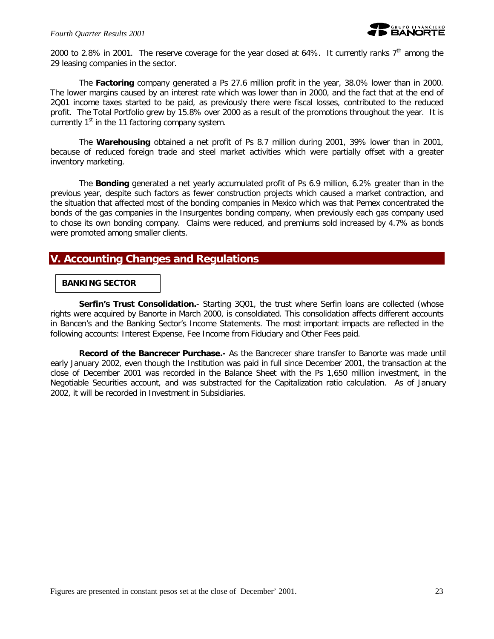2000 to 2.8% in 2001. The reserve coverage for the year closed at 64%. It currently ranks  $7<sup>th</sup>$  among the 29 leasing companies in the sector.

The *Factoring* company generated a Ps 27.6 million profit in the year, 38.0% lower than in 2000. The lower margins caused by an interest rate which was lower than in 2000, and the fact that at the end of 2Q01 income taxes started to be paid, as previously there were fiscal losses, contributed to the reduced profit. The Total Portfolio grew by 15.8% over 2000 as a result of the promotions throughout the year. It is currently  $1<sup>st</sup>$  in the 11 factoring company system.

The *Warehousing* obtained a net profit of Ps 8.7 million during 2001, 39% lower than in 2001, because of reduced foreign trade and steel market activities which were partially offset with a greater inventory marketing.

The *Bonding* generated a net yearly accumulated profit of Ps 6.9 million, 6.2% greater than in the previous year, despite such factors as fewer construction projects which caused a market contraction, and the situation that affected most of the bonding companies in Mexico which was that Pemex concentrated the bonds of the gas companies in the Insurgentes bonding company, when previously each gas company used to chose its own bonding company. Claims were reduced, and premiums sold increased by 4.7% as bonds were promoted among smaller clients.

### **V. Accounting Changes and Regulations**

#### **BANKING SECTOR**

**Serfin's Trust Consolidation.**- Starting 3001, the trust where Serfin loans are collected (whose rights were acquired by Banorte in March 2000, is consoldiated. This consolidation affects different accounts in Bancen's and the Banking Sector's Income Statements. The most important impacts are reflected in the following accounts: Interest Expense, Fee Income from Fiduciary and Other Fees paid.

*Record of the Bancrecer Purchase.-* As the Bancrecer share transfer to Banorte was made until early January 2002, even though the Institution was paid in full since December 2001, the transaction at the close of December 2001 was recorded in the Balance Sheet with the Ps 1,650 million investment, in the Negotiable Securities account, and was substracted for the Capitalization ratio calculation. As of January 2002, it will be recorded in Investment in Subsidiaries.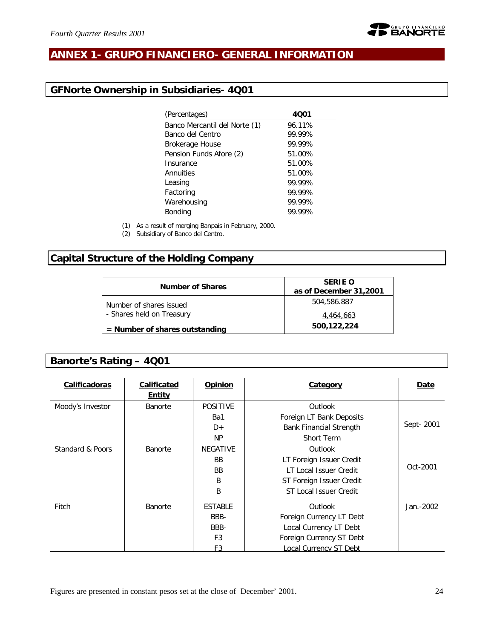

# **ANNEX 1- GRUPO FINANCIERO- GENERAL INFORMATION**

# **GFNorte Ownership in Subsidiaries- 4Q01**

| (Percentages)                 | 4001   |
|-------------------------------|--------|
| Banco Mercantil del Norte (1) | 96.11% |
| Banco del Centro              | 99.99% |
| <b>Brokerage House</b>        | 99.99% |
| Pension Funds Afore (2)       | 51.00% |
| Insurance                     | 51.00% |
| Annuities                     | 51.00% |
| Leasing                       | 99.99% |
| Factoring                     | 99.99% |
| Warehousing                   | 99.99% |
| Bonding                       | 99.99% |
|                               |        |

(1) As a result of merging Banpaís in February, 2000.

(2) Subsidiary of Banco del Centro.

# **Capital Structure of the Holding Company**

| <b>Number of Shares</b>          | <b>SERIE O</b><br>as of December 31,2001 |
|----------------------------------|------------------------------------------|
| Number of shares issued          | 504,586.887                              |
| - Shares held on Treasury        | 4.464.663                                |
| $=$ Number of shares outstanding | 500,122,224                              |

# **Banorte's Rating – 4Q01**

| Calificadoras    | <b>Calificated</b><br><b>Entity</b> | Opinion         | Category                       | Date      |
|------------------|-------------------------------------|-----------------|--------------------------------|-----------|
| Moody's Investor | Banorte                             | <b>POSITIVE</b> | Outlook                        |           |
|                  |                                     | Ba1             | Foreign LT Bank Deposits       |           |
|                  |                                     | $D+$            | <b>Bank Financial Strength</b> | Sept-2001 |
|                  |                                     | <b>NP</b>       | <b>Short Term</b>              |           |
| Standard & Poors | <b>Banorte</b>                      | <b>NEGATIVE</b> | Outlook                        |           |
|                  |                                     | <b>BB</b>       | LT Foreign Issuer Credit       |           |
|                  |                                     | <b>BB</b>       | LT Local Issuer Credit         | Oct-2001  |
|                  |                                     | B               | ST Foreign Issuer Credit       |           |
|                  |                                     | B               | ST Local Issuer Credit         |           |
| Fitch            | Banorte                             | <b>ESTABLE</b>  | Outlook                        | Jan.-2002 |
|                  |                                     | BBB-            | Foreign Currency LT Debt       |           |
|                  |                                     | BBB-            | Local Currency LT Debt         |           |
|                  |                                     | F <sub>3</sub>  | Foreign Currency ST Debt       |           |
|                  |                                     | F3              | ocal Currency ST Debt          |           |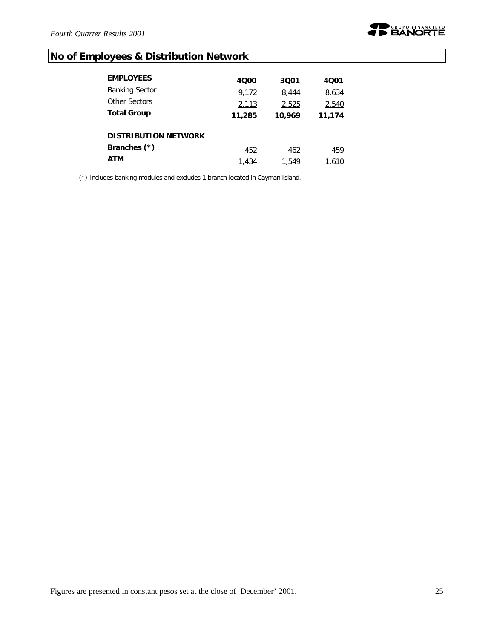

# **No of Employees & Distribution Network**

| <b>EMPLOYEES</b>            | 4000   | 3001   | 4001   |
|-----------------------------|--------|--------|--------|
| <b>Banking Sector</b>       | 9,172  | 8,444  | 8,634  |
| Other Sectors               | 2,113  | 2,525  | 2,540  |
| <b>Total Group</b>          | 11,285 | 10,969 | 11,174 |
| <b>DISTRIBUTION NETWORK</b> |        |        |        |
| Branches (*)                | 452    | 462    | 459    |
| ATM                         | 1.434  | 1.549  | 1.610  |

(\*) Includes banking modules and excludes 1 branch located in Cayman Island.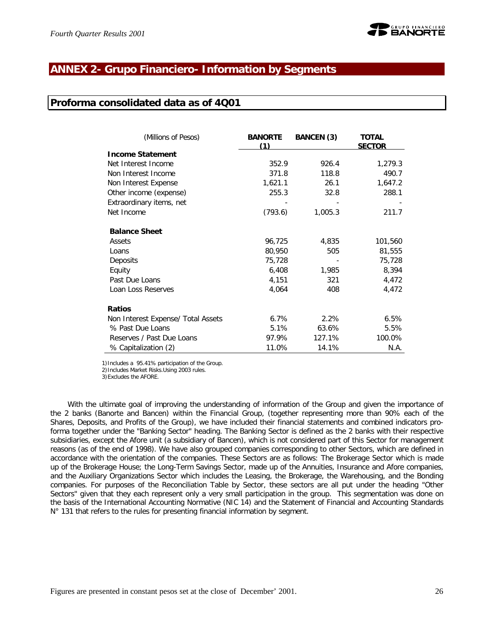### **ANNEX 2- Grupo Financiero- Information by Segments**

### **Proforma consolidated data as of 4Q01**

| (Millions of Pesos)                | <b>BANORTE</b><br>(1) | <b>BANCEN (3)</b> | <b>TOTAL</b><br><b>SECTOR</b> |
|------------------------------------|-----------------------|-------------------|-------------------------------|
| <b>Income Statement</b>            |                       |                   |                               |
| Net Interest Income                | 352.9                 | 926.4             | 1,279.3                       |
| Non Interest Income                | 371.8                 | 118.8             | 490.7                         |
| Non Interest Expense               | 1,621.1               | 26.1              | 1,647.2                       |
| Other income (expense)             | 255.3                 | 32.8              | 288.1                         |
| Extraordinary items, net           |                       |                   |                               |
| Net Income                         | (793.6)               | 1,005.3           | 211.7                         |
| <b>Balance Sheet</b>               |                       |                   |                               |
| Assets                             | 96,725                | 4,835             | 101,560                       |
| Loans                              | 80,950                | 505               | 81,555                        |
| Deposits                           | 75,728                |                   | 75,728                        |
| Equity                             | 6,408                 | 1,985             | 8,394                         |
| Past Due Loans                     | 4,151                 | 321               | 4,472                         |
| Loan Loss Reserves                 | 4,064                 | 408               | 4,472                         |
| <b>Ratios</b>                      |                       |                   |                               |
| Non Interest Expense/ Total Assets | 6.7%                  | 2.2%              | 6.5%                          |
| % Past Due Loans                   | 5.1%                  | 63.6%             | 5.5%                          |
| Reserves / Past Due Loans          | 97.9%                 | 127.1%            | 100.0%                        |
| % Capitalization (2)               | 11.0%                 | 14.1%             | N.A.                          |

1)Includes a 95.41% participation of the Group.

2)Includes Market Risks.Using 2003 rules.

3)Excludes the AFORE.

With the ultimate goal of improving the understanding of information of the Group and given the importance of the 2 banks (Banorte and Bancen) within the Financial Group, (together representing more than 90% each of the Shares, Deposits, and Profits of the Group), we have included their financial statements and combined indicators proforma together under the "Banking Sector" heading. The Banking Sector is defined as the 2 banks with their respective subsidiaries, except the Afore unit (a subsidiary of Bancen), which is not considered part of this Sector for management reasons (as of the end of 1998). We have also grouped companies corresponding to other Sectors, which are defined in accordance with the orientation of the companies. These Sectors are as follows: The Brokerage Sector which is made up of the Brokerage House; the Long-Term Savings Sector, made up of the Annuities, Insurance and Afore companies, and the Auxiliary Organizations Sector which includes the Leasing, the Brokerage, the Warehousing, and the Bonding companies. For purposes of the Reconciliation Table by Sector, these sectors are all put under the heading "Other Sectors" given that they each represent only a very small participation in the group. This segmentation was done on the basis of the International Accounting Normative (NIC 14) and the Statement of Financial and Accounting Standards N° 131 that refers to the rules for presenting financial information by segment.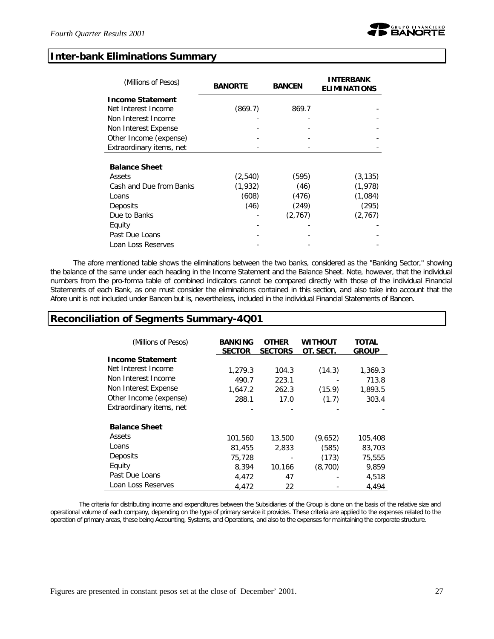### **Inter-bank Eliminations Summary**

| (Millions of Pesos)      | <b>BANORTE</b> | <b>BANCEN</b> | <b>INTERBANK</b><br><b>ELIMINATIONS</b> |
|--------------------------|----------------|---------------|-----------------------------------------|
| <b>Income Statement</b>  |                |               |                                         |
| Net Interest Income      | (869.7)        | 869.7         |                                         |
| Non Interest Income      |                |               |                                         |
| Non Interest Expense     |                |               |                                         |
| Other Income (expense)   |                |               |                                         |
| Extraordinary items, net |                |               |                                         |
| <b>Balance Sheet</b>     |                |               |                                         |
| Assets                   | (2, 540)       | (595)         | (3, 135)                                |
| Cash and Due from Banks  | (1,932)        | (46)          | (1,978)                                 |
| Loans                    | (608)          | (476)         | (1,084)                                 |
| Deposits                 | (46)           | (249)         | (295)                                   |
| Due to Banks             |                | (2,767)       | (2, 767)                                |
| Equity                   |                |               |                                         |
| Past Due Loans           |                |               |                                         |
| Loan Loss Reserves       |                |               |                                         |

The afore mentioned table shows the eliminations between the two banks, considered as the "Banking Sector," showing the balance of the same under each heading in the Income Statement and the Balance Sheet. Note, however, that the individual numbers from the pro-forma table of combined indicators cannot be compared directly with those of the individual Financial Statements of each Bank, as one must consider the eliminations contained in this section, and also take into account that the Afore unit is not included under Bancen but *i*s, nevertheless, included in the individual Financial Statements of Bancen.

### **Reconciliation of Segments Summary-4Q01**

| (Millions of Pesos)      | <b>BANKING</b><br><b>SECTOR</b> | <b>OTHER</b><br><b>SECTORS</b> | WITHOUT<br>OT. SECT. | <b>TOTAL</b><br><b>GROUP</b> |
|--------------------------|---------------------------------|--------------------------------|----------------------|------------------------------|
| <b>Income Statement</b>  |                                 |                                |                      |                              |
| Net Interest Income      | 1,279.3                         | 104.3                          | (14.3)               | 1,369.3                      |
| Non Interest Income      | 490.7                           | 223.1                          |                      | 713.8                        |
| Non Interest Expense     | 1.647.2                         | 262.3                          | (15.9)               | 1,893.5                      |
| Other Income (expense)   | 288.1                           | 17.0                           | (1.7)                | 303.4                        |
| Extraordinary items, net |                                 |                                |                      |                              |
| <b>Balance Sheet</b>     |                                 |                                |                      |                              |
| Assets                   | 101,560                         | 13,500                         | (9,652)              | 105,408                      |
| Loans                    | 81,455                          | 2,833                          | (585)                | 83,703                       |
| Deposits                 | 75,728                          |                                | (173)                | 75,555                       |
| Equity                   | 8,394                           | 10,166                         | (8,700)              | 9.859                        |
| Past Due Loans           | 4,472                           | 47                             |                      | 4,518                        |
| Loan Loss Reserves       | 4,472                           | 22                             |                      | 4,494                        |

The criteria for distributing income and expenditures between the Subsidiaries of the Group is done on the basis of the relative size and operational volume of each company, depending on the type of primary service it provides. These criteria are applied to the expenses related to the operation of primary areas, these being Accounting, Systems, and Operations, and also to the expenses for maintaining the corporate structure.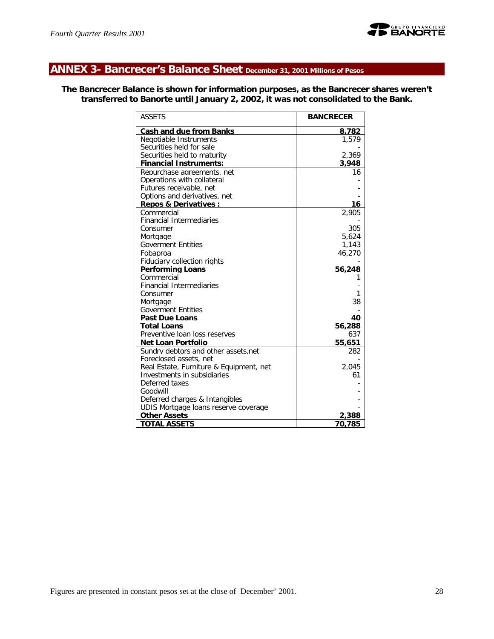

# **ANNEX 3- Bancrecer's Balance Sheet December 31, 2001 Millions of Pesos**

**The Bancrecer Balance is shown for information purposes, as the Bancrecer shares weren't transferred to Banorte until January 2, 2002, it was not consolidated to the Bank.**

| <b>ASSETS</b>                           | <b>BANCRECER</b> |
|-----------------------------------------|------------------|
| <b>Cash and due from Banks</b>          | 8,782            |
| Negotiable Instruments                  | 1.579            |
| Securities held for sale                |                  |
| Securities held to maturity             | 2,369            |
| <b>Financial Instruments:</b>           | 3,948            |
| Repurchase agreements, net              | 16               |
| Operations with collateral              |                  |
| Futures receivable, net                 |                  |
| Options and derivatives, net            |                  |
| <b>Repos &amp; Derivatives:</b>         | 16               |
| Commercial                              | 2.905            |
| <b>Financial Intermediaries</b>         |                  |
| Consumer                                | 305              |
| Mortgage<br><b>Goverment Entities</b>   | 5,624<br>1,143   |
| Fobaproa                                | 46,270           |
| Fiduciary collection rights             |                  |
| <b>Performing Loans</b>                 | 56,248           |
| Commercial                              |                  |
| <b>Financial Intermediaries</b>         |                  |
| Consumer                                | 1                |
| Mortgage                                | 38               |
| <b>Goverment Entities</b>               |                  |
| <b>Past Due Loans</b>                   | 40               |
| <b>Total Loans</b>                      | 56,288           |
| Preventive loan loss reserves           | 637              |
| <b>Net Loan Portfolio</b>               | 55,651           |
| Sundry debtors and other assets.net     | 282              |
| Foreclosed assets, net                  |                  |
| Real Estate, Furniture & Equipment, net | 2.045            |
| Investments in subsidiaries             | 61               |
| Deferred taxes                          |                  |
| Goodwill                                |                  |
| Deferred charges & Intangibles          |                  |
| UDIS Mortgage loans reserve coverage    |                  |
| <b>Other Assets</b>                     | 2,388            |
| <b>TOTAL ASSETS</b>                     | 70.785           |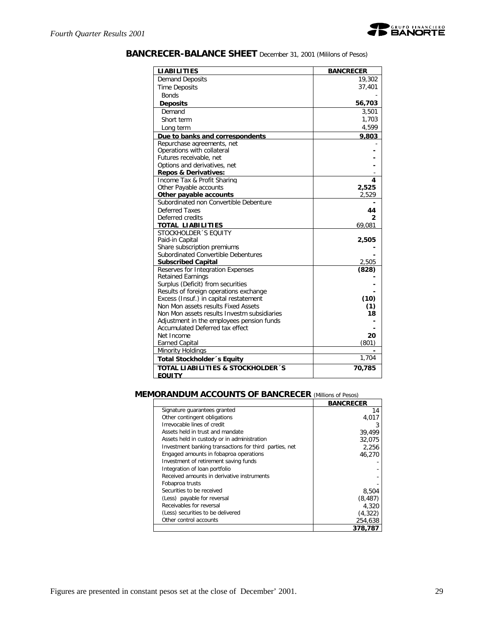

| <b>BANCRECER-BALANCE SHEET</b> December 31, 2001 (Mililons of Pesos) |  |  |  |
|----------------------------------------------------------------------|--|--|--|
|----------------------------------------------------------------------|--|--|--|

| <b>LIABILITIES</b>                                            | <b>BANCRECER</b> |
|---------------------------------------------------------------|------------------|
| <b>Demand Deposits</b>                                        | 19,302           |
| <b>Time Deposits</b>                                          | 37,401           |
| <b>Bonds</b>                                                  |                  |
| <b>Deposits</b>                                               | 56,703           |
| Demand                                                        | 3,501            |
| Short term                                                    | 1,703            |
| Long term                                                     | 4,599            |
| Due to banks and correspondents                               | 9,803            |
| Repurchase agreements, net                                    |                  |
| Operations with collateral                                    |                  |
| Futures receivable, net                                       |                  |
| Options and derivatives, net                                  |                  |
| <b>Repos &amp; Derivatives:</b>                               |                  |
| Income Tax & Profit Sharing                                   | 4                |
| Other Payable accounts                                        | 2,525            |
| Other payable accounts                                        | 2,529            |
| Subordinated non Convertible Debenture                        |                  |
| Deferred Taxes                                                | 44               |
| Deferred credits                                              | 2                |
| <b>TOTAL LIABILITIES</b>                                      | 69,081           |
| STOCKHOLDER 'S EQUITY                                         |                  |
| Paid-in Capital<br>Share subscription premiums                | 2,505            |
| Subordinated Convertible Debentures                           |                  |
| <b>Subscribed Capital</b>                                     | 2,505            |
| Reserves for Integration Expenses                             | (828)            |
| <b>Retained Earnings</b>                                      |                  |
| Surplus (Deficit) from securities                             |                  |
| Results of foreign operations exchange                        |                  |
| Excess (Insuf.) in capital restatement                        | (10)             |
| Non Mon assets results Fixed Assets                           | (1)              |
| Non Mon assets results Investm subsidiaries                   | 18               |
| Adjustment in the employees pension funds                     |                  |
| Accumulated Deferred tax effect                               |                  |
| Net Income                                                    | 20               |
| <b>Earned Capital</b>                                         | (801)            |
| <b>Minority Holdings</b>                                      |                  |
| Total Stockholder's Equity                                    | 1,704            |
| <b>TOTAL LIABILITIES &amp; STOCKHOLDER'S</b><br><b>FOULTY</b> | 70,785           |

# **MEMORANDUM ACCOUNTS OF BANCRECER** *(Millions of Pesos)*

|                                                        | <b>BANCRECER</b> |
|--------------------------------------------------------|------------------|
| Signature guarantees granted                           | 14               |
| Other contingent obligations                           | 4,017            |
| Irrevocable lines of credit                            |                  |
| Assets held in trust and mandate                       | 39.499           |
| Assets held in custody or in administration            | 32.075           |
| Investment banking transactions for third parties, net | 2,256            |
| Engaged amounts in fobaproa operations                 | 46.270           |
| Investment of retirement saving funds                  |                  |
| Integration of loan portfolio                          |                  |
| Received amounts in derivative instruments             |                  |
| Fobaproa trusts                                        |                  |
| Securities to be received                              | 8,504            |
| (Less) payable for reversal                            | (8, 487)         |
| Receivables for reversal                               | 4.320            |
| (Less) securities to be delivered                      | (4,322)          |
| Other control accounts                                 | 254,638          |
|                                                        | 378,787          |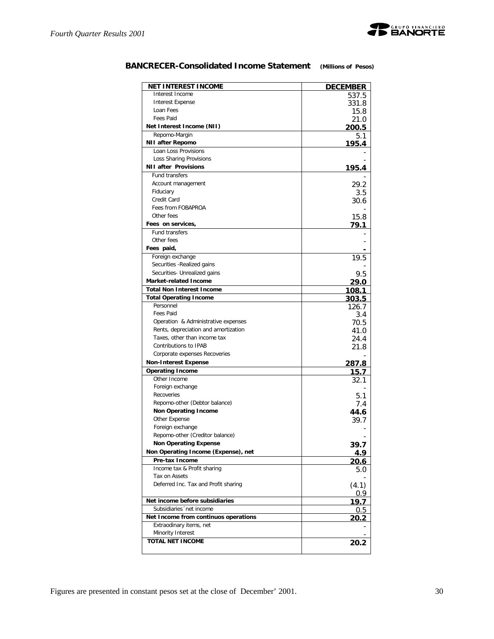

| Interest Income<br><b>Interest Expense</b><br>331.8<br>Loan Fees<br>Fees Paid<br>21.0<br>Net Interest Income (NII)<br>Repomo-Margin<br>NII after Repomo<br>195.4<br>Loan Loss Provisions<br>Loss Sharing Provisions<br><b>NII after Provisions</b><br>195.4<br><b>Fund transfers</b><br>Account management<br>Fiduciary<br>Credit Card<br>Fees from FOBAPROA<br>Other fees<br>Fees on services,<br><b>Fund transfers</b><br>Other fees<br>Fees paid,<br>Foreign exchange<br>Securities - Realized gains<br>Securities- Unrealized gains<br>9.5<br>Market-related Income<br>29.0<br><b>Total Non Interest Income</b><br><u> 108.1</u><br><b>Total Operating Income</b><br>303.5<br>Personnel<br>126.7<br>Fees Paid<br>3.4<br>Operation & Administrative expenses<br>70.5<br>Rents, depreciation and amortization<br>41.0<br>Taxes, other than income tax<br>24.4<br>Contributions to IPAB<br>21.8<br>Corporate expenses Recoveries<br><b>Non-Interest Expense</b><br>287.8<br><b>Operating Income</b><br>Other Income<br>Foreign exchange<br>Recoveries<br>Repomo-other (Debtor balance)<br><b>Non Operating Income</b><br>Other Expense<br>Foreign exchange<br>Repomo-other (Creditor balance)<br><b>Non Operating Expense</b><br>Non Operating Income (Expense), net<br>Pre-tax Income<br>Income tax & Profit sharing<br>Tax on Assets<br>Deferred Inc. Tax and Profit sharing<br>0.9<br>Net income before subsidiaries<br>Subsidiaries 'net income<br>Net Income from continuos operations<br>Extraodinary items, net<br>Minority Interest<br><b>TOTAL NET INCOME</b> | <b>NET INTEREST INCOME</b> | <u>DECEMBER</u> |
|-------------------------------------------------------------------------------------------------------------------------------------------------------------------------------------------------------------------------------------------------------------------------------------------------------------------------------------------------------------------------------------------------------------------------------------------------------------------------------------------------------------------------------------------------------------------------------------------------------------------------------------------------------------------------------------------------------------------------------------------------------------------------------------------------------------------------------------------------------------------------------------------------------------------------------------------------------------------------------------------------------------------------------------------------------------------------------------------------------------------------------------------------------------------------------------------------------------------------------------------------------------------------------------------------------------------------------------------------------------------------------------------------------------------------------------------------------------------------------------------------------------------------------------------------------------------------|----------------------------|-----------------|
|                                                                                                                                                                                                                                                                                                                                                                                                                                                                                                                                                                                                                                                                                                                                                                                                                                                                                                                                                                                                                                                                                                                                                                                                                                                                                                                                                                                                                                                                                                                                                                         |                            | 537.5           |
|                                                                                                                                                                                                                                                                                                                                                                                                                                                                                                                                                                                                                                                                                                                                                                                                                                                                                                                                                                                                                                                                                                                                                                                                                                                                                                                                                                                                                                                                                                                                                                         |                            |                 |
|                                                                                                                                                                                                                                                                                                                                                                                                                                                                                                                                                                                                                                                                                                                                                                                                                                                                                                                                                                                                                                                                                                                                                                                                                                                                                                                                                                                                                                                                                                                                                                         |                            | 15.8            |
|                                                                                                                                                                                                                                                                                                                                                                                                                                                                                                                                                                                                                                                                                                                                                                                                                                                                                                                                                                                                                                                                                                                                                                                                                                                                                                                                                                                                                                                                                                                                                                         |                            |                 |
|                                                                                                                                                                                                                                                                                                                                                                                                                                                                                                                                                                                                                                                                                                                                                                                                                                                                                                                                                                                                                                                                                                                                                                                                                                                                                                                                                                                                                                                                                                                                                                         |                            | 200.5           |
|                                                                                                                                                                                                                                                                                                                                                                                                                                                                                                                                                                                                                                                                                                                                                                                                                                                                                                                                                                                                                                                                                                                                                                                                                                                                                                                                                                                                                                                                                                                                                                         |                            | 5.1             |
|                                                                                                                                                                                                                                                                                                                                                                                                                                                                                                                                                                                                                                                                                                                                                                                                                                                                                                                                                                                                                                                                                                                                                                                                                                                                                                                                                                                                                                                                                                                                                                         |                            |                 |
|                                                                                                                                                                                                                                                                                                                                                                                                                                                                                                                                                                                                                                                                                                                                                                                                                                                                                                                                                                                                                                                                                                                                                                                                                                                                                                                                                                                                                                                                                                                                                                         |                            |                 |
|                                                                                                                                                                                                                                                                                                                                                                                                                                                                                                                                                                                                                                                                                                                                                                                                                                                                                                                                                                                                                                                                                                                                                                                                                                                                                                                                                                                                                                                                                                                                                                         |                            |                 |
|                                                                                                                                                                                                                                                                                                                                                                                                                                                                                                                                                                                                                                                                                                                                                                                                                                                                                                                                                                                                                                                                                                                                                                                                                                                                                                                                                                                                                                                                                                                                                                         |                            |                 |
|                                                                                                                                                                                                                                                                                                                                                                                                                                                                                                                                                                                                                                                                                                                                                                                                                                                                                                                                                                                                                                                                                                                                                                                                                                                                                                                                                                                                                                                                                                                                                                         |                            | 29.2            |
|                                                                                                                                                                                                                                                                                                                                                                                                                                                                                                                                                                                                                                                                                                                                                                                                                                                                                                                                                                                                                                                                                                                                                                                                                                                                                                                                                                                                                                                                                                                                                                         |                            | 3.5             |
|                                                                                                                                                                                                                                                                                                                                                                                                                                                                                                                                                                                                                                                                                                                                                                                                                                                                                                                                                                                                                                                                                                                                                                                                                                                                                                                                                                                                                                                                                                                                                                         |                            | 30.6            |
|                                                                                                                                                                                                                                                                                                                                                                                                                                                                                                                                                                                                                                                                                                                                                                                                                                                                                                                                                                                                                                                                                                                                                                                                                                                                                                                                                                                                                                                                                                                                                                         |                            |                 |
|                                                                                                                                                                                                                                                                                                                                                                                                                                                                                                                                                                                                                                                                                                                                                                                                                                                                                                                                                                                                                                                                                                                                                                                                                                                                                                                                                                                                                                                                                                                                                                         |                            | 15.8            |
|                                                                                                                                                                                                                                                                                                                                                                                                                                                                                                                                                                                                                                                                                                                                                                                                                                                                                                                                                                                                                                                                                                                                                                                                                                                                                                                                                                                                                                                                                                                                                                         |                            | 79.1            |
|                                                                                                                                                                                                                                                                                                                                                                                                                                                                                                                                                                                                                                                                                                                                                                                                                                                                                                                                                                                                                                                                                                                                                                                                                                                                                                                                                                                                                                                                                                                                                                         |                            |                 |
|                                                                                                                                                                                                                                                                                                                                                                                                                                                                                                                                                                                                                                                                                                                                                                                                                                                                                                                                                                                                                                                                                                                                                                                                                                                                                                                                                                                                                                                                                                                                                                         |                            |                 |
|                                                                                                                                                                                                                                                                                                                                                                                                                                                                                                                                                                                                                                                                                                                                                                                                                                                                                                                                                                                                                                                                                                                                                                                                                                                                                                                                                                                                                                                                                                                                                                         |                            |                 |
|                                                                                                                                                                                                                                                                                                                                                                                                                                                                                                                                                                                                                                                                                                                                                                                                                                                                                                                                                                                                                                                                                                                                                                                                                                                                                                                                                                                                                                                                                                                                                                         |                            | 19.5            |
|                                                                                                                                                                                                                                                                                                                                                                                                                                                                                                                                                                                                                                                                                                                                                                                                                                                                                                                                                                                                                                                                                                                                                                                                                                                                                                                                                                                                                                                                                                                                                                         |                            |                 |
|                                                                                                                                                                                                                                                                                                                                                                                                                                                                                                                                                                                                                                                                                                                                                                                                                                                                                                                                                                                                                                                                                                                                                                                                                                                                                                                                                                                                                                                                                                                                                                         |                            |                 |
|                                                                                                                                                                                                                                                                                                                                                                                                                                                                                                                                                                                                                                                                                                                                                                                                                                                                                                                                                                                                                                                                                                                                                                                                                                                                                                                                                                                                                                                                                                                                                                         |                            |                 |
|                                                                                                                                                                                                                                                                                                                                                                                                                                                                                                                                                                                                                                                                                                                                                                                                                                                                                                                                                                                                                                                                                                                                                                                                                                                                                                                                                                                                                                                                                                                                                                         |                            |                 |
|                                                                                                                                                                                                                                                                                                                                                                                                                                                                                                                                                                                                                                                                                                                                                                                                                                                                                                                                                                                                                                                                                                                                                                                                                                                                                                                                                                                                                                                                                                                                                                         |                            |                 |
|                                                                                                                                                                                                                                                                                                                                                                                                                                                                                                                                                                                                                                                                                                                                                                                                                                                                                                                                                                                                                                                                                                                                                                                                                                                                                                                                                                                                                                                                                                                                                                         |                            |                 |
|                                                                                                                                                                                                                                                                                                                                                                                                                                                                                                                                                                                                                                                                                                                                                                                                                                                                                                                                                                                                                                                                                                                                                                                                                                                                                                                                                                                                                                                                                                                                                                         |                            |                 |
|                                                                                                                                                                                                                                                                                                                                                                                                                                                                                                                                                                                                                                                                                                                                                                                                                                                                                                                                                                                                                                                                                                                                                                                                                                                                                                                                                                                                                                                                                                                                                                         |                            |                 |
|                                                                                                                                                                                                                                                                                                                                                                                                                                                                                                                                                                                                                                                                                                                                                                                                                                                                                                                                                                                                                                                                                                                                                                                                                                                                                                                                                                                                                                                                                                                                                                         |                            |                 |
|                                                                                                                                                                                                                                                                                                                                                                                                                                                                                                                                                                                                                                                                                                                                                                                                                                                                                                                                                                                                                                                                                                                                                                                                                                                                                                                                                                                                                                                                                                                                                                         |                            |                 |
|                                                                                                                                                                                                                                                                                                                                                                                                                                                                                                                                                                                                                                                                                                                                                                                                                                                                                                                                                                                                                                                                                                                                                                                                                                                                                                                                                                                                                                                                                                                                                                         |                            |                 |
|                                                                                                                                                                                                                                                                                                                                                                                                                                                                                                                                                                                                                                                                                                                                                                                                                                                                                                                                                                                                                                                                                                                                                                                                                                                                                                                                                                                                                                                                                                                                                                         |                            |                 |
|                                                                                                                                                                                                                                                                                                                                                                                                                                                                                                                                                                                                                                                                                                                                                                                                                                                                                                                                                                                                                                                                                                                                                                                                                                                                                                                                                                                                                                                                                                                                                                         |                            | 15.7            |
|                                                                                                                                                                                                                                                                                                                                                                                                                                                                                                                                                                                                                                                                                                                                                                                                                                                                                                                                                                                                                                                                                                                                                                                                                                                                                                                                                                                                                                                                                                                                                                         |                            | 32.1            |
|                                                                                                                                                                                                                                                                                                                                                                                                                                                                                                                                                                                                                                                                                                                                                                                                                                                                                                                                                                                                                                                                                                                                                                                                                                                                                                                                                                                                                                                                                                                                                                         |                            |                 |
|                                                                                                                                                                                                                                                                                                                                                                                                                                                                                                                                                                                                                                                                                                                                                                                                                                                                                                                                                                                                                                                                                                                                                                                                                                                                                                                                                                                                                                                                                                                                                                         |                            | 5.1             |
|                                                                                                                                                                                                                                                                                                                                                                                                                                                                                                                                                                                                                                                                                                                                                                                                                                                                                                                                                                                                                                                                                                                                                                                                                                                                                                                                                                                                                                                                                                                                                                         |                            | 7.4             |
|                                                                                                                                                                                                                                                                                                                                                                                                                                                                                                                                                                                                                                                                                                                                                                                                                                                                                                                                                                                                                                                                                                                                                                                                                                                                                                                                                                                                                                                                                                                                                                         |                            | 44.6            |
|                                                                                                                                                                                                                                                                                                                                                                                                                                                                                                                                                                                                                                                                                                                                                                                                                                                                                                                                                                                                                                                                                                                                                                                                                                                                                                                                                                                                                                                                                                                                                                         |                            | 39.7            |
|                                                                                                                                                                                                                                                                                                                                                                                                                                                                                                                                                                                                                                                                                                                                                                                                                                                                                                                                                                                                                                                                                                                                                                                                                                                                                                                                                                                                                                                                                                                                                                         |                            |                 |
|                                                                                                                                                                                                                                                                                                                                                                                                                                                                                                                                                                                                                                                                                                                                                                                                                                                                                                                                                                                                                                                                                                                                                                                                                                                                                                                                                                                                                                                                                                                                                                         |                            |                 |
|                                                                                                                                                                                                                                                                                                                                                                                                                                                                                                                                                                                                                                                                                                                                                                                                                                                                                                                                                                                                                                                                                                                                                                                                                                                                                                                                                                                                                                                                                                                                                                         |                            | 39.7            |
|                                                                                                                                                                                                                                                                                                                                                                                                                                                                                                                                                                                                                                                                                                                                                                                                                                                                                                                                                                                                                                                                                                                                                                                                                                                                                                                                                                                                                                                                                                                                                                         |                            | 4.9             |
|                                                                                                                                                                                                                                                                                                                                                                                                                                                                                                                                                                                                                                                                                                                                                                                                                                                                                                                                                                                                                                                                                                                                                                                                                                                                                                                                                                                                                                                                                                                                                                         |                            | 20.6            |
|                                                                                                                                                                                                                                                                                                                                                                                                                                                                                                                                                                                                                                                                                                                                                                                                                                                                                                                                                                                                                                                                                                                                                                                                                                                                                                                                                                                                                                                                                                                                                                         |                            | 5.0             |
|                                                                                                                                                                                                                                                                                                                                                                                                                                                                                                                                                                                                                                                                                                                                                                                                                                                                                                                                                                                                                                                                                                                                                                                                                                                                                                                                                                                                                                                                                                                                                                         |                            |                 |
|                                                                                                                                                                                                                                                                                                                                                                                                                                                                                                                                                                                                                                                                                                                                                                                                                                                                                                                                                                                                                                                                                                                                                                                                                                                                                                                                                                                                                                                                                                                                                                         |                            | (4.1)           |
|                                                                                                                                                                                                                                                                                                                                                                                                                                                                                                                                                                                                                                                                                                                                                                                                                                                                                                                                                                                                                                                                                                                                                                                                                                                                                                                                                                                                                                                                                                                                                                         |                            | 19.7            |
|                                                                                                                                                                                                                                                                                                                                                                                                                                                                                                                                                                                                                                                                                                                                                                                                                                                                                                                                                                                                                                                                                                                                                                                                                                                                                                                                                                                                                                                                                                                                                                         |                            | 0.5             |
|                                                                                                                                                                                                                                                                                                                                                                                                                                                                                                                                                                                                                                                                                                                                                                                                                                                                                                                                                                                                                                                                                                                                                                                                                                                                                                                                                                                                                                                                                                                                                                         |                            | 20.2            |
|                                                                                                                                                                                                                                                                                                                                                                                                                                                                                                                                                                                                                                                                                                                                                                                                                                                                                                                                                                                                                                                                                                                                                                                                                                                                                                                                                                                                                                                                                                                                                                         |                            |                 |
|                                                                                                                                                                                                                                                                                                                                                                                                                                                                                                                                                                                                                                                                                                                                                                                                                                                                                                                                                                                                                                                                                                                                                                                                                                                                                                                                                                                                                                                                                                                                                                         |                            |                 |
|                                                                                                                                                                                                                                                                                                                                                                                                                                                                                                                                                                                                                                                                                                                                                                                                                                                                                                                                                                                                                                                                                                                                                                                                                                                                                                                                                                                                                                                                                                                                                                         |                            | 20.2            |

# **BANCRECER-Consolidated Income Statement** *(Millions of Pesos)*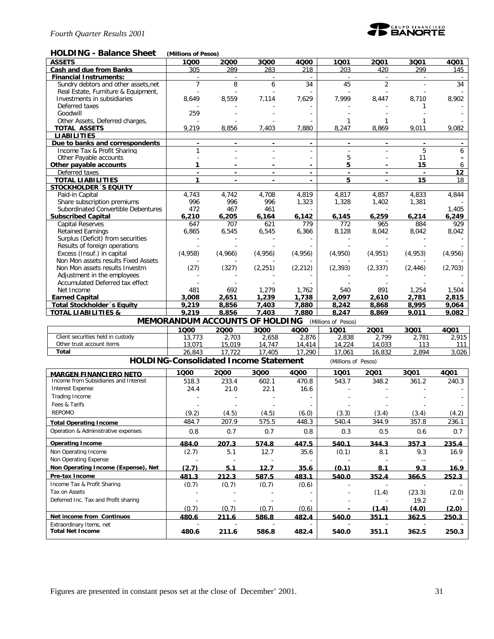

#### **HOLDING - Balance Sheet** *(Millions of Pesos)*

| .<br>Dalahuu Jiluut                                      | נטכסיו וט בווטוווויון                        |                |                |                |                               |                |                                |         |
|----------------------------------------------------------|----------------------------------------------|----------------|----------------|----------------|-------------------------------|----------------|--------------------------------|---------|
| <b>ASSETS</b>                                            | 1000                                         | 2000           | 3Q00           | 4000           | 1001                          | 2001           | 3001                           | 4001    |
| <b>Cash and due from Banks</b>                           | 305                                          | 289            | 283            | 218            | 203                           | 420            | 299                            | 145     |
| <b>Financial Instruments:</b>                            | $\omega$                                     | $\sim$         | $\sim$         | $\sim$         | $\sim$                        | $\omega$       | $\omega$                       |         |
| Sundry debtors and other assets.net                      | $\overline{7}$                               | 8              | 6              | 34             | 45                            | $\overline{2}$ |                                | 34      |
| Real Estate, Furniture & Equipment,                      |                                              |                |                |                |                               |                |                                |         |
| Investments in subsidiaries                              | 8,649                                        | 8,559          | 7,114          | 7,629          | 7,999                         | 8,447          | 8,710                          | 8,902   |
| Deferred taxes                                           |                                              |                |                |                |                               |                |                                |         |
| Goodwill                                                 | 259                                          |                |                |                |                               |                |                                |         |
| Other Assets, Deferred charges,                          |                                              |                |                |                |                               |                |                                |         |
| <b>TOTAL ASSETS</b>                                      | 9,219                                        | 8,856          | 7,403          | 7,880          | 8,247                         | 8,869          | 9,011                          | 9,082   |
| <b>LIABILITIES</b>                                       |                                              |                |                |                |                               |                |                                |         |
| Due to banks and correspondents                          |                                              |                |                | $\blacksquare$ |                               |                |                                |         |
| Income Tax & Profit Sharing                              | 1                                            |                |                |                |                               |                | 5                              | 6       |
| Other Payable accounts                                   |                                              |                |                |                | 5                             |                | 11                             |         |
| Other payable accounts                                   | 1                                            |                |                |                | 5                             |                | 15                             | 6       |
| Deferred taxes                                           |                                              |                |                |                |                               |                |                                | 12      |
|                                                          | $\blacksquare$<br>$\mathbf{1}$               | $\blacksquare$ | $\blacksquare$ | $\blacksquare$ | $\overline{\phantom{a}}$<br>5 | $\blacksquare$ | $\overline{\phantom{a}}$<br>15 | 18      |
| <b>TOTAL LIABILITIES</b><br><b>STOCKHOLDER 'S EQUITY</b> |                                              |                |                |                |                               |                |                                |         |
|                                                          |                                              |                |                |                |                               |                |                                |         |
| Paid-in Capital                                          | 4,743                                        | 4,742          | 4,708          | 4,819          | 4,817                         | 4,857          | 4,833                          | 4,844   |
| Share subscription premiums                              | 996                                          | 996            | 996            | 1,323          | 1,328                         | 1,402          | 1,381                          |         |
| Subordinated Convertible Debentures                      | 472                                          | 467            | 461            |                |                               |                |                                | 1,405   |
| <b>Subscribed Capital</b>                                | 6,210                                        | 6,205          | 6,164          | 6,142          | 6,145                         | 6,259          | 6,214                          | 6,249   |
| <b>Capital Reserves</b>                                  | 647                                          | 707            | 621            | 779            | 772                           | 965            | 884                            | 929     |
| <b>Retained Earnings</b>                                 | 6,865                                        | 6,545          | 6,545          | 6,366          | 8,128                         | 8,042          | 8,042                          | 8,042   |
| Surplus (Deficit) from securities                        |                                              |                |                |                |                               |                |                                |         |
| Results of foreign operations                            |                                              |                |                |                |                               |                |                                |         |
| Excess (Insuf.) in capital                               | (4,958)                                      | (4,966)        | (4,956)        | (4,956)        | (4,950)                       | (4, 951)       | (4, 953)                       | (4,956) |
| Non Mon assets results Fixed Assets                      |                                              |                |                |                |                               |                |                                |         |
| Non Mon assets results Investm                           | (27)                                         | (327)          | (2, 251)       | (2, 212)       | (2, 393)                      | (2, 337)       | (2, 446)                       | (2,703) |
| Adjustment in the employees                              |                                              |                |                |                |                               |                |                                |         |
| Accumulated Deferred tax effect                          |                                              |                |                |                |                               |                |                                |         |
| Net Income                                               | 481                                          | 692            | 1,279          | 1,762          | 540                           | 891            | 1,254                          | 1,504   |
| <b>Earned Capital</b>                                    | 3,008                                        | 2,651          | 1,239          | 1,738          | 2,097                         | 2,610          | 2,781                          | 2,815   |
| <b>Total Stockholder</b> 's Equity                       | 9,219                                        | 8,856          | 7,403          | 7,880          | 8,242                         | 8,868          | 8,995                          | 9,064   |
| <b>TOTAL LIABILITIES &amp;</b>                           | 9,219                                        | 8,856          | 7,403          | 7,880          | 8,247                         | 8,869          | 9,011                          | 9,082   |
|                                                          | <b>MEMORANDUM ACCOUNTS OF HOLDING</b>        |                |                |                | (Millions of Pesos)           |                |                                |         |
|                                                          | 1000                                         | 2000           |                | 4000           |                               |                |                                |         |
| Client securities held in custody                        |                                              |                | 3000           |                | 1001                          | 2001           | 3Q01                           | 4001    |
| Other trust account items                                | 13,773                                       | 2,703          | 2,658          | 2,876          | 2,838                         | 2,799          | 2,781                          | 2,915   |
|                                                          | 13,071                                       | 15,019         | 14,747         | 14,414         | 14,224                        | 14,033         | 113                            | 111     |
| Total                                                    | 26,843                                       | 17.722         | 17.405         | 17.290         | 17.061                        | 16,832         | 2.894                          | 3,026   |
|                                                          | <b>HOLDING-Consolidated Income Statement</b> |                |                |                | (Millions of Pesos)           |                |                                |         |
| <b>MARGEN FINANCIERO NETO</b>                            | 1000                                         | 2000           | 3000           | 4000           | 1001                          | 2001           | 3Q01                           | 4Q01    |
| Income from Subsidiaries and Interest                    | 518.3                                        | 233.4          | 602.1          | 470.8          | 543.7                         | 348.2          | 361.2                          | 240.3   |
| <b>Interest Expense</b>                                  |                                              |                |                |                |                               |                |                                |         |
|                                                          | 24.4                                         | 21.0           | 22.1           | 16.6           |                               |                |                                |         |
| Trading Income                                           |                                              |                |                |                |                               |                |                                |         |
| Fees & Tarifs                                            |                                              |                |                |                |                               |                |                                |         |
| <b>REPOMO</b>                                            | (9.2)                                        | (4.5)          | (4.5)          | (6.0)          | (3.3)                         | (3.4)          | (3.4)                          | (4.2)   |
| <b>Total Operating Income</b>                            | 484.7                                        | 207.9          | 575.5          | 448.3          | 540.4                         | 344.9          | 357.8                          | 236.1   |
|                                                          |                                              |                |                |                |                               |                |                                |         |
| Operation & Administrative expenses                      | 0.8                                          | 0.7            | 0.7            | 0.8            | 0.3                           | 0.5            | 0.6                            | 0.7     |
| <b>Operating Income</b>                                  | 484.0                                        | 207.3          | 574.8          | 447.5          | 540.1                         | 344.3          | 357.3                          | 235.4   |
| Non Operating Income                                     | (2.7)                                        | 5.1            | 12.7           | 35.6           | (0.1)                         | 8.1            | 9.3                            | 16.9    |
| Non Operating Expense                                    |                                              |                |                |                |                               |                | $\sim$ $\sim$                  |         |
| Non Operating Income (Expense), Net                      | (2.7)                                        | 5.1            |                |                | (0.1)                         | 8.1            |                                |         |
|                                                          |                                              |                | 12.7           | 35.6           |                               |                | 9.3                            | 16.9    |
| Pre-tax Income                                           | 481.3                                        | 212.3          | 587.5          | 483.1          | 540.0                         | 352.4          | 366.5                          | 252.3   |
| Income Tax & Profit Sharing                              | (0.7)                                        | (0.7)          | (0.7)          | (0.6)          |                               |                |                                |         |
| Tax on Assets                                            |                                              |                |                |                | $\sim$                        | (1.4)          | (23.3)                         | (2.0)   |
| Deferred Inc. Tax and Profit sharing                     |                                              |                |                | ä,             |                               |                | 19.2                           |         |

**Net income from Continuos 480.6 211.6 586.8 482.4 540.0 351.1 362.5 250.3** Extraordinary Items, net - - - - - - - - **Total Net Income 480.6 211.6 586.8 482.4 540.0 351.1 362.5 250.3**

(0.7) (0.7) (0.7) (0.6) **- (1.4) (4.0) (2.0)**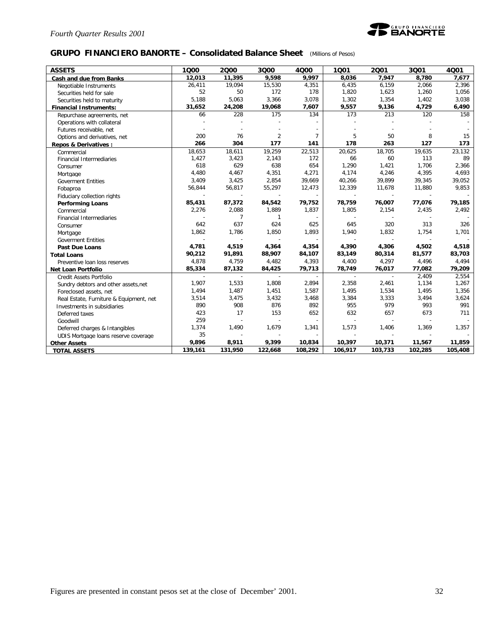

### **GRUPO FINANCIERO BANORTE – Consolidated Balance Sheet** *(Millions of Pesos)*

| <b>ASSETS</b>                           | 1Q00    | 2000           | 3Q00           | 4000           | 1001    | 2001    | 3Q01    | 4Q01    |
|-----------------------------------------|---------|----------------|----------------|----------------|---------|---------|---------|---------|
| Cash and due from Banks                 | 12,013  | 11,395         | 9,598          | 9,997          | 8,036   | 7,947   | 8,780   | 7,677   |
| Negotiable Instruments                  | 26,411  | 19,094         | 15,530         | 4,351          | 6,435   | 6,159   | 2,066   | 2,396   |
| Securities held for sale                | 52      | 50             | 172            | 178            | 1,820   | 1,623   | 1,260   | 1,056   |
| Securities held to maturity             | 5,188   | 5,063          | 3,366          | 3,078          | 1,302   | 1,354   | 1,402   | 3,038   |
| <b>Financial Instruments:</b>           | 31,652  | 24,208         | 19,068         | 7,607          | 9,557   | 9,136   | 4,729   | 6,490   |
| Repurchase agreements, net              | 66      | 228            | 175            | 134            | 173     | 213     | 120     | 158     |
| Operations with collateral              |         |                |                |                |         |         |         |         |
| Futures receivable, net                 |         |                |                |                |         |         |         |         |
| Options and derivatives, net            | 200     | 76             | $\overline{2}$ | $\overline{7}$ | 5       | 50      | 8       | 15      |
| <b>Repos &amp; Derivatives:</b>         | 266     | 304            | 177            | 141            | 178     | 263     | 127     | 173     |
| Commercial                              | 18,653  | 18,611         | 19,259         | 22,513         | 20,625  | 18,705  | 19,635  | 23,132  |
| Financial Intermediaries                | 1,427   | 3,423          | 2,143          | 172            | 66      | 60      | 113     | 89      |
| Consumer                                | 618     | 629            | 638            | 654            | 1,290   | 1,421   | 1,706   | 2,366   |
| Mortgage                                | 4,480   | 4,467          | 4,351          | 4,271          | 4,174   | 4,246   | 4,395   | 4,693   |
| <b>Goverment Entities</b>               | 3,409   | 3,425          | 2,854          | 39,669         | 40,266  | 39,899  | 39,345  | 39,052  |
| Fobaproa                                | 56,844  | 56,817         | 55,297         | 12,473         | 12,339  | 11,678  | 11,880  | 9,853   |
| Fiduciary collection rights             |         |                |                |                |         |         |         |         |
| <b>Performing Loans</b>                 | 85,431  | 87,372         | 84,542         | 79,752         | 78,759  | 76,007  | 77,076  | 79,185  |
| Commercial                              | 2,276   | 2,088          | 1,889          | 1,837          | 1,805   | 2,154   | 2,435   | 2,492   |
| <b>Financial Intermediaries</b>         |         | $\overline{7}$ |                |                |         |         |         |         |
| Consumer                                | 642     | 637            | 624            | 625            | 645     | 320     | 313     | 326     |
| Mortgage                                | 1,862   | 1,786          | 1,850          | 1,893          | 1,940   | 1,832   | 1,754   | 1,701   |
| <b>Goverment Entities</b>               |         |                |                |                |         |         |         |         |
| <b>Past Due Loans</b>                   | 4,781   | 4,519          | 4,364          | 4,354          | 4,390   | 4,306   | 4,502   | 4,518   |
| <b>Total Loans</b>                      | 90,212  | 91,891         | 88,907         | 84,107         | 83,149  | 80,314  | 81,577  | 83,703  |
| Preventive loan loss reserves           | 4,878   | 4,759          | 4,482          | 4,393          | 4,400   | 4,297   | 4,496   | 4,494   |
| <b>Net Loan Portfolio</b>               | 85,334  | 87,132         | 84,425         | 79,713         | 78,749  | 76,017  | 77,082  | 79,209  |
| Credit Assets Portfolio                 |         |                |                |                |         | $\sim$  | 2.409   | 2,554   |
| Sundry debtors and other assets, net    | 1,907   | 1,533          | 1,808          | 2,894          | 2,358   | 2,461   | 1,134   | 1,267   |
| Foreclosed assets, net                  | 1,494   | 1,487          | 1,451          | 1,587          | 1,495   | 1,534   | 1,495   | 1,356   |
| Real Estate, Furniture & Equipment, net | 3,514   | 3,475          | 3,432          | 3,468          | 3,384   | 3,333   | 3,494   | 3,624   |
| Investments in subsidiaries             | 890     | 908            | 876            | 892            | 955     | 979     | 993     | 991     |
| Deferred taxes                          | 423     | 17             | 153            | 652            | 632     | 657     | 673     | 711     |
| Goodwill                                | 259     |                |                |                |         |         |         |         |
| Deferred charges & Intangibles          | 1,374   | 1,490          | 1,679          | 1,341          | 1,573   | 1,406   | 1,369   | 1,357   |
| UDIS Mortgage loans reserve coverage    | 35      |                |                |                |         |         |         |         |
| <b>Other Assets</b>                     | 9,896   | 8,911          | 9,399          | 10,834         | 10,397  | 10,371  | 11,567  | 11,859  |
| <b>TOTAL ASSETS</b>                     | 139,161 | 131,950        | 122,668        | 108,292        | 106,917 | 103,733 | 102,285 | 105,408 |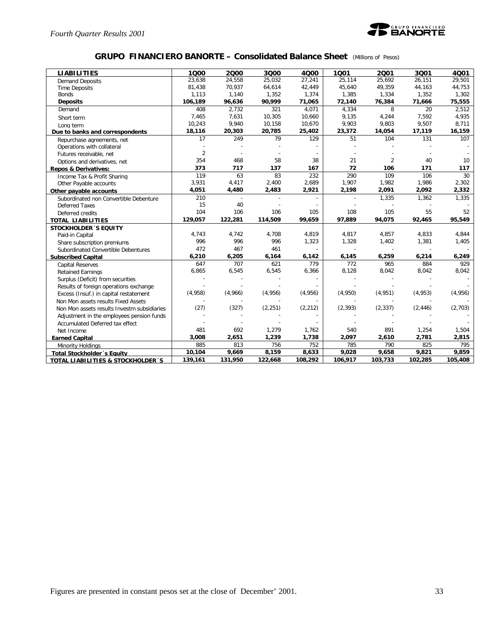

### **GRUPO FINANCIERO BANORTE – Consolidated Balance Sheet** *(Millions of Pesos)*

| <b>LIABILITIES</b>                           | 1000           | 2000    | 3000     | 4000     | 1001     | 2001           | 3001     | 4001    |
|----------------------------------------------|----------------|---------|----------|----------|----------|----------------|----------|---------|
| <b>Demand Deposits</b>                       | 23,638         | 24.558  | 25.032   | 27,241   | 25.114   | 25.692         | 26,151   | 29,501  |
| <b>Time Deposits</b>                         | 81,438         | 70,937  | 64,614   | 42,449   | 45,640   | 49,359         | 44,163   | 44,753  |
| <b>Bonds</b>                                 | 1,113          | 1,140   | 1,352    | 1,374    | 1,385    | 1,334          | 1,352    | 1,302   |
| <b>Deposits</b>                              | 106,189        | 96,636  | 90,999   | 71,065   | 72,140   | 76,384         | 71,666   | 75,555  |
| Demand                                       | 408            | 2.732   | 321      | 4.071    | 4.334    | 8              | 20       | 2.512   |
| Short term                                   | 7,465          | 7,631   | 10,305   | 10,660   | 9,135    | 4,244          | 7,592    | 4,935   |
| Long term                                    | 10,243         | 9,940   | 10,158   | 10,670   | 9,903    | 9,803          | 9,507    | 8,711   |
| Due to banks and correspondents              | 18,116         | 20,303  | 20,785   | 25,402   | 23,372   | 14,054         | 17,119   | 16,159  |
| Repurchase agreements, net                   | 17             | 249     | 79       | 129      | 51       | 104            | 131      | 107     |
| Operations with collateral                   |                |         |          |          |          |                |          |         |
| Futures receivable, net                      | $\overline{2}$ |         |          |          |          |                |          |         |
| Options and derivatives, net                 | 354            | 468     | 58       | 38       | 21       | $\overline{2}$ | 40       | 10      |
| <b>Repos &amp; Derivatives:</b>              | 373            | 717     | 137      | 167      | 72       | 106            | 171      | 117     |
| Income Tax & Profit Sharing                  | 119            | 63      | 83       | 232      | 290      | 109            | 106      | 30      |
| Other Payable accounts                       | 3,931          | 4,417   | 2,400    | 2,689    | 1,907    | 1,982          | 1,986    | 2,302   |
| Other payable accounts                       | 4,051          | 4,480   | 2,483    | 2,921    | 2,198    | 2,091          | 2,092    | 2,332   |
| Subordinated non Convertible Debenture       | 210            |         |          |          |          | 1,335          | 1,362    | 1,335   |
| <b>Deferred Taxes</b>                        | 15             | 40      |          |          |          |                |          |         |
| Deferred credits                             | 104            | 106     | 106      | 105      | 108      | 105            | 55       | 52      |
| <b>TOTAL LIABILITIES</b>                     | 129,057        | 122,281 | 114,509  | 99,659   | 97,889   | 94,075         | 92,465   | 95,549  |
| <b>STOCKHOLDER 'S EQUITY</b>                 |                |         |          |          |          |                |          |         |
| Paid-in Capital                              | 4,743          | 4,742   | 4,708    | 4,819    | 4,817    | 4,857          | 4,833    | 4,844   |
| Share subscription premiums                  | 996            | 996     | 996      | 1,323    | 1,328    | 1,402          | 1,381    | 1,405   |
| Subordinated Convertible Debentures          | 472            | 467     | 461      |          |          |                |          |         |
| <b>Subscribed Capital</b>                    | 6,210          | 6,205   | 6,164    | 6,142    | 6,145    | 6,259          | 6,214    | 6,249   |
| <b>Capital Reserves</b>                      | 647            | 707     | 621      | 779      | 772      | 965            | 884      | 929     |
| <b>Retained Earnings</b>                     | 6,865          | 6,545   | 6,545    | 6,366    | 8,128    | 8,042          | 8,042    | 8,042   |
| Surplus (Deficit) from securities            |                |         |          |          |          |                |          |         |
| Results of foreign operations exchange       |                |         |          |          |          |                |          |         |
| Excess (Insuf.) in capital restatement       | (4,958)        | (4,966) | (4,956)  | (4,956)  | (4,950)  | (4, 951)       | (4, 953) | (4,956) |
| Non Mon assets results Fixed Assets          |                |         |          |          |          |                |          |         |
| Non Mon assets results Investm subsidiaries  | (27)           | (327)   | (2, 251) | (2, 212) | (2, 393) | (2, 337)       | (2, 446) | (2,703) |
| Adjustment in the employees pension funds    |                |         |          |          |          |                |          |         |
| Accumulated Deferred tax effect              |                |         |          |          |          |                |          |         |
| Net Income                                   | 481            | 692     | 1,279    | 1,762    | 540      | 891            | 1,254    | 1,504   |
| <b>Earned Capital</b>                        | 3,008          | 2,651   | 1,239    | 1,738    | 2,097    | 2,610          | 2,781    | 2,815   |
| Minority Holdings                            | 885            | 813     | 756      | 752      | 785      | 790            | 825      | 795     |
| <b>Total Stockholder</b> 's Equity           | 10,104         | 9,669   | 8,159    | 8,633    | 9,028    | 9,658          | 9,821    | 9,859   |
| <b>TOTAL LIABILITIES &amp; STOCKHOLDER'S</b> | 139,161        | 131,950 | 122,668  | 108,292  | 106,917  | 103,733        | 102,285  | 105,408 |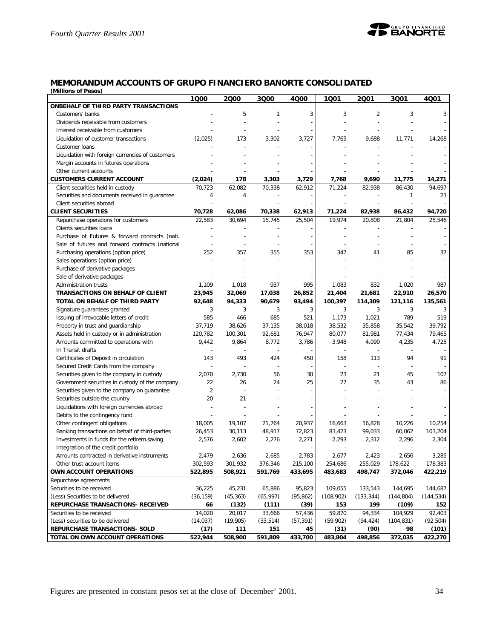

#### **MEMORANDUM ACCOUNTS OF GRUPO FINANCIERO BANORTE CONSOLIDATED** *(Millions of Pesos)*

| <b><i>IVIIIIUIIS UI FESUS</i></b>                               | 1000           | 2000           | 3Q00           | 4000      | 1Q01                     | 2001                     | 3Q01           | 4Q01       |
|-----------------------------------------------------------------|----------------|----------------|----------------|-----------|--------------------------|--------------------------|----------------|------------|
| ONBEHALF OF THIRD PARTY TRANSACTIONS                            |                |                |                |           |                          |                          |                |            |
| Customers' banks                                                |                | 5              | 1              | 3         | 3                        | $\overline{2}$           | 3              | 3          |
| Dividends receivable from customers                             |                |                |                |           |                          |                          |                |            |
| Interest receivable from customers                              |                |                |                |           |                          |                          |                |            |
| Liquidation of customer transactions                            | (2,025)        | 173            | 3,302          | 3,727     | 7,765                    | 9,688                    | 11,771         | 14,268     |
| Customer Ioans                                                  |                |                |                |           |                          |                          |                |            |
| Liquidation with foreign currencies of customers                |                |                |                |           |                          |                          |                |            |
| Margin accounts in futures operations                           |                |                |                |           |                          |                          |                |            |
| Other current accounts                                          |                |                |                |           |                          |                          |                |            |
| <b>CUSTOMERS CURRENT ACCOUNT</b>                                | (2,024)        | 178            | 3,303          | 3,729     | 7,768                    | 9,690                    | 11,775         | 14,271     |
| Client securities held in custody                               | 70,723         | 62,082         | 70,338         | 62,912    | 71,224                   | 82,938                   | 86,430         | 94,697     |
| Securities and documents received in guarantee                  | $\overline{4}$ | 4              |                |           |                          |                          | 1              | 23         |
| Client securities abroad                                        |                |                |                |           |                          |                          |                |            |
| <b>CLIENT SECURITIES</b>                                        | 70,728         | 62,086         | 70,338         | 62,913    | 71,224                   | 82,938                   | 86,432         | 94,720     |
|                                                                 | 22,583         | 30,694         | 15,745         | 25,504    | 19,974                   | 20,808                   | 21,804         | 25,546     |
| Repurchase operations for customers<br>Clients securities loans |                |                |                |           |                          |                          |                |            |
| Purchase of Futures & forward contracts (nati.                  |                |                |                |           |                          |                          |                |            |
|                                                                 |                |                |                |           |                          |                          |                |            |
| Sale of futures and forward contracts (national                 |                |                |                |           |                          |                          |                |            |
| Purchasing operations (option price)                            | 252            | 357            | 355            | 353       | 347                      | 41                       | 85             | 37         |
| Sales operations (option price)                                 |                |                |                |           |                          |                          |                |            |
| Purchase of derivative packages                                 |                |                |                |           |                          |                          |                |            |
| Sale of derivative packages                                     |                |                |                |           |                          |                          |                |            |
| <b>Administration trusts</b>                                    | 1,109          | 1,018          | 937            | 995       | 1,083                    | 832                      | 1,020          | 987        |
| TRANSACTIONS ON BEHALF OF CLIENT                                | 23,945         | 32,069         | 17,038         | 26,852    | 21,404                   | 21,681                   | 22,910         | 26,570     |
| TOTAL ON BEHALF OF THIRD PARTY                                  | 92,648         | 94,333         | 90,679         | 93,494    | 100,397                  | 114,309                  | 121,116        | 135,561    |
| Signature guarantees granted                                    | 3              | 3              | 3              | 3         | 3                        | 3                        | 3              | 3          |
| Issuing of irrevocable letters of credit                        | 585            | 466            | 685            | 521       | 1,173                    | 1,021                    | 789            | 519        |
| Property in trust and guardianship                              | 37,719         | 38,626         | 37,135         | 38,018    | 38,532                   | 35,858                   | 35,542         | 39,792     |
| Assets held in custody or in administration                     | 120,782        | 100,301        | 92,681         | 76,947    | 80,077                   | 81,981                   | 77,434         | 79,465     |
| Amounts committed to operations with                            | 9,442          | 9,864          | 8,772          | 3,786     | 3,948                    | 4,090                    | 4,235          | 4,725      |
| In Transit drafts                                               |                |                |                |           |                          |                          |                |            |
| Certificates of Deposit in circulation                          | 143            | 493            | 424            | 450       | 158                      | 113                      | 94             | 91         |
| Secured Credit Cards from the company                           |                |                |                |           | $\overline{\phantom{a}}$ | $\overline{\phantom{a}}$ |                |            |
| Securities given to the company in custody                      | 2,070          | 2,730          | 56             | 30        | 23                       | 21                       | 45             | 107        |
| Government securities in custody of the company                 | 22             | 26             | 24             | 25        | 27                       | 35                       | 43             | 86         |
| Securities given to the company on guarantee                    | $\overline{2}$ |                |                |           |                          |                          |                |            |
| Securities outside the country                                  | 20             | 21             |                |           |                          |                          |                |            |
| Liquidations with foreign currencies abroad                     |                |                |                |           |                          |                          |                |            |
| Debits to the contingency fund                                  |                |                |                |           |                          |                          |                |            |
| Other contingent obligations                                    | 18,005         | 19,107         | 21,764         | 20,937    | 16,663                   | 16,828                   | 10,226         | 10,254     |
| Banking transactions on behalf of third-parties                 | 26,453         | 30,113         | 48,917         | 72,823    | 83,423                   | 99,033                   | 60,062         | 103,204    |
| Investments in funds for the retirem.saving                     | 2,576          | 2,602          | 2,276          | 2,271     | 2,293                    | 2,312                    | 2,296          | 2,304      |
| Integration of the credit portfolio                             |                | $\overline{a}$ | $\overline{a}$ | ÷         | $\overline{a}$           | $\sim$                   | $\overline{a}$ |            |
| Amounts contracted in derivative instruments                    | 2,479          | 2,636          | 2,685          | 2,783     | 2,677                    | 2,423                    | 2,656          | 3,285      |
| Other trust account items                                       | 302,593        | 301,932        | 376,346        | 215,100   | 254,686                  | 255,029                  | 178,622        | 178,383    |
| OWN ACCOUNT OPERATIONS                                          | 522,895        | 508,921        | 591,769        | 433,695   | 483,683                  | 498,747                  | 372,046        | 422,219    |
| Repurchase agreements                                           |                |                |                |           |                          |                          |                |            |
| Securities to be received                                       | 36,225         | 45,231         | 65,886         | 95,823    | 109,055                  | 133,543                  | 144,695        | 144,687    |
| (Less) Securities to be delivered                               | (36, 159)      | (45, 363)      | (65, 997)      | (95, 862) | (108, 902)               | (133, 344)               | (144, 804)     | (144, 534) |
| REPURCHASE TRANSACTIONS- RECEIVED                               | 66             | (132)          | (111)          | (39)      | 153                      | 199                      | (109)          | 152        |
| Securities to be received                                       | 14,020         | 20,017         | 33,666         | 57,436    | 59,870                   | 94,334                   | 104,929        | 92,403     |
| (Less) securities to be delivered                               | (14, 037)      | (19,905)       | (33, 514)      | (57, 391) | (59,902)                 | (94, 424)                | (104, 831)     | (92, 504)  |
| REPURCHASE TRANSACTIONS- SOLD                                   | (17)           | 111            | 151            | 45        | (31)                     | (90)                     | 98             | (101)      |
| TOTAL ON OWN ACCOUNT OPERATIONS                                 | 522,944        | 508,900        | 591,809        | 433,700   | 483,804                  | 498,856                  | 372,035        | 422,270    |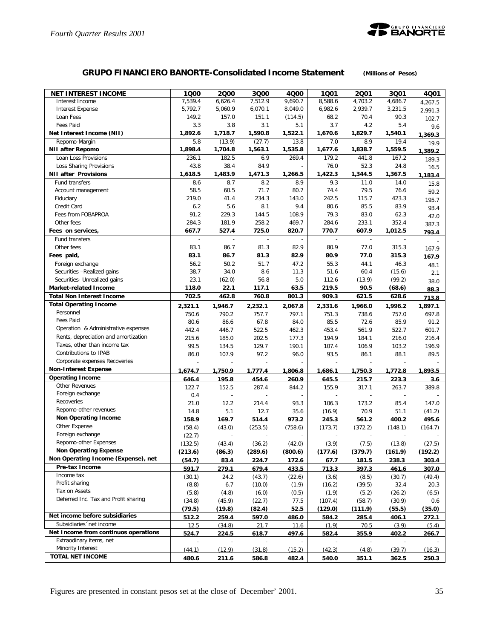

# **GRUPO FINANCIERO BANORTE-Consolidated Income Statement** *(Millions of Pesos)*

| 6,626.4<br>7,512.9<br>Interest Income<br>7.539.4<br>9,690.7<br>8,588.6<br>4,703.2<br>4,686.7<br>4,267.5<br>5,792.7<br>6,070.1<br>6,982.6<br>2,939.7<br>3,231.5<br><b>Interest Expense</b><br>5,060.9<br>8,049.0<br>2,991.3<br>Loan Fees<br>149.2<br>157.0<br>151.1<br>(114.5)<br>68.2<br>70.4<br>90.3<br>102.7<br><b>Fees Paid</b><br>3.3<br>3.8<br>3.1<br>3.7<br>4.2<br>5.4<br>5.1<br>9.6<br>Net Interest Income (NII)<br>1,892.6<br>1,718.7<br>1,590.8<br>1,522.1<br>1,670.6<br>1,829.7<br>1,540.1<br>1,369.3<br>5.8<br>(13.9)<br>(27.7)<br>7.0<br>8.9<br>19.4<br>Repomo-Margin<br>13.8<br>19.9<br>1,898.4<br><b>NII after Repomo</b><br>1,704.8<br>1,563.1<br>1,535.8<br>1,677.6<br>1,838.7<br>1,559.5<br>1,389.2<br>236.1<br>182.5<br>179.2<br>441.8<br>167.2<br>Loan Loss Provisions<br>6.9<br>269.4<br>189.3<br>84.9<br>76.0<br>Loss Sharing Provisions<br>43.8<br>38.4<br>52.3<br>24.8<br>16.5<br>1,422.3<br><b>NII after Provisions</b><br>1,618.5<br>1,483.9<br>1,471.3<br>1,266.5<br>1,344.5<br>1,367.5<br>1,183.4<br>8.7<br>9.3<br>Fund transfers<br>8.6<br>8.2<br>8.9<br>11.0<br>14.0<br>15.8<br>58.5<br>71.7<br>80.7<br>79.5<br>76.6<br>60.5<br>74.4<br>Account management<br>59.2<br>219.0<br>234.3<br>242.5<br>115.7<br>423.3<br>41.4<br>143.0<br>Fiduciary<br>195.7<br>Credit Card<br>6.2<br>5.6<br>8.1<br>9.4<br>80.6<br>85.5<br>83.9<br>93.4<br>91.2<br>229.3<br>79.3<br>83.0<br>Fees from FOBAPROA<br>144.5<br>108.9<br>62.3<br>42.0<br>284.3<br>258.2<br>469.7<br>284.6<br>352.4<br>Other fees<br>181.9<br>233.1<br>387.3<br>607.9<br>Fees on services,<br>667.7<br>527.4<br>725.0<br>820.7<br>770.7<br>1,012.5<br>793.4<br>Fund transfers<br>83.1<br>86.7<br>81.3<br>82.9<br>80.9<br>77.0<br>315.3<br>Other fees<br>167.9<br>83.1<br>82.9<br>80.9<br>Fees paid,<br>86.7<br>81.3<br>77.0<br>315.3<br>167.9<br>56.2<br>50.2<br>51.7<br>47.2<br>55.3<br>44.1<br>46.3<br>Foreign exchange<br>48.1<br>38.7<br>34.0<br>8.6<br>11.3<br>51.6<br>60.4<br>Securities -Realized gains<br>(15.6)<br>2.1<br>23.1<br>5.0<br>112.6<br>(99.2)<br>Securities- Unrealized gains<br>(62.0)<br>56.8<br>(13.9)<br>38.0<br><b>Market-related Income</b><br>118.0<br>22.1<br>117.1<br>63.5<br>219.5<br>90.5<br>(68.6)<br>88.3<br>702.5<br>462.8<br>760.8<br>801.3<br>909.3<br>621.5<br>628.6<br><b>Total Non Interest Income</b><br>713.8<br><b>Total Operating Income</b><br>2,321.1<br>1,946.7<br>2,067.8<br>2,331.6<br>1,966.0<br>1,996.2<br>1,897.1<br>2,232.1<br>Personnel<br>750.6<br>757.7<br>697.8<br>790.2<br>797.1<br>751.3<br>738.6<br>757.0<br><b>Fees Paid</b><br>80.6<br>85.5<br>85.9<br>91.2<br>86.6<br>67.8<br>84.0<br>72.6<br>Operation & Administrative expenses<br>446.7<br>522.5<br>453.4<br>561.9<br>522.7<br>442.4<br>462.3<br>601.7<br>Rents, depreciation and amortization<br>215.6<br>185.0<br>202.5<br>177.3<br>194.9<br>216.0<br>216.4<br>184.1<br>Taxes, other than income tax<br>99.5<br>129.7<br>190.1<br>107.4<br>134.5<br>106.9<br>103.2<br>196.9<br>Contributions to IPAB<br>86.0<br>107.9<br>97.2<br>96.0<br>93.5<br>86.1<br>88.1<br>89.5<br>Corporate expenses Recoveries<br><b>Non-Interest Expense</b><br>1,674.7<br>1,750.9<br>1,777.4<br>1,806.8<br>1,686.1<br>1,750.3<br>1,893.5<br>1,772.8<br><b>Operating Income</b><br>646.4<br>195.8<br>454.6<br>260.9<br>645.5<br>215.7<br>223.3<br>3.6<br><b>Other Revenues</b><br>122.7<br>152.5<br>287.4<br>155.9<br>317.1<br>263.7<br>389.8<br>844.2<br>Foreign exchange<br>0.4<br>Recoveries<br>21.0<br>12.2<br>214.4<br>93.3<br>106.3<br>173.2<br>85.4<br>147.0<br>Repomo-other revenues<br>5.1<br>12.7<br>70.9<br>14.8<br>35.6<br>(16.9)<br>51.1<br>(41.2)<br><b>Non Operating Income</b><br>158.9<br>169.7<br>514.4<br>973.2<br>245.3<br>561.2<br>400.2<br>495.6<br>Other Expense<br>(58.4)<br>(43.0)<br>(253.5)<br>(758.6)<br>(173.7)<br>(372.2)<br>(148.1)<br>(164.7)<br>Foreign exchange<br>(22.7)<br>Repomo-other Expenses<br>(3.9)<br>(132.5)<br>(43.4)<br>(36.2)<br>(42.0)<br>(7.5)<br>(13.8)<br>(27.5)<br><b>Non Operating Expense</b><br>(213.6)<br>(86.3)<br>(289.6)<br>(800.6)<br>(177.6)<br>(379.7)<br>(161.9)<br>(192.2)<br>Non Operating Income (Expense), net<br>(54.7)<br>83.4<br>303.4<br>224.7<br>172.6<br>67.7<br>181.5<br>238.3<br>Pre-tax Income<br>713.3<br>591.7<br>279.1<br>679.4<br>433.5<br>397.3<br>461.6<br>307.0<br>Income tax<br>(30.1)<br>24.2<br>(43.7)<br>(22.6)<br>(3.6)<br>(8.5)<br>(30.7)<br>(49.4)<br>Profit sharing<br>(8.8)<br>6.7<br>(10.0)<br>32.4<br>20.3<br>(1.9)<br>(16.2)<br>(39.5)<br>Tax on Assets<br>(4.8)<br>(5.8)<br>(6.0)<br>(0.5)<br>(1.9)<br>(5.2)<br>(26.2)<br>(6.5)<br>Deferred Inc. Tax and Profit sharing<br>(34.8)<br>(45.9)<br>(22.7)<br>77.5<br>(107.4)<br>(58.7)<br>(30.9)<br>0.6<br>52.5<br>(79.5)<br>(19.8)<br>(82.4)<br>(129.0)<br>(111.9)<br>(55.5)<br>(35.0)<br>Net income before subsidiaries<br>512.2<br>597.0<br>486.0<br>259.4<br>584.2<br>285.4<br>406.1<br>272.1<br>Subsidiaries 'net income<br>12.5<br>(34.8)<br>21.7<br>11.6<br>(1.9)<br>70.5<br>(3.9)<br>(5.4)<br>Net Income from continuos operations<br>224.5<br>355.9<br>524.7<br>618.7<br><u>497.6</u><br>582.4<br>402.2<br><u> 266.7</u><br>Extraodinary items, net<br>Minority Interest<br>(44.1)<br>(12.9)<br>(42.3)<br>(31.8)<br>(15.2)<br>(4.8)<br>(39.7)<br>(16.3)<br>TOTAL NET INCOME<br>480.6<br>351.1<br>211.6<br>586.8<br>482.4<br>540.0<br>362.5<br>250.3 | <b>NET INTEREST INCOME</b> | 1000 | 2000 | 3Q00 | 4Q00 | 1001 | 2001 | 3001 | 4001 |
|---------------------------------------------------------------------------------------------------------------------------------------------------------------------------------------------------------------------------------------------------------------------------------------------------------------------------------------------------------------------------------------------------------------------------------------------------------------------------------------------------------------------------------------------------------------------------------------------------------------------------------------------------------------------------------------------------------------------------------------------------------------------------------------------------------------------------------------------------------------------------------------------------------------------------------------------------------------------------------------------------------------------------------------------------------------------------------------------------------------------------------------------------------------------------------------------------------------------------------------------------------------------------------------------------------------------------------------------------------------------------------------------------------------------------------------------------------------------------------------------------------------------------------------------------------------------------------------------------------------------------------------------------------------------------------------------------------------------------------------------------------------------------------------------------------------------------------------------------------------------------------------------------------------------------------------------------------------------------------------------------------------------------------------------------------------------------------------------------------------------------------------------------------------------------------------------------------------------------------------------------------------------------------------------------------------------------------------------------------------------------------------------------------------------------------------------------------------------------------------------------------------------------------------------------------------------------------------------------------------------------------------------------------------------------------------------------------------------------------------------------------------------------------------------------------------------------------------------------------------------------------------------------------------------------------------------------------------------------------------------------------------------------------------------------------------------------------------------------------------------------------------------------------------------------------------------------------------------------------------------------------------------------------------------------------------------------------------------------------------------------------------------------------------------------------------------------------------------------------------------------------------------------------------------------------------------------------------------------------------------------------------------------------------------------------------------------------------------------------------------------------------------------------------------------------------------------------------------------------------------------------------------------------------------------------------------------------------------------------------------------------------------------------------------------------------------------------------------------------------------------------------------------------------------------------------------------------------------------------------------------------------------------------------------------------------------------------------------------------------------------------------------------------------------------------------------------------------------------------------------------------------------------------------------------------------------------------------------------------------------------------------------------------------------------------------------------------------------------------------------------------------------------------------------------------------------------------------------------------------------------------------------------------------------------------------------------------------------------------------------------------------------------------------------------------------------------------------------------------------------------------------------------------------------------------------------------------------------------------------------------------------------------------------------------------------------------------------------------------------------------------------|----------------------------|------|------|------|------|------|------|------|------|
|                                                                                                                                                                                                                                                                                                                                                                                                                                                                                                                                                                                                                                                                                                                                                                                                                                                                                                                                                                                                                                                                                                                                                                                                                                                                                                                                                                                                                                                                                                                                                                                                                                                                                                                                                                                                                                                                                                                                                                                                                                                                                                                                                                                                                                                                                                                                                                                                                                                                                                                                                                                                                                                                                                                                                                                                                                                                                                                                                                                                                                                                                                                                                                                                                                                                                                                                                                                                                                                                                                                                                                                                                                                                                                                                                                                                                                                                                                                                                                                                                                                                                                                                                                                                                                                                                                                                                                                                                                                                                                                                                                                                                                                                                                                                                                                                                                                                                                                                                                                                                                                                                                                                                                                                                                                                                                                                                                                       |                            |      |      |      |      |      |      |      |      |
|                                                                                                                                                                                                                                                                                                                                                                                                                                                                                                                                                                                                                                                                                                                                                                                                                                                                                                                                                                                                                                                                                                                                                                                                                                                                                                                                                                                                                                                                                                                                                                                                                                                                                                                                                                                                                                                                                                                                                                                                                                                                                                                                                                                                                                                                                                                                                                                                                                                                                                                                                                                                                                                                                                                                                                                                                                                                                                                                                                                                                                                                                                                                                                                                                                                                                                                                                                                                                                                                                                                                                                                                                                                                                                                                                                                                                                                                                                                                                                                                                                                                                                                                                                                                                                                                                                                                                                                                                                                                                                                                                                                                                                                                                                                                                                                                                                                                                                                                                                                                                                                                                                                                                                                                                                                                                                                                                                                       |                            |      |      |      |      |      |      |      |      |
|                                                                                                                                                                                                                                                                                                                                                                                                                                                                                                                                                                                                                                                                                                                                                                                                                                                                                                                                                                                                                                                                                                                                                                                                                                                                                                                                                                                                                                                                                                                                                                                                                                                                                                                                                                                                                                                                                                                                                                                                                                                                                                                                                                                                                                                                                                                                                                                                                                                                                                                                                                                                                                                                                                                                                                                                                                                                                                                                                                                                                                                                                                                                                                                                                                                                                                                                                                                                                                                                                                                                                                                                                                                                                                                                                                                                                                                                                                                                                                                                                                                                                                                                                                                                                                                                                                                                                                                                                                                                                                                                                                                                                                                                                                                                                                                                                                                                                                                                                                                                                                                                                                                                                                                                                                                                                                                                                                                       |                            |      |      |      |      |      |      |      |      |
|                                                                                                                                                                                                                                                                                                                                                                                                                                                                                                                                                                                                                                                                                                                                                                                                                                                                                                                                                                                                                                                                                                                                                                                                                                                                                                                                                                                                                                                                                                                                                                                                                                                                                                                                                                                                                                                                                                                                                                                                                                                                                                                                                                                                                                                                                                                                                                                                                                                                                                                                                                                                                                                                                                                                                                                                                                                                                                                                                                                                                                                                                                                                                                                                                                                                                                                                                                                                                                                                                                                                                                                                                                                                                                                                                                                                                                                                                                                                                                                                                                                                                                                                                                                                                                                                                                                                                                                                                                                                                                                                                                                                                                                                                                                                                                                                                                                                                                                                                                                                                                                                                                                                                                                                                                                                                                                                                                                       |                            |      |      |      |      |      |      |      |      |
|                                                                                                                                                                                                                                                                                                                                                                                                                                                                                                                                                                                                                                                                                                                                                                                                                                                                                                                                                                                                                                                                                                                                                                                                                                                                                                                                                                                                                                                                                                                                                                                                                                                                                                                                                                                                                                                                                                                                                                                                                                                                                                                                                                                                                                                                                                                                                                                                                                                                                                                                                                                                                                                                                                                                                                                                                                                                                                                                                                                                                                                                                                                                                                                                                                                                                                                                                                                                                                                                                                                                                                                                                                                                                                                                                                                                                                                                                                                                                                                                                                                                                                                                                                                                                                                                                                                                                                                                                                                                                                                                                                                                                                                                                                                                                                                                                                                                                                                                                                                                                                                                                                                                                                                                                                                                                                                                                                                       |                            |      |      |      |      |      |      |      |      |
|                                                                                                                                                                                                                                                                                                                                                                                                                                                                                                                                                                                                                                                                                                                                                                                                                                                                                                                                                                                                                                                                                                                                                                                                                                                                                                                                                                                                                                                                                                                                                                                                                                                                                                                                                                                                                                                                                                                                                                                                                                                                                                                                                                                                                                                                                                                                                                                                                                                                                                                                                                                                                                                                                                                                                                                                                                                                                                                                                                                                                                                                                                                                                                                                                                                                                                                                                                                                                                                                                                                                                                                                                                                                                                                                                                                                                                                                                                                                                                                                                                                                                                                                                                                                                                                                                                                                                                                                                                                                                                                                                                                                                                                                                                                                                                                                                                                                                                                                                                                                                                                                                                                                                                                                                                                                                                                                                                                       |                            |      |      |      |      |      |      |      |      |
|                                                                                                                                                                                                                                                                                                                                                                                                                                                                                                                                                                                                                                                                                                                                                                                                                                                                                                                                                                                                                                                                                                                                                                                                                                                                                                                                                                                                                                                                                                                                                                                                                                                                                                                                                                                                                                                                                                                                                                                                                                                                                                                                                                                                                                                                                                                                                                                                                                                                                                                                                                                                                                                                                                                                                                                                                                                                                                                                                                                                                                                                                                                                                                                                                                                                                                                                                                                                                                                                                                                                                                                                                                                                                                                                                                                                                                                                                                                                                                                                                                                                                                                                                                                                                                                                                                                                                                                                                                                                                                                                                                                                                                                                                                                                                                                                                                                                                                                                                                                                                                                                                                                                                                                                                                                                                                                                                                                       |                            |      |      |      |      |      |      |      |      |
|                                                                                                                                                                                                                                                                                                                                                                                                                                                                                                                                                                                                                                                                                                                                                                                                                                                                                                                                                                                                                                                                                                                                                                                                                                                                                                                                                                                                                                                                                                                                                                                                                                                                                                                                                                                                                                                                                                                                                                                                                                                                                                                                                                                                                                                                                                                                                                                                                                                                                                                                                                                                                                                                                                                                                                                                                                                                                                                                                                                                                                                                                                                                                                                                                                                                                                                                                                                                                                                                                                                                                                                                                                                                                                                                                                                                                                                                                                                                                                                                                                                                                                                                                                                                                                                                                                                                                                                                                                                                                                                                                                                                                                                                                                                                                                                                                                                                                                                                                                                                                                                                                                                                                                                                                                                                                                                                                                                       |                            |      |      |      |      |      |      |      |      |
|                                                                                                                                                                                                                                                                                                                                                                                                                                                                                                                                                                                                                                                                                                                                                                                                                                                                                                                                                                                                                                                                                                                                                                                                                                                                                                                                                                                                                                                                                                                                                                                                                                                                                                                                                                                                                                                                                                                                                                                                                                                                                                                                                                                                                                                                                                                                                                                                                                                                                                                                                                                                                                                                                                                                                                                                                                                                                                                                                                                                                                                                                                                                                                                                                                                                                                                                                                                                                                                                                                                                                                                                                                                                                                                                                                                                                                                                                                                                                                                                                                                                                                                                                                                                                                                                                                                                                                                                                                                                                                                                                                                                                                                                                                                                                                                                                                                                                                                                                                                                                                                                                                                                                                                                                                                                                                                                                                                       |                            |      |      |      |      |      |      |      |      |
|                                                                                                                                                                                                                                                                                                                                                                                                                                                                                                                                                                                                                                                                                                                                                                                                                                                                                                                                                                                                                                                                                                                                                                                                                                                                                                                                                                                                                                                                                                                                                                                                                                                                                                                                                                                                                                                                                                                                                                                                                                                                                                                                                                                                                                                                                                                                                                                                                                                                                                                                                                                                                                                                                                                                                                                                                                                                                                                                                                                                                                                                                                                                                                                                                                                                                                                                                                                                                                                                                                                                                                                                                                                                                                                                                                                                                                                                                                                                                                                                                                                                                                                                                                                                                                                                                                                                                                                                                                                                                                                                                                                                                                                                                                                                                                                                                                                                                                                                                                                                                                                                                                                                                                                                                                                                                                                                                                                       |                            |      |      |      |      |      |      |      |      |
|                                                                                                                                                                                                                                                                                                                                                                                                                                                                                                                                                                                                                                                                                                                                                                                                                                                                                                                                                                                                                                                                                                                                                                                                                                                                                                                                                                                                                                                                                                                                                                                                                                                                                                                                                                                                                                                                                                                                                                                                                                                                                                                                                                                                                                                                                                                                                                                                                                                                                                                                                                                                                                                                                                                                                                                                                                                                                                                                                                                                                                                                                                                                                                                                                                                                                                                                                                                                                                                                                                                                                                                                                                                                                                                                                                                                                                                                                                                                                                                                                                                                                                                                                                                                                                                                                                                                                                                                                                                                                                                                                                                                                                                                                                                                                                                                                                                                                                                                                                                                                                                                                                                                                                                                                                                                                                                                                                                       |                            |      |      |      |      |      |      |      |      |
|                                                                                                                                                                                                                                                                                                                                                                                                                                                                                                                                                                                                                                                                                                                                                                                                                                                                                                                                                                                                                                                                                                                                                                                                                                                                                                                                                                                                                                                                                                                                                                                                                                                                                                                                                                                                                                                                                                                                                                                                                                                                                                                                                                                                                                                                                                                                                                                                                                                                                                                                                                                                                                                                                                                                                                                                                                                                                                                                                                                                                                                                                                                                                                                                                                                                                                                                                                                                                                                                                                                                                                                                                                                                                                                                                                                                                                                                                                                                                                                                                                                                                                                                                                                                                                                                                                                                                                                                                                                                                                                                                                                                                                                                                                                                                                                                                                                                                                                                                                                                                                                                                                                                                                                                                                                                                                                                                                                       |                            |      |      |      |      |      |      |      |      |
|                                                                                                                                                                                                                                                                                                                                                                                                                                                                                                                                                                                                                                                                                                                                                                                                                                                                                                                                                                                                                                                                                                                                                                                                                                                                                                                                                                                                                                                                                                                                                                                                                                                                                                                                                                                                                                                                                                                                                                                                                                                                                                                                                                                                                                                                                                                                                                                                                                                                                                                                                                                                                                                                                                                                                                                                                                                                                                                                                                                                                                                                                                                                                                                                                                                                                                                                                                                                                                                                                                                                                                                                                                                                                                                                                                                                                                                                                                                                                                                                                                                                                                                                                                                                                                                                                                                                                                                                                                                                                                                                                                                                                                                                                                                                                                                                                                                                                                                                                                                                                                                                                                                                                                                                                                                                                                                                                                                       |                            |      |      |      |      |      |      |      |      |
|                                                                                                                                                                                                                                                                                                                                                                                                                                                                                                                                                                                                                                                                                                                                                                                                                                                                                                                                                                                                                                                                                                                                                                                                                                                                                                                                                                                                                                                                                                                                                                                                                                                                                                                                                                                                                                                                                                                                                                                                                                                                                                                                                                                                                                                                                                                                                                                                                                                                                                                                                                                                                                                                                                                                                                                                                                                                                                                                                                                                                                                                                                                                                                                                                                                                                                                                                                                                                                                                                                                                                                                                                                                                                                                                                                                                                                                                                                                                                                                                                                                                                                                                                                                                                                                                                                                                                                                                                                                                                                                                                                                                                                                                                                                                                                                                                                                                                                                                                                                                                                                                                                                                                                                                                                                                                                                                                                                       |                            |      |      |      |      |      |      |      |      |
|                                                                                                                                                                                                                                                                                                                                                                                                                                                                                                                                                                                                                                                                                                                                                                                                                                                                                                                                                                                                                                                                                                                                                                                                                                                                                                                                                                                                                                                                                                                                                                                                                                                                                                                                                                                                                                                                                                                                                                                                                                                                                                                                                                                                                                                                                                                                                                                                                                                                                                                                                                                                                                                                                                                                                                                                                                                                                                                                                                                                                                                                                                                                                                                                                                                                                                                                                                                                                                                                                                                                                                                                                                                                                                                                                                                                                                                                                                                                                                                                                                                                                                                                                                                                                                                                                                                                                                                                                                                                                                                                                                                                                                                                                                                                                                                                                                                                                                                                                                                                                                                                                                                                                                                                                                                                                                                                                                                       |                            |      |      |      |      |      |      |      |      |
|                                                                                                                                                                                                                                                                                                                                                                                                                                                                                                                                                                                                                                                                                                                                                                                                                                                                                                                                                                                                                                                                                                                                                                                                                                                                                                                                                                                                                                                                                                                                                                                                                                                                                                                                                                                                                                                                                                                                                                                                                                                                                                                                                                                                                                                                                                                                                                                                                                                                                                                                                                                                                                                                                                                                                                                                                                                                                                                                                                                                                                                                                                                                                                                                                                                                                                                                                                                                                                                                                                                                                                                                                                                                                                                                                                                                                                                                                                                                                                                                                                                                                                                                                                                                                                                                                                                                                                                                                                                                                                                                                                                                                                                                                                                                                                                                                                                                                                                                                                                                                                                                                                                                                                                                                                                                                                                                                                                       |                            |      |      |      |      |      |      |      |      |
|                                                                                                                                                                                                                                                                                                                                                                                                                                                                                                                                                                                                                                                                                                                                                                                                                                                                                                                                                                                                                                                                                                                                                                                                                                                                                                                                                                                                                                                                                                                                                                                                                                                                                                                                                                                                                                                                                                                                                                                                                                                                                                                                                                                                                                                                                                                                                                                                                                                                                                                                                                                                                                                                                                                                                                                                                                                                                                                                                                                                                                                                                                                                                                                                                                                                                                                                                                                                                                                                                                                                                                                                                                                                                                                                                                                                                                                                                                                                                                                                                                                                                                                                                                                                                                                                                                                                                                                                                                                                                                                                                                                                                                                                                                                                                                                                                                                                                                                                                                                                                                                                                                                                                                                                                                                                                                                                                                                       |                            |      |      |      |      |      |      |      |      |
|                                                                                                                                                                                                                                                                                                                                                                                                                                                                                                                                                                                                                                                                                                                                                                                                                                                                                                                                                                                                                                                                                                                                                                                                                                                                                                                                                                                                                                                                                                                                                                                                                                                                                                                                                                                                                                                                                                                                                                                                                                                                                                                                                                                                                                                                                                                                                                                                                                                                                                                                                                                                                                                                                                                                                                                                                                                                                                                                                                                                                                                                                                                                                                                                                                                                                                                                                                                                                                                                                                                                                                                                                                                                                                                                                                                                                                                                                                                                                                                                                                                                                                                                                                                                                                                                                                                                                                                                                                                                                                                                                                                                                                                                                                                                                                                                                                                                                                                                                                                                                                                                                                                                                                                                                                                                                                                                                                                       |                            |      |      |      |      |      |      |      |      |
|                                                                                                                                                                                                                                                                                                                                                                                                                                                                                                                                                                                                                                                                                                                                                                                                                                                                                                                                                                                                                                                                                                                                                                                                                                                                                                                                                                                                                                                                                                                                                                                                                                                                                                                                                                                                                                                                                                                                                                                                                                                                                                                                                                                                                                                                                                                                                                                                                                                                                                                                                                                                                                                                                                                                                                                                                                                                                                                                                                                                                                                                                                                                                                                                                                                                                                                                                                                                                                                                                                                                                                                                                                                                                                                                                                                                                                                                                                                                                                                                                                                                                                                                                                                                                                                                                                                                                                                                                                                                                                                                                                                                                                                                                                                                                                                                                                                                                                                                                                                                                                                                                                                                                                                                                                                                                                                                                                                       |                            |      |      |      |      |      |      |      |      |
|                                                                                                                                                                                                                                                                                                                                                                                                                                                                                                                                                                                                                                                                                                                                                                                                                                                                                                                                                                                                                                                                                                                                                                                                                                                                                                                                                                                                                                                                                                                                                                                                                                                                                                                                                                                                                                                                                                                                                                                                                                                                                                                                                                                                                                                                                                                                                                                                                                                                                                                                                                                                                                                                                                                                                                                                                                                                                                                                                                                                                                                                                                                                                                                                                                                                                                                                                                                                                                                                                                                                                                                                                                                                                                                                                                                                                                                                                                                                                                                                                                                                                                                                                                                                                                                                                                                                                                                                                                                                                                                                                                                                                                                                                                                                                                                                                                                                                                                                                                                                                                                                                                                                                                                                                                                                                                                                                                                       |                            |      |      |      |      |      |      |      |      |
|                                                                                                                                                                                                                                                                                                                                                                                                                                                                                                                                                                                                                                                                                                                                                                                                                                                                                                                                                                                                                                                                                                                                                                                                                                                                                                                                                                                                                                                                                                                                                                                                                                                                                                                                                                                                                                                                                                                                                                                                                                                                                                                                                                                                                                                                                                                                                                                                                                                                                                                                                                                                                                                                                                                                                                                                                                                                                                                                                                                                                                                                                                                                                                                                                                                                                                                                                                                                                                                                                                                                                                                                                                                                                                                                                                                                                                                                                                                                                                                                                                                                                                                                                                                                                                                                                                                                                                                                                                                                                                                                                                                                                                                                                                                                                                                                                                                                                                                                                                                                                                                                                                                                                                                                                                                                                                                                                                                       |                            |      |      |      |      |      |      |      |      |
|                                                                                                                                                                                                                                                                                                                                                                                                                                                                                                                                                                                                                                                                                                                                                                                                                                                                                                                                                                                                                                                                                                                                                                                                                                                                                                                                                                                                                                                                                                                                                                                                                                                                                                                                                                                                                                                                                                                                                                                                                                                                                                                                                                                                                                                                                                                                                                                                                                                                                                                                                                                                                                                                                                                                                                                                                                                                                                                                                                                                                                                                                                                                                                                                                                                                                                                                                                                                                                                                                                                                                                                                                                                                                                                                                                                                                                                                                                                                                                                                                                                                                                                                                                                                                                                                                                                                                                                                                                                                                                                                                                                                                                                                                                                                                                                                                                                                                                                                                                                                                                                                                                                                                                                                                                                                                                                                                                                       |                            |      |      |      |      |      |      |      |      |
|                                                                                                                                                                                                                                                                                                                                                                                                                                                                                                                                                                                                                                                                                                                                                                                                                                                                                                                                                                                                                                                                                                                                                                                                                                                                                                                                                                                                                                                                                                                                                                                                                                                                                                                                                                                                                                                                                                                                                                                                                                                                                                                                                                                                                                                                                                                                                                                                                                                                                                                                                                                                                                                                                                                                                                                                                                                                                                                                                                                                                                                                                                                                                                                                                                                                                                                                                                                                                                                                                                                                                                                                                                                                                                                                                                                                                                                                                                                                                                                                                                                                                                                                                                                                                                                                                                                                                                                                                                                                                                                                                                                                                                                                                                                                                                                                                                                                                                                                                                                                                                                                                                                                                                                                                                                                                                                                                                                       |                            |      |      |      |      |      |      |      |      |
|                                                                                                                                                                                                                                                                                                                                                                                                                                                                                                                                                                                                                                                                                                                                                                                                                                                                                                                                                                                                                                                                                                                                                                                                                                                                                                                                                                                                                                                                                                                                                                                                                                                                                                                                                                                                                                                                                                                                                                                                                                                                                                                                                                                                                                                                                                                                                                                                                                                                                                                                                                                                                                                                                                                                                                                                                                                                                                                                                                                                                                                                                                                                                                                                                                                                                                                                                                                                                                                                                                                                                                                                                                                                                                                                                                                                                                                                                                                                                                                                                                                                                                                                                                                                                                                                                                                                                                                                                                                                                                                                                                                                                                                                                                                                                                                                                                                                                                                                                                                                                                                                                                                                                                                                                                                                                                                                                                                       |                            |      |      |      |      |      |      |      |      |
|                                                                                                                                                                                                                                                                                                                                                                                                                                                                                                                                                                                                                                                                                                                                                                                                                                                                                                                                                                                                                                                                                                                                                                                                                                                                                                                                                                                                                                                                                                                                                                                                                                                                                                                                                                                                                                                                                                                                                                                                                                                                                                                                                                                                                                                                                                                                                                                                                                                                                                                                                                                                                                                                                                                                                                                                                                                                                                                                                                                                                                                                                                                                                                                                                                                                                                                                                                                                                                                                                                                                                                                                                                                                                                                                                                                                                                                                                                                                                                                                                                                                                                                                                                                                                                                                                                                                                                                                                                                                                                                                                                                                                                                                                                                                                                                                                                                                                                                                                                                                                                                                                                                                                                                                                                                                                                                                                                                       |                            |      |      |      |      |      |      |      |      |
|                                                                                                                                                                                                                                                                                                                                                                                                                                                                                                                                                                                                                                                                                                                                                                                                                                                                                                                                                                                                                                                                                                                                                                                                                                                                                                                                                                                                                                                                                                                                                                                                                                                                                                                                                                                                                                                                                                                                                                                                                                                                                                                                                                                                                                                                                                                                                                                                                                                                                                                                                                                                                                                                                                                                                                                                                                                                                                                                                                                                                                                                                                                                                                                                                                                                                                                                                                                                                                                                                                                                                                                                                                                                                                                                                                                                                                                                                                                                                                                                                                                                                                                                                                                                                                                                                                                                                                                                                                                                                                                                                                                                                                                                                                                                                                                                                                                                                                                                                                                                                                                                                                                                                                                                                                                                                                                                                                                       |                            |      |      |      |      |      |      |      |      |
|                                                                                                                                                                                                                                                                                                                                                                                                                                                                                                                                                                                                                                                                                                                                                                                                                                                                                                                                                                                                                                                                                                                                                                                                                                                                                                                                                                                                                                                                                                                                                                                                                                                                                                                                                                                                                                                                                                                                                                                                                                                                                                                                                                                                                                                                                                                                                                                                                                                                                                                                                                                                                                                                                                                                                                                                                                                                                                                                                                                                                                                                                                                                                                                                                                                                                                                                                                                                                                                                                                                                                                                                                                                                                                                                                                                                                                                                                                                                                                                                                                                                                                                                                                                                                                                                                                                                                                                                                                                                                                                                                                                                                                                                                                                                                                                                                                                                                                                                                                                                                                                                                                                                                                                                                                                                                                                                                                                       |                            |      |      |      |      |      |      |      |      |
|                                                                                                                                                                                                                                                                                                                                                                                                                                                                                                                                                                                                                                                                                                                                                                                                                                                                                                                                                                                                                                                                                                                                                                                                                                                                                                                                                                                                                                                                                                                                                                                                                                                                                                                                                                                                                                                                                                                                                                                                                                                                                                                                                                                                                                                                                                                                                                                                                                                                                                                                                                                                                                                                                                                                                                                                                                                                                                                                                                                                                                                                                                                                                                                                                                                                                                                                                                                                                                                                                                                                                                                                                                                                                                                                                                                                                                                                                                                                                                                                                                                                                                                                                                                                                                                                                                                                                                                                                                                                                                                                                                                                                                                                                                                                                                                                                                                                                                                                                                                                                                                                                                                                                                                                                                                                                                                                                                                       |                            |      |      |      |      |      |      |      |      |
|                                                                                                                                                                                                                                                                                                                                                                                                                                                                                                                                                                                                                                                                                                                                                                                                                                                                                                                                                                                                                                                                                                                                                                                                                                                                                                                                                                                                                                                                                                                                                                                                                                                                                                                                                                                                                                                                                                                                                                                                                                                                                                                                                                                                                                                                                                                                                                                                                                                                                                                                                                                                                                                                                                                                                                                                                                                                                                                                                                                                                                                                                                                                                                                                                                                                                                                                                                                                                                                                                                                                                                                                                                                                                                                                                                                                                                                                                                                                                                                                                                                                                                                                                                                                                                                                                                                                                                                                                                                                                                                                                                                                                                                                                                                                                                                                                                                                                                                                                                                                                                                                                                                                                                                                                                                                                                                                                                                       |                            |      |      |      |      |      |      |      |      |
|                                                                                                                                                                                                                                                                                                                                                                                                                                                                                                                                                                                                                                                                                                                                                                                                                                                                                                                                                                                                                                                                                                                                                                                                                                                                                                                                                                                                                                                                                                                                                                                                                                                                                                                                                                                                                                                                                                                                                                                                                                                                                                                                                                                                                                                                                                                                                                                                                                                                                                                                                                                                                                                                                                                                                                                                                                                                                                                                                                                                                                                                                                                                                                                                                                                                                                                                                                                                                                                                                                                                                                                                                                                                                                                                                                                                                                                                                                                                                                                                                                                                                                                                                                                                                                                                                                                                                                                                                                                                                                                                                                                                                                                                                                                                                                                                                                                                                                                                                                                                                                                                                                                                                                                                                                                                                                                                                                                       |                            |      |      |      |      |      |      |      |      |
|                                                                                                                                                                                                                                                                                                                                                                                                                                                                                                                                                                                                                                                                                                                                                                                                                                                                                                                                                                                                                                                                                                                                                                                                                                                                                                                                                                                                                                                                                                                                                                                                                                                                                                                                                                                                                                                                                                                                                                                                                                                                                                                                                                                                                                                                                                                                                                                                                                                                                                                                                                                                                                                                                                                                                                                                                                                                                                                                                                                                                                                                                                                                                                                                                                                                                                                                                                                                                                                                                                                                                                                                                                                                                                                                                                                                                                                                                                                                                                                                                                                                                                                                                                                                                                                                                                                                                                                                                                                                                                                                                                                                                                                                                                                                                                                                                                                                                                                                                                                                                                                                                                                                                                                                                                                                                                                                                                                       |                            |      |      |      |      |      |      |      |      |
|                                                                                                                                                                                                                                                                                                                                                                                                                                                                                                                                                                                                                                                                                                                                                                                                                                                                                                                                                                                                                                                                                                                                                                                                                                                                                                                                                                                                                                                                                                                                                                                                                                                                                                                                                                                                                                                                                                                                                                                                                                                                                                                                                                                                                                                                                                                                                                                                                                                                                                                                                                                                                                                                                                                                                                                                                                                                                                                                                                                                                                                                                                                                                                                                                                                                                                                                                                                                                                                                                                                                                                                                                                                                                                                                                                                                                                                                                                                                                                                                                                                                                                                                                                                                                                                                                                                                                                                                                                                                                                                                                                                                                                                                                                                                                                                                                                                                                                                                                                                                                                                                                                                                                                                                                                                                                                                                                                                       |                            |      |      |      |      |      |      |      |      |
|                                                                                                                                                                                                                                                                                                                                                                                                                                                                                                                                                                                                                                                                                                                                                                                                                                                                                                                                                                                                                                                                                                                                                                                                                                                                                                                                                                                                                                                                                                                                                                                                                                                                                                                                                                                                                                                                                                                                                                                                                                                                                                                                                                                                                                                                                                                                                                                                                                                                                                                                                                                                                                                                                                                                                                                                                                                                                                                                                                                                                                                                                                                                                                                                                                                                                                                                                                                                                                                                                                                                                                                                                                                                                                                                                                                                                                                                                                                                                                                                                                                                                                                                                                                                                                                                                                                                                                                                                                                                                                                                                                                                                                                                                                                                                                                                                                                                                                                                                                                                                                                                                                                                                                                                                                                                                                                                                                                       |                            |      |      |      |      |      |      |      |      |
|                                                                                                                                                                                                                                                                                                                                                                                                                                                                                                                                                                                                                                                                                                                                                                                                                                                                                                                                                                                                                                                                                                                                                                                                                                                                                                                                                                                                                                                                                                                                                                                                                                                                                                                                                                                                                                                                                                                                                                                                                                                                                                                                                                                                                                                                                                                                                                                                                                                                                                                                                                                                                                                                                                                                                                                                                                                                                                                                                                                                                                                                                                                                                                                                                                                                                                                                                                                                                                                                                                                                                                                                                                                                                                                                                                                                                                                                                                                                                                                                                                                                                                                                                                                                                                                                                                                                                                                                                                                                                                                                                                                                                                                                                                                                                                                                                                                                                                                                                                                                                                                                                                                                                                                                                                                                                                                                                                                       |                            |      |      |      |      |      |      |      |      |
|                                                                                                                                                                                                                                                                                                                                                                                                                                                                                                                                                                                                                                                                                                                                                                                                                                                                                                                                                                                                                                                                                                                                                                                                                                                                                                                                                                                                                                                                                                                                                                                                                                                                                                                                                                                                                                                                                                                                                                                                                                                                                                                                                                                                                                                                                                                                                                                                                                                                                                                                                                                                                                                                                                                                                                                                                                                                                                                                                                                                                                                                                                                                                                                                                                                                                                                                                                                                                                                                                                                                                                                                                                                                                                                                                                                                                                                                                                                                                                                                                                                                                                                                                                                                                                                                                                                                                                                                                                                                                                                                                                                                                                                                                                                                                                                                                                                                                                                                                                                                                                                                                                                                                                                                                                                                                                                                                                                       |                            |      |      |      |      |      |      |      |      |
|                                                                                                                                                                                                                                                                                                                                                                                                                                                                                                                                                                                                                                                                                                                                                                                                                                                                                                                                                                                                                                                                                                                                                                                                                                                                                                                                                                                                                                                                                                                                                                                                                                                                                                                                                                                                                                                                                                                                                                                                                                                                                                                                                                                                                                                                                                                                                                                                                                                                                                                                                                                                                                                                                                                                                                                                                                                                                                                                                                                                                                                                                                                                                                                                                                                                                                                                                                                                                                                                                                                                                                                                                                                                                                                                                                                                                                                                                                                                                                                                                                                                                                                                                                                                                                                                                                                                                                                                                                                                                                                                                                                                                                                                                                                                                                                                                                                                                                                                                                                                                                                                                                                                                                                                                                                                                                                                                                                       |                            |      |      |      |      |      |      |      |      |
|                                                                                                                                                                                                                                                                                                                                                                                                                                                                                                                                                                                                                                                                                                                                                                                                                                                                                                                                                                                                                                                                                                                                                                                                                                                                                                                                                                                                                                                                                                                                                                                                                                                                                                                                                                                                                                                                                                                                                                                                                                                                                                                                                                                                                                                                                                                                                                                                                                                                                                                                                                                                                                                                                                                                                                                                                                                                                                                                                                                                                                                                                                                                                                                                                                                                                                                                                                                                                                                                                                                                                                                                                                                                                                                                                                                                                                                                                                                                                                                                                                                                                                                                                                                                                                                                                                                                                                                                                                                                                                                                                                                                                                                                                                                                                                                                                                                                                                                                                                                                                                                                                                                                                                                                                                                                                                                                                                                       |                            |      |      |      |      |      |      |      |      |
|                                                                                                                                                                                                                                                                                                                                                                                                                                                                                                                                                                                                                                                                                                                                                                                                                                                                                                                                                                                                                                                                                                                                                                                                                                                                                                                                                                                                                                                                                                                                                                                                                                                                                                                                                                                                                                                                                                                                                                                                                                                                                                                                                                                                                                                                                                                                                                                                                                                                                                                                                                                                                                                                                                                                                                                                                                                                                                                                                                                                                                                                                                                                                                                                                                                                                                                                                                                                                                                                                                                                                                                                                                                                                                                                                                                                                                                                                                                                                                                                                                                                                                                                                                                                                                                                                                                                                                                                                                                                                                                                                                                                                                                                                                                                                                                                                                                                                                                                                                                                                                                                                                                                                                                                                                                                                                                                                                                       |                            |      |      |      |      |      |      |      |      |
|                                                                                                                                                                                                                                                                                                                                                                                                                                                                                                                                                                                                                                                                                                                                                                                                                                                                                                                                                                                                                                                                                                                                                                                                                                                                                                                                                                                                                                                                                                                                                                                                                                                                                                                                                                                                                                                                                                                                                                                                                                                                                                                                                                                                                                                                                                                                                                                                                                                                                                                                                                                                                                                                                                                                                                                                                                                                                                                                                                                                                                                                                                                                                                                                                                                                                                                                                                                                                                                                                                                                                                                                                                                                                                                                                                                                                                                                                                                                                                                                                                                                                                                                                                                                                                                                                                                                                                                                                                                                                                                                                                                                                                                                                                                                                                                                                                                                                                                                                                                                                                                                                                                                                                                                                                                                                                                                                                                       |                            |      |      |      |      |      |      |      |      |
|                                                                                                                                                                                                                                                                                                                                                                                                                                                                                                                                                                                                                                                                                                                                                                                                                                                                                                                                                                                                                                                                                                                                                                                                                                                                                                                                                                                                                                                                                                                                                                                                                                                                                                                                                                                                                                                                                                                                                                                                                                                                                                                                                                                                                                                                                                                                                                                                                                                                                                                                                                                                                                                                                                                                                                                                                                                                                                                                                                                                                                                                                                                                                                                                                                                                                                                                                                                                                                                                                                                                                                                                                                                                                                                                                                                                                                                                                                                                                                                                                                                                                                                                                                                                                                                                                                                                                                                                                                                                                                                                                                                                                                                                                                                                                                                                                                                                                                                                                                                                                                                                                                                                                                                                                                                                                                                                                                                       |                            |      |      |      |      |      |      |      |      |
|                                                                                                                                                                                                                                                                                                                                                                                                                                                                                                                                                                                                                                                                                                                                                                                                                                                                                                                                                                                                                                                                                                                                                                                                                                                                                                                                                                                                                                                                                                                                                                                                                                                                                                                                                                                                                                                                                                                                                                                                                                                                                                                                                                                                                                                                                                                                                                                                                                                                                                                                                                                                                                                                                                                                                                                                                                                                                                                                                                                                                                                                                                                                                                                                                                                                                                                                                                                                                                                                                                                                                                                                                                                                                                                                                                                                                                                                                                                                                                                                                                                                                                                                                                                                                                                                                                                                                                                                                                                                                                                                                                                                                                                                                                                                                                                                                                                                                                                                                                                                                                                                                                                                                                                                                                                                                                                                                                                       |                            |      |      |      |      |      |      |      |      |
|                                                                                                                                                                                                                                                                                                                                                                                                                                                                                                                                                                                                                                                                                                                                                                                                                                                                                                                                                                                                                                                                                                                                                                                                                                                                                                                                                                                                                                                                                                                                                                                                                                                                                                                                                                                                                                                                                                                                                                                                                                                                                                                                                                                                                                                                                                                                                                                                                                                                                                                                                                                                                                                                                                                                                                                                                                                                                                                                                                                                                                                                                                                                                                                                                                                                                                                                                                                                                                                                                                                                                                                                                                                                                                                                                                                                                                                                                                                                                                                                                                                                                                                                                                                                                                                                                                                                                                                                                                                                                                                                                                                                                                                                                                                                                                                                                                                                                                                                                                                                                                                                                                                                                                                                                                                                                                                                                                                       |                            |      |      |      |      |      |      |      |      |
|                                                                                                                                                                                                                                                                                                                                                                                                                                                                                                                                                                                                                                                                                                                                                                                                                                                                                                                                                                                                                                                                                                                                                                                                                                                                                                                                                                                                                                                                                                                                                                                                                                                                                                                                                                                                                                                                                                                                                                                                                                                                                                                                                                                                                                                                                                                                                                                                                                                                                                                                                                                                                                                                                                                                                                                                                                                                                                                                                                                                                                                                                                                                                                                                                                                                                                                                                                                                                                                                                                                                                                                                                                                                                                                                                                                                                                                                                                                                                                                                                                                                                                                                                                                                                                                                                                                                                                                                                                                                                                                                                                                                                                                                                                                                                                                                                                                                                                                                                                                                                                                                                                                                                                                                                                                                                                                                                                                       |                            |      |      |      |      |      |      |      |      |
|                                                                                                                                                                                                                                                                                                                                                                                                                                                                                                                                                                                                                                                                                                                                                                                                                                                                                                                                                                                                                                                                                                                                                                                                                                                                                                                                                                                                                                                                                                                                                                                                                                                                                                                                                                                                                                                                                                                                                                                                                                                                                                                                                                                                                                                                                                                                                                                                                                                                                                                                                                                                                                                                                                                                                                                                                                                                                                                                                                                                                                                                                                                                                                                                                                                                                                                                                                                                                                                                                                                                                                                                                                                                                                                                                                                                                                                                                                                                                                                                                                                                                                                                                                                                                                                                                                                                                                                                                                                                                                                                                                                                                                                                                                                                                                                                                                                                                                                                                                                                                                                                                                                                                                                                                                                                                                                                                                                       |                            |      |      |      |      |      |      |      |      |
|                                                                                                                                                                                                                                                                                                                                                                                                                                                                                                                                                                                                                                                                                                                                                                                                                                                                                                                                                                                                                                                                                                                                                                                                                                                                                                                                                                                                                                                                                                                                                                                                                                                                                                                                                                                                                                                                                                                                                                                                                                                                                                                                                                                                                                                                                                                                                                                                                                                                                                                                                                                                                                                                                                                                                                                                                                                                                                                                                                                                                                                                                                                                                                                                                                                                                                                                                                                                                                                                                                                                                                                                                                                                                                                                                                                                                                                                                                                                                                                                                                                                                                                                                                                                                                                                                                                                                                                                                                                                                                                                                                                                                                                                                                                                                                                                                                                                                                                                                                                                                                                                                                                                                                                                                                                                                                                                                                                       |                            |      |      |      |      |      |      |      |      |
|                                                                                                                                                                                                                                                                                                                                                                                                                                                                                                                                                                                                                                                                                                                                                                                                                                                                                                                                                                                                                                                                                                                                                                                                                                                                                                                                                                                                                                                                                                                                                                                                                                                                                                                                                                                                                                                                                                                                                                                                                                                                                                                                                                                                                                                                                                                                                                                                                                                                                                                                                                                                                                                                                                                                                                                                                                                                                                                                                                                                                                                                                                                                                                                                                                                                                                                                                                                                                                                                                                                                                                                                                                                                                                                                                                                                                                                                                                                                                                                                                                                                                                                                                                                                                                                                                                                                                                                                                                                                                                                                                                                                                                                                                                                                                                                                                                                                                                                                                                                                                                                                                                                                                                                                                                                                                                                                                                                       |                            |      |      |      |      |      |      |      |      |
|                                                                                                                                                                                                                                                                                                                                                                                                                                                                                                                                                                                                                                                                                                                                                                                                                                                                                                                                                                                                                                                                                                                                                                                                                                                                                                                                                                                                                                                                                                                                                                                                                                                                                                                                                                                                                                                                                                                                                                                                                                                                                                                                                                                                                                                                                                                                                                                                                                                                                                                                                                                                                                                                                                                                                                                                                                                                                                                                                                                                                                                                                                                                                                                                                                                                                                                                                                                                                                                                                                                                                                                                                                                                                                                                                                                                                                                                                                                                                                                                                                                                                                                                                                                                                                                                                                                                                                                                                                                                                                                                                                                                                                                                                                                                                                                                                                                                                                                                                                                                                                                                                                                                                                                                                                                                                                                                                                                       |                            |      |      |      |      |      |      |      |      |
|                                                                                                                                                                                                                                                                                                                                                                                                                                                                                                                                                                                                                                                                                                                                                                                                                                                                                                                                                                                                                                                                                                                                                                                                                                                                                                                                                                                                                                                                                                                                                                                                                                                                                                                                                                                                                                                                                                                                                                                                                                                                                                                                                                                                                                                                                                                                                                                                                                                                                                                                                                                                                                                                                                                                                                                                                                                                                                                                                                                                                                                                                                                                                                                                                                                                                                                                                                                                                                                                                                                                                                                                                                                                                                                                                                                                                                                                                                                                                                                                                                                                                                                                                                                                                                                                                                                                                                                                                                                                                                                                                                                                                                                                                                                                                                                                                                                                                                                                                                                                                                                                                                                                                                                                                                                                                                                                                                                       |                            |      |      |      |      |      |      |      |      |
|                                                                                                                                                                                                                                                                                                                                                                                                                                                                                                                                                                                                                                                                                                                                                                                                                                                                                                                                                                                                                                                                                                                                                                                                                                                                                                                                                                                                                                                                                                                                                                                                                                                                                                                                                                                                                                                                                                                                                                                                                                                                                                                                                                                                                                                                                                                                                                                                                                                                                                                                                                                                                                                                                                                                                                                                                                                                                                                                                                                                                                                                                                                                                                                                                                                                                                                                                                                                                                                                                                                                                                                                                                                                                                                                                                                                                                                                                                                                                                                                                                                                                                                                                                                                                                                                                                                                                                                                                                                                                                                                                                                                                                                                                                                                                                                                                                                                                                                                                                                                                                                                                                                                                                                                                                                                                                                                                                                       |                            |      |      |      |      |      |      |      |      |
|                                                                                                                                                                                                                                                                                                                                                                                                                                                                                                                                                                                                                                                                                                                                                                                                                                                                                                                                                                                                                                                                                                                                                                                                                                                                                                                                                                                                                                                                                                                                                                                                                                                                                                                                                                                                                                                                                                                                                                                                                                                                                                                                                                                                                                                                                                                                                                                                                                                                                                                                                                                                                                                                                                                                                                                                                                                                                                                                                                                                                                                                                                                                                                                                                                                                                                                                                                                                                                                                                                                                                                                                                                                                                                                                                                                                                                                                                                                                                                                                                                                                                                                                                                                                                                                                                                                                                                                                                                                                                                                                                                                                                                                                                                                                                                                                                                                                                                                                                                                                                                                                                                                                                                                                                                                                                                                                                                                       |                            |      |      |      |      |      |      |      |      |
|                                                                                                                                                                                                                                                                                                                                                                                                                                                                                                                                                                                                                                                                                                                                                                                                                                                                                                                                                                                                                                                                                                                                                                                                                                                                                                                                                                                                                                                                                                                                                                                                                                                                                                                                                                                                                                                                                                                                                                                                                                                                                                                                                                                                                                                                                                                                                                                                                                                                                                                                                                                                                                                                                                                                                                                                                                                                                                                                                                                                                                                                                                                                                                                                                                                                                                                                                                                                                                                                                                                                                                                                                                                                                                                                                                                                                                                                                                                                                                                                                                                                                                                                                                                                                                                                                                                                                                                                                                                                                                                                                                                                                                                                                                                                                                                                                                                                                                                                                                                                                                                                                                                                                                                                                                                                                                                                                                                       |                            |      |      |      |      |      |      |      |      |
|                                                                                                                                                                                                                                                                                                                                                                                                                                                                                                                                                                                                                                                                                                                                                                                                                                                                                                                                                                                                                                                                                                                                                                                                                                                                                                                                                                                                                                                                                                                                                                                                                                                                                                                                                                                                                                                                                                                                                                                                                                                                                                                                                                                                                                                                                                                                                                                                                                                                                                                                                                                                                                                                                                                                                                                                                                                                                                                                                                                                                                                                                                                                                                                                                                                                                                                                                                                                                                                                                                                                                                                                                                                                                                                                                                                                                                                                                                                                                                                                                                                                                                                                                                                                                                                                                                                                                                                                                                                                                                                                                                                                                                                                                                                                                                                                                                                                                                                                                                                                                                                                                                                                                                                                                                                                                                                                                                                       |                            |      |      |      |      |      |      |      |      |
|                                                                                                                                                                                                                                                                                                                                                                                                                                                                                                                                                                                                                                                                                                                                                                                                                                                                                                                                                                                                                                                                                                                                                                                                                                                                                                                                                                                                                                                                                                                                                                                                                                                                                                                                                                                                                                                                                                                                                                                                                                                                                                                                                                                                                                                                                                                                                                                                                                                                                                                                                                                                                                                                                                                                                                                                                                                                                                                                                                                                                                                                                                                                                                                                                                                                                                                                                                                                                                                                                                                                                                                                                                                                                                                                                                                                                                                                                                                                                                                                                                                                                                                                                                                                                                                                                                                                                                                                                                                                                                                                                                                                                                                                                                                                                                                                                                                                                                                                                                                                                                                                                                                                                                                                                                                                                                                                                                                       |                            |      |      |      |      |      |      |      |      |
|                                                                                                                                                                                                                                                                                                                                                                                                                                                                                                                                                                                                                                                                                                                                                                                                                                                                                                                                                                                                                                                                                                                                                                                                                                                                                                                                                                                                                                                                                                                                                                                                                                                                                                                                                                                                                                                                                                                                                                                                                                                                                                                                                                                                                                                                                                                                                                                                                                                                                                                                                                                                                                                                                                                                                                                                                                                                                                                                                                                                                                                                                                                                                                                                                                                                                                                                                                                                                                                                                                                                                                                                                                                                                                                                                                                                                                                                                                                                                                                                                                                                                                                                                                                                                                                                                                                                                                                                                                                                                                                                                                                                                                                                                                                                                                                                                                                                                                                                                                                                                                                                                                                                                                                                                                                                                                                                                                                       |                            |      |      |      |      |      |      |      |      |
|                                                                                                                                                                                                                                                                                                                                                                                                                                                                                                                                                                                                                                                                                                                                                                                                                                                                                                                                                                                                                                                                                                                                                                                                                                                                                                                                                                                                                                                                                                                                                                                                                                                                                                                                                                                                                                                                                                                                                                                                                                                                                                                                                                                                                                                                                                                                                                                                                                                                                                                                                                                                                                                                                                                                                                                                                                                                                                                                                                                                                                                                                                                                                                                                                                                                                                                                                                                                                                                                                                                                                                                                                                                                                                                                                                                                                                                                                                                                                                                                                                                                                                                                                                                                                                                                                                                                                                                                                                                                                                                                                                                                                                                                                                                                                                                                                                                                                                                                                                                                                                                                                                                                                                                                                                                                                                                                                                                       |                            |      |      |      |      |      |      |      |      |
|                                                                                                                                                                                                                                                                                                                                                                                                                                                                                                                                                                                                                                                                                                                                                                                                                                                                                                                                                                                                                                                                                                                                                                                                                                                                                                                                                                                                                                                                                                                                                                                                                                                                                                                                                                                                                                                                                                                                                                                                                                                                                                                                                                                                                                                                                                                                                                                                                                                                                                                                                                                                                                                                                                                                                                                                                                                                                                                                                                                                                                                                                                                                                                                                                                                                                                                                                                                                                                                                                                                                                                                                                                                                                                                                                                                                                                                                                                                                                                                                                                                                                                                                                                                                                                                                                                                                                                                                                                                                                                                                                                                                                                                                                                                                                                                                                                                                                                                                                                                                                                                                                                                                                                                                                                                                                                                                                                                       |                            |      |      |      |      |      |      |      |      |
|                                                                                                                                                                                                                                                                                                                                                                                                                                                                                                                                                                                                                                                                                                                                                                                                                                                                                                                                                                                                                                                                                                                                                                                                                                                                                                                                                                                                                                                                                                                                                                                                                                                                                                                                                                                                                                                                                                                                                                                                                                                                                                                                                                                                                                                                                                                                                                                                                                                                                                                                                                                                                                                                                                                                                                                                                                                                                                                                                                                                                                                                                                                                                                                                                                                                                                                                                                                                                                                                                                                                                                                                                                                                                                                                                                                                                                                                                                                                                                                                                                                                                                                                                                                                                                                                                                                                                                                                                                                                                                                                                                                                                                                                                                                                                                                                                                                                                                                                                                                                                                                                                                                                                                                                                                                                                                                                                                                       |                            |      |      |      |      |      |      |      |      |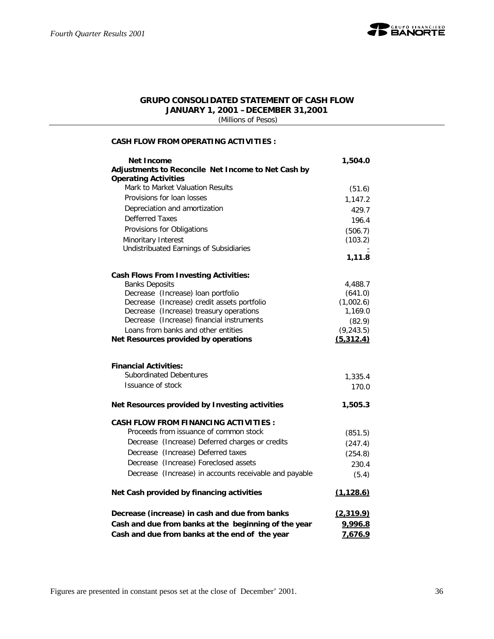

#### **GRUPO CONSOLIDATED STATEMENT OF CASH FLOW JANUARY 1, 2001 –DECEMBER 31,2001**

 *(Millions of Pesos)*

#### **CASH FLOW FROM OPERATING ACTIVITIES :**

| Net Income                                                                             | 1,504.0              |
|----------------------------------------------------------------------------------------|----------------------|
| Adjustments to Reconcile Net Income to Net Cash by                                     |                      |
| <b>Operating Activities</b><br>Mark to Market Valuation Results                        | (51.6)               |
| Provisions for loan losses                                                             | 1,147.2              |
| Depreciation and amortization                                                          | 429.7                |
| <b>Defferred Taxes</b>                                                                 | 196.4                |
| Provisions for Obligations                                                             | (506.7)              |
| Minoritary Interest                                                                    | (103.2)              |
| Undistribuated Earnings of Subsidiaries                                                |                      |
|                                                                                        | 1,11.8               |
| <b>Cash Flows From Investing Activities:</b>                                           |                      |
| <b>Banks Deposits</b>                                                                  | 4,488.7              |
| Decrease (Increase) loan portfolio                                                     | (641.0)              |
| Decrease (Increase) credit assets portfolio<br>Decrease (Increase) treasury operations | (1,002.6)<br>1,169.0 |
| Decrease (Increase) financial instruments                                              | (82.9)               |
| Loans from banks and other entities                                                    | (9, 243.5)           |
| Net Resources provided by operations                                                   | (5,312.4)            |
|                                                                                        |                      |
| <b>Financial Activities:</b>                                                           |                      |
| <b>Subordinated Debentures</b>                                                         | 1,335.4              |
| Issuance of stock                                                                      | 170.0                |
| Net Resources provided by Investing activities                                         | 1,505.3              |
| <b>CASH FLOW FROM FINANCING ACTIVITIES:</b>                                            |                      |
| Proceeds from issuance of common stock                                                 | (851.5)              |
| Decrease (Increase) Deferred charges or credits                                        | (247.4)              |
| Decrease (Increase) Deferred taxes                                                     | (254.8)              |
| Decrease (Increase) Foreclosed assets                                                  | 230.4                |
| Decrease (Increase) in accounts receivable and payable                                 | (5.4)                |
| Net Cash provided by financing activities                                              | (1, 128.6)           |
| Decrease (increase) in cash and due from banks                                         | (2,319.9)            |
| Cash and due from banks at the beginning of the year                                   | 9,996.8              |
| Cash and due from banks at the end of the year                                         | 7,676.9              |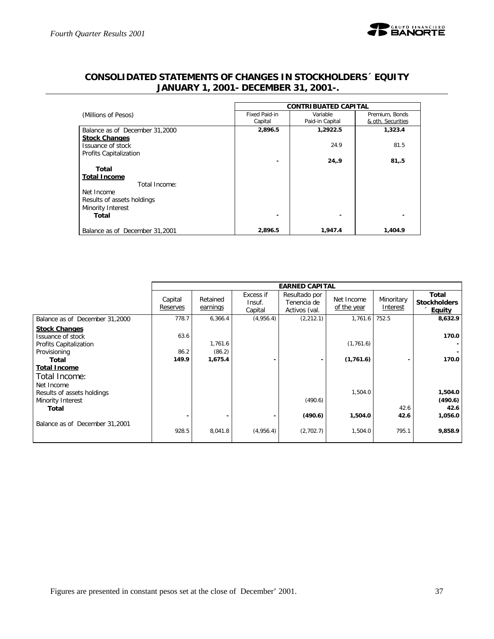

|                                | <b>CONTRIBUATED CAPITAL</b> |                 |                   |  |  |  |  |
|--------------------------------|-----------------------------|-----------------|-------------------|--|--|--|--|
| (Millions of Pesos)            | Fixed Paid-in               | Variable        | Premium, Bonds    |  |  |  |  |
|                                | Capital                     | Paid-in Capital | & oth. Securities |  |  |  |  |
| Balance as of December 31,2000 | 2,896.5                     | 1,2922.5        | 1,323.4           |  |  |  |  |
| <b>Stock Changes</b>           |                             |                 |                   |  |  |  |  |
| Issuance of stock              |                             | 24.9            | 81.5              |  |  |  |  |
| Profits Capitalization         |                             |                 |                   |  |  |  |  |
|                                |                             | 24,9            | 81,5              |  |  |  |  |
| Total                          |                             |                 |                   |  |  |  |  |
| <b>Total Income</b>            |                             |                 |                   |  |  |  |  |
| Total Income:                  |                             |                 |                   |  |  |  |  |
| Net Income                     |                             |                 |                   |  |  |  |  |
| Results of assets holdings     |                             |                 |                   |  |  |  |  |
| Minority Interest              |                             |                 |                   |  |  |  |  |
| Total                          |                             |                 |                   |  |  |  |  |

# **CONSOLIDATED STATEMENTS OF CHANGES IN STOCKHOLDERS´ EQUITY JANUARY 1, 2001- DECEMBER 31, 2001-.**

|                                                                                              |                       |                              |                                | <b>EARNED CAPITAL</b>                         |                           |                        |                                               |
|----------------------------------------------------------------------------------------------|-----------------------|------------------------------|--------------------------------|-----------------------------------------------|---------------------------|------------------------|-----------------------------------------------|
|                                                                                              | Capital<br>Reserves   | Retained<br>earnings         | Excess if<br>Insuf.<br>Capital | Resultado por<br>Tenencia de<br>Activos (val. | Net Income<br>of the year | Minoritary<br>Interest | Total<br><b>Stockholders</b><br><b>Equity</b> |
| Balance as of December 31,2000                                                               | 778.7                 | 6,366.4                      | (4,956.4)                      | (2, 212.1)                                    | 1,761.6                   | 752.5                  | 8,632.9                                       |
| <b>Stock Changes</b><br>Issuance of stock<br>Profits Capitalization<br>Provisioning<br>Total | 63.6<br>86.2<br>149.9 | 1,761.6<br>(86.2)<br>1,675.4 |                                |                                               | (1,761.6)<br>(1,761.6)    |                        | 170.0<br>170.0                                |
| <b>Total Income</b><br>Total Income:<br>Net Income<br>Results of assets holdings             |                       |                              |                                |                                               | 1,504.0                   |                        | 1,504.0                                       |
| Minority Interest<br>Total                                                                   |                       |                              |                                | (490.6)                                       |                           | 42.6                   | (490.6)<br>42.6                               |
| Balance as of December 31,2001                                                               | 928.5                 | 8,041.8                      | (4,956.4)                      | (490.6)<br>(2,702.7)                          | 1,504.0<br>1,504.0        | 42.6<br>795.1          | 1,056.0<br>9,858.9                            |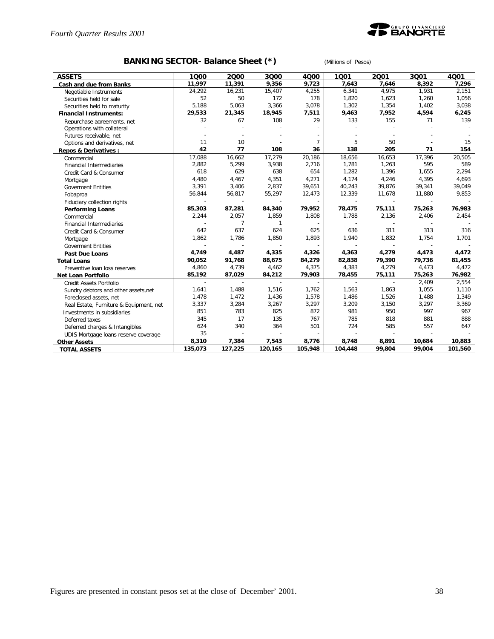

# **BANKING SECTOR- Balance Sheet (\*)** *(Millions of Pesos)*

| <b>ASSETS</b>                           | 1000    | 2000    | 3000                     | 4000                     | 1001    | 2001                     | 3Q01   | 4001    |
|-----------------------------------------|---------|---------|--------------------------|--------------------------|---------|--------------------------|--------|---------|
| Cash and due from Banks                 | 11,997  | 11,391  | 9,356                    | 9,723                    | 7,643   | 7,646                    | 8,392  | 7,296   |
| Negotiable Instruments                  | 24,292  | 16,231  | 15,407                   | 4,255                    | 6,341   | 4,975                    | 1,931  | 2,151   |
| Securities held for sale                | 52      | 50      | 172                      | 178                      | 1,820   | 1,623                    | 1,260  | 1,056   |
| Securities held to maturity             | 5,188   | 5,063   | 3,366                    | 3,078                    | 1,302   | 1,354                    | 1,402  | 3,038   |
| <b>Financial Instruments:</b>           | 29,533  | 21,345  | 18,945                   | 7,511                    | 9,463   | 7,952                    | 4,594  | 6,245   |
| Repurchase agreements, net              | 32      | 67      | 108                      | 29                       | 133     | 155                      | 71     | 139     |
| Operations with collateral              |         |         |                          |                          |         |                          |        |         |
| Futures receivable, net                 |         |         |                          |                          |         |                          |        |         |
| Options and derivatives, net            | 11      | 10      |                          | $\overline{7}$           | 5       | 50                       |        | 15      |
| Repos & Derivatives:                    | 42      | 77      | 108                      | 36                       | 138     | 205                      | 71     | 154     |
| Commercial                              | 17,088  | 16,662  | 17,279                   | 20,186                   | 18,656  | 16,653                   | 17,396 | 20,505  |
| <b>Financial Intermediaries</b>         | 2,882   | 5,299   | 3,938                    | 2,716                    | 1,781   | 1,263                    | 595    | 589     |
| Credit Card & Consumer                  | 618     | 629     | 638                      | 654                      | 1,282   | 1,396                    | 1,655  | 2,294   |
| Mortgage                                | 4,480   | 4,467   | 4,351                    | 4,271                    | 4,174   | 4,246                    | 4,395  | 4,693   |
| <b>Goverment Entities</b>               | 3,391   | 3,406   | 2,837                    | 39,651                   | 40,243  | 39,876                   | 39,341 | 39,049  |
| Fobaproa                                | 56,844  | 56,817  | 55,297                   | 12,473                   | 12,339  | 11,678                   | 11,880 | 9,853   |
| Fiduciary collection rights             | $\sim$  |         | $\overline{\phantom{a}}$ | ÷.                       |         | $\sim$                   | $\sim$ |         |
| <b>Performing Loans</b>                 | 85,303  | 87,281  | 84,340                   | 79,952                   | 78,475  | 75,111                   | 75,263 | 76,983  |
| Commercial                              | 2,244   | 2,057   | 1,859                    | 1,808                    | 1,788   | 2,136                    | 2,406  | 2,454   |
| <b>Financial Intermediaries</b>         |         | 7       | 1                        |                          |         |                          |        |         |
| Credit Card & Consumer                  | 642     | 637     | 624                      | 625                      | 636     | 311                      | 313    | 316     |
| Mortgage                                | 1,862   | 1,786   | 1,850                    | 1,893                    | 1,940   | 1,832                    | 1,754  | 1,701   |
| <b>Goverment Entities</b>               | $\sim$  |         | $\overline{\phantom{a}}$ | $\overline{\phantom{a}}$ |         | $\overline{\phantom{a}}$ | $\sim$ |         |
| <b>Past Due Loans</b>                   | 4,749   | 4,487   | 4,335                    | 4,326                    | 4,363   | 4,279                    | 4,473  | 4,472   |
| <b>Total Loans</b>                      | 90,052  | 91,768  | 88,675                   | 84,279                   | 82,838  | 79,390                   | 79,736 | 81,455  |
| Preventive loan loss reserves           | 4,860   | 4,739   | 4,462                    | 4,375                    | 4,383   | 4,279                    | 4,473  | 4,472   |
| Net Loan Portfolio                      | 85,192  | 87,029  | 84,212                   | 79,903                   | 78,455  | 75,111                   | 75,263 | 76,982  |
| Credit Assets Portfolio                 | $\sim$  | $\sim$  | $\overline{\phantom{a}}$ | $\overline{\phantom{a}}$ |         | $\blacksquare$           | 2,409  | 2,554   |
| Sundry debtors and other assets, net    | 1,641   | 1,488   | 1,516                    | 1,762                    | 1,563   | 1,863                    | 1,055  | 1,110   |
| Foreclosed assets, net                  | 1,478   | 1,472   | 1,436                    | 1,578                    | 1,486   | 1,526                    | 1,488  | 1,349   |
| Real Estate, Furniture & Equipment, net | 3,337   | 3,284   | 3,267                    | 3,297                    | 3,209   | 3,150                    | 3,297  | 3,369   |
| Investments in subsidiaries             | 851     | 783     | 825                      | 872                      | 981     | 950                      | 997    | 967     |
| Deferred taxes                          | 345     | 17      | 135                      | 767                      | 785     | 818                      | 881    | 888     |
| Deferred charges & Intangibles          | 624     | 340     | 364                      | 501                      | 724     | 585                      | 557    | 647     |
| UDIS Mortgage loans reserve coverage    | 35      |         |                          |                          |         |                          |        |         |
| <b>Other Assets</b>                     | 8,310   | 7,384   | 7,543                    | 8,776                    | 8,748   | 8,891                    | 10,684 | 10,883  |
| <b>TOTAL ASSETS</b>                     | 135,073 | 127,225 | 120,165                  | 105,948                  | 104,448 | 99.804                   | 99.004 | 101,560 |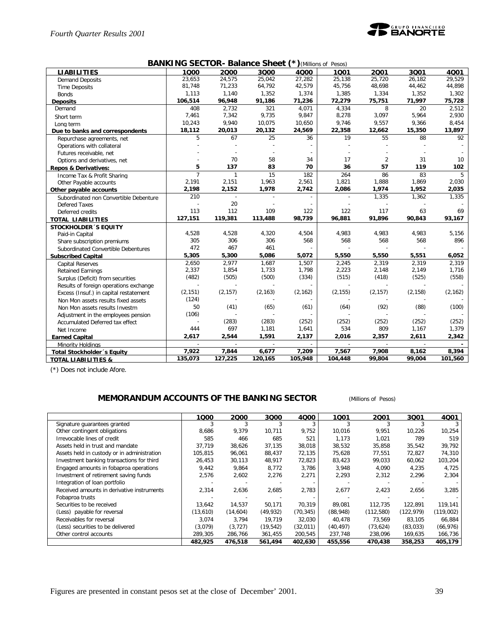

| <b>BANKING SECTOR- Balance Sheet (*)</b> (Millions of Pesos) |  |  |
|--------------------------------------------------------------|--|--|
|--------------------------------------------------------------|--|--|

| <b>LIABILITIES</b>                     | 1000           | 2000         | 3Q00           | $\lambda$<br>4000 | .<br>1001 | 2001           | 3001          | 4Q01     |
|----------------------------------------|----------------|--------------|----------------|-------------------|-----------|----------------|---------------|----------|
| <b>Demand Deposits</b>                 | 23,653         | 24,575       | 25,042         | 27,282            | 25,138    | 25,720         | 26,182        | 29,529   |
| <b>Time Deposits</b>                   | 81,748         | 71,233       | 64,792         | 42,579            | 45,756    | 48,698         | 44,462        | 44,898   |
| <b>Bonds</b>                           | 1,113          | 1,140        | 1,352          | 1,374             | 1,385     | 1,334          | 1,352         | 1,302    |
| <b>Deposits</b>                        | 106,514        | 96,948       | 91,186         | 71,236            | 72,279    | 75,751         | 71,997        | 75,728   |
| Demand                                 | 408            | 2,732        | 321            | 4,071             | 4,334     | 8              | 20            | 2,512    |
| Short term                             | 7,461          | 7,342        | 9,735          | 9,847             | 8,278     | 3,097          | 5,964         | 2,930    |
| Long term                              | 10,243         | 9,940        | 10,075         | 10,650            | 9,746     | 9,557          | 9,366         | 8,454    |
| Due to banks and correspondents        | 18,112         | 20,013       | 20,132         | 24,569            | 22,358    | 12,662         | 15,350        | 13,897   |
| Repurchase agreements, net             | 5              | 67           | 25             | 36                | 19        | 55             | 88            | 92       |
| Operations with collateral             |                |              |                |                   |           |                |               |          |
| Futures receivable, net                |                |              |                |                   |           |                |               |          |
| Options and derivatives, net           |                | 70           | 58             | 34                | 17        | $\overline{2}$ | 31            | 10       |
| <b>Repos &amp; Derivatives:</b>        | 5              | 137          | 83             | 70                | 36        | 57             | 119           | 102      |
| Income Tax & Profit Sharing            | $\overline{7}$ | $\mathbf{1}$ | 15             | 182               | 264       | 86             | 83            | 5        |
| Other Payable accounts                 | 2,191          | 2,151        | 1,963          | 2,561             | 1,821     | 1,888          | 1,869         | 2,030    |
| Other payable accounts                 | 2,198          | 2,152        | 1,978          | 2,742             | 2,086     | 1,974          | 1,952         | 2,035    |
| Subordinated non Convertible Debenture | 210            |              |                |                   |           | 1,335          | 1,362         | 1,335    |
| <b>Defered Taxes</b>                   |                | 20           |                |                   |           |                |               |          |
| Deferred credits                       | 113            | 112          | 109            | 122               | 122       | 117            | 63            | 69       |
| <b>TOTAL LIABILITIES</b>               | 127,151        | 119,381      | 113,488        | 98,739            | 96,881    | 91,896         | 90,843        | 93,167   |
| <b>STOCKHOLDER 'S EQUITY</b>           |                |              |                |                   |           |                |               |          |
| Paid-in Capital                        | 4,528          | 4,528        | 4,320          | 4,504             | 4,983     | 4,983          | 4,983         | 5,156    |
| Share subscription premiums            | 305            | 306          | 306            | 568               | 568       | 568            | 568           | 896      |
| Subordinated Convertible Debentures    | 472            | 467          | 461            |                   |           |                |               |          |
| <b>Subscribed Capital</b>              | 5,305          | 5,300        | 5,086          | 5,072             | 5,550     | 5,550          | 5,551         | 6,052    |
| <b>Capital Reserves</b>                | 2,650          | 2,977        | 1,687          | 1,507             | 2,245     | 2,319          | 2,319         | 2,319    |
| <b>Retained Earnings</b>               | 2,337          | 1,854        | 1,733          | 1,798             | 2,223     | 2,148          | 2,149         | 1,716    |
| Surplus (Deficit) from securities      | (482)          | (505)        | (500)          | (334)             | (515)     | (418)          | (525)         | (558)    |
| Results of foreign operations exchange |                |              |                |                   |           |                |               |          |
| Excess (Insuf.) in capital restatement | (2, 151)       | (2, 157)     | (2, 163)       | (2, 162)          | (2, 155)  | (2, 157)       | (2, 158)      | (2, 162) |
| Non Mon assets results fixed assets    | (124)          |              |                |                   |           |                |               |          |
| Non Mon assets results Investm         | 50             | (41)         | (65)           | (61)              | (64)      | (92)           | (88)          | (100)    |
| Adjustment in the employees pension    | (106)          |              |                |                   |           |                |               |          |
| Accumulated Deferred tax effect        |                | (283)        | (283)          | (252)             | (252)     | (252)          | (252)         | (252)    |
| Net Income                             | 444            | 697          | 1,181          | 1,641             | 534       | 809            | 1,167         | 1,379    |
| <b>Earned Capital</b>                  | 2,617          | 2,544        | 1,591          | 2,137             | 2,016     | 2,357          | 2,611         | 2,342    |
| Minority Holdings                      | ÷              | $\sim$       | $\overline{a}$ | $\sim$            |           | $\sim$         | $\mathcal{L}$ |          |
| <b>Total Stockholder</b> 's Equity     | 7,922          | 7,844        | 6,677          | 7,209             | 7,567     | 7,908          | 8,162         | 8,394    |
| <b>TOTAL LIABILITIES &amp;</b>         | 135,073        | 127,225      | 120,165        | 105,948           | 104,448   | 99,804         | 99.004        | 101,560  |

(\*) Does not include Afore.

### **MEMORANDUM ACCOUNTS OF THE BANKING SECTOR** *(Millions of Pesos)*

|                                             | 1Q00     | 2000     | 3000      | 4000      | 1001      | 2001       | 3Q01       | 4001      |
|---------------------------------------------|----------|----------|-----------|-----------|-----------|------------|------------|-----------|
| Signature guarantees granted                |          |          |           |           |           |            |            |           |
| Other contingent obligations                | 8,686    | 9,379    | 10,711    | 9,752     | 10,016    | 9,951      | 10,226     | 10,254    |
| Irrevocable lines of credit                 | 585      | 466      | 685       | 521       | 1,173     | 1,021      | 789        | 519       |
| Assets held in trust and mandate            | 37,719   | 38,626   | 37,135    | 38,018    | 38,532    | 35,858     | 35,542     | 39,792    |
| Assets held in custody or in administration | 105.815  | 96,061   | 88,437    | 72,135    | 75,628    | 77,551     | 72,827     | 74,310    |
| Investment banking transactions for third   | 26,453   | 30,113   | 48,917    | 72,823    | 83,423    | 99,033     | 60,062     | 103,204   |
| Engaged amounts in fobaproa operations      | 9,442    | 9,864    | 8,772     | 3,786     | 3,948     | 4,090      | 4,235      | 4,725     |
| Investment of retirement saving funds       | 2,576    | 2,602    | 2,276     | 2,271     | 2,293     | 2,312      | 2,296      | 2,304     |
| Integration of loan portfolio               |          |          |           |           |           |            |            |           |
| Received amounts in derivative instruments  | 2,314    | 2,636    | 2,685     | 2,783     | 2,677     | 2,423      | 2,656      | 3,285     |
| Fobaproa trusts                             |          |          |           |           |           |            |            |           |
| Securities to be received                   | 13,642   | 14,537   | 50,171    | 70,319    | 89,081    | 112,735    | 122,891    | 119,141   |
| (Less) payable for reversal                 | (13,610) | (14,604) | (49, 932) | (70, 345) | (88,948)  | (112, 580) | (122, 979) | (119,002) |
| Receivables for reversal                    | 3.074    | 3,794    | 19.719    | 32,030    | 40.478    | 73,569     | 83,105     | 66,884    |
| (Less) securities to be delivered           | (3,079)  | (3, 727) | (19, 542) | (32,011)  | (40, 497) | (73, 624)  | (83,033)   | (66, 976) |
| Other control accounts                      | 289,305  | 286,766  | 361,455   | 200,545   | 237,748   | 238,096    | 169,635    | 166,736   |
|                                             | 482,925  | 476,518  | 561,494   | 402,630   | 455,556   | 470,438    | 358,253    | 405,179   |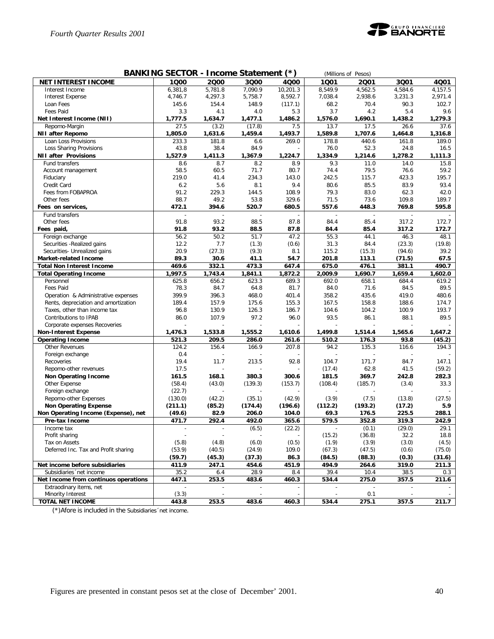

|                                                            | BANKING SECTOR - Income Statement (*) |                                   |                   |                                    |                 | (Millions of Pesos) |                 |                 |
|------------------------------------------------------------|---------------------------------------|-----------------------------------|-------------------|------------------------------------|-----------------|---------------------|-----------------|-----------------|
| <b>NET INTEREST INCOME</b>                                 | 1000                                  | 2000                              | 3Q00              | 4Q00                               | 1Q01            | 2001                | 3Q01            | 4Q01            |
| Interest Income                                            | 6,381,8                               | 5,781.8                           | 7,090.9           | 10,201.3                           | 8,549.9         | 4,562.5             | 4,584.6         | 4,157.5         |
| Interest Expense                                           | 4,746.7                               | 4,297.3                           | 5,758.7           | 8,592.7                            | 7,038.4         | 2,938.6             | 3,231.3         | 2,971.4         |
| Loan Fees                                                  | 145.6                                 | 154.4                             | 148.9             | (117.1)                            | 68.2            | 70.4                | 90.3            | 102.7           |
| <b>Fees Paid</b>                                           | 3.3                                   | 4.1                               | 4.0               | 5.3                                | 3.7             | 4.2                 | 5.4             | 9.6             |
| Net Interest Income (NII)                                  | 1,777.5                               | 1,634.7                           | 1,477.1           | 1,486.2                            | 1,576.0         | 1,690.1             | 1,438.2         | 1,279.3         |
| Repomo-Margin                                              | 27.5                                  | (3.2)                             | (17.8)            | 7.5                                | 13.7            | 17.5                | 26.6            | 37.6            |
| <b>NII after Repomo</b>                                    | 1,805.0                               | 1,631.6                           | 1,459.4           | 1,493.7                            | 1,589.8         | 1,707.6             | 1,464.8         | 1,316.8         |
| Loan Loss Provisions                                       | 233.3                                 | 181.8                             | 6.6               | 269.0                              | 178.8           | 440.6               | 161.8           | 189.0           |
| Loss Sharing Provisions                                    | 43.8                                  | 38.4                              | 84.9              |                                    | 76.0            | 52.3                | 24.8            | 16.5            |
| <b>NII after Provisions</b>                                | 1,527.9                               | 1,411.3                           | 1,367.9           | 1,224.7                            | 1,334.9         | 1,214.6             | 1,278.2         | 1,111.3         |
| Fund transfers                                             | 8.6                                   | 8.7                               | 8.2               | 8.9                                | 9.3             | 11.0                | 14.0            | 15.8            |
| Account management                                         | 58.5                                  | 60.5                              | 71.7              | 80.7                               | 74.4            | 79.5                | 76.6            | 59.2            |
| Fiduciary                                                  | 219.0                                 | 41.4                              | 234.3             | 143.0                              | 242.5           | 115.7               | 423.3           | 195.7           |
| Credit Card                                                | 6.2                                   | 5.6                               | 8.1               | 9.4                                | 80.6            | 85.5                | 83.9            | 93.4            |
| Fees from FOBAPROA                                         | 91.2                                  | 229.3                             | 144.5             | 108.9                              | 79.3            | 83.0                | 62.3            | 42.0            |
| Other fees                                                 | 88.7                                  | 49.2                              | 53.8              | 329.6                              | 71.5            | 73.6                | 109.8           | 189.7           |
| Fees on services,                                          | 472.1                                 | 394.6                             | 520.7             | 680.5                              | 557.6           | 448.3               | 769.8           | 595.8           |
| Fund transfers                                             |                                       |                                   |                   |                                    |                 |                     |                 |                 |
| Other fees                                                 | 91.8                                  | 93.2                              | 88.5              | 87.8                               | 84.4            | 85.4                | 317.2           | 172.7           |
| Fees paid,                                                 | 91.8                                  | 93.2                              | 88.5              | 87.8                               | 84.4            | 85.4                | 317.2           | 172.7           |
| Foreign exchange                                           | 56.2                                  | 50.2                              | 51.7              | 47.2                               | 55.3            | 44.1                | 46.3            | 48.1            |
| Securities - Realized gains                                | 12.2                                  | 7.7                               | (1.3)             | (0.6)                              | 31.3            | 84.4                | (23.3)          | (19.8)          |
| Securities- Unrealized gains                               | 20.9                                  | (27.3)                            | (9.3)             | 8.1                                | 115.2           | (15.3)              | (94.6)          | 39.2            |
| Market-related Income                                      | 89.3                                  | 30.6                              | 41.1              | 54.7                               | 201.8           | 113.1               | (71.5)          | 67.5            |
| <b>Total Non Interest Income</b>                           | 469.6                                 | 332.1                             | 473.3             | 647.4                              | 675.0           | 476.1               | 381.1           | 490.7           |
| <b>Total Operating Income</b>                              | 1,997.5                               | 1,743.4                           | 1,841.1           | 1,872.2                            | 2,009.9         | 1,690.7             | 1,659.4         | 1,602.0         |
| Personnel                                                  | 625.8                                 | 656.2                             | 623.3             | 689.3                              | 692.0           | 658.1               | 684.4           | 619.2           |
| <b>Fees Paid</b>                                           | 78.3                                  | 84.7                              | 64.8              | 81.7                               | 84.0            | 71.6                | 84.5            | 89.5            |
| Operation & Administrative expenses                        | 399.9                                 | 396.3                             | 468.0             | 401.4                              | 358.2           | 435.6               | 419.0           | 480.6           |
| Rents, depreciation and amortization                       | 189.4                                 | 157.9                             | 175.6             | 155.3                              | 167.5           | 158.8               | 188.6           | 174.7           |
| Taxes, other than income tax                               | 96.8                                  | 130.9                             | 126.3             | 186.7                              | 104.6           | 104.2               | 100.9           | 193.7           |
| Contributions to IPAB                                      | 86.0                                  | 107.9                             | 97.2              | 96.0                               | 93.5            | 86.1                | 88.1            | 89.5            |
| Corporate expenses Recoveries                              |                                       |                                   |                   |                                    |                 |                     |                 |                 |
| <b>Non-Interest Expense</b>                                | 1,476.3                               | 1,533.8                           | 1,555.2           | 1,610.6                            | 1,499.8         | 1,514.4             | 1,565.6         | 1,647.2         |
| <b>Operating Income</b>                                    | 521.3                                 | 209.5                             | 286.0             | 261.6                              | 510.2           | 176.3               | 93.8            | (45.2)          |
| Other Revenues                                             | 124.2                                 | 156.4                             | 166.9             | 207.8                              | 94.2            | 135.3               | 116.6           | 194.3           |
| Foreign exchange                                           | 0.4                                   |                                   |                   |                                    |                 |                     |                 |                 |
| Recoveries                                                 | 19.4                                  | 11.7                              | 213.5             | 92.8                               | 104.7           | 171.7<br>62.8       | 84.7            | 147.1           |
| Repomo-other revenues                                      | 17.5                                  |                                   |                   |                                    | (17.4)          |                     | 41.5            | (59.2)          |
| Non Operating Income                                       | 161.5                                 | 168.1<br>(43.0)                   | 380.3<br>(139.3)  | 300.6                              | 181.5           | 369.7               | 242.8           | 282.3           |
| Other Expense<br>Foreign exchange                          | (58.4)<br>(22.7)                      |                                   |                   | (153.7)                            | (108.4)         | (185.7)             | (3.4)           | 33.3            |
|                                                            |                                       |                                   |                   |                                    |                 |                     |                 |                 |
| Repomo-other Expenses                                      | (130.0)<br>(211.1)                    | (42.2)                            | (35.1)<br>(174.4) | (42.9)                             | (3.9)           | (7.5)<br>(193.2)    | (13.8)          | (27.5)          |
| <b>Non Operating Expense</b>                               | (49.6)                                | (85.2)                            |                   | (196.6)                            | (112.2)<br>69.3 |                     | (17.2)<br>225.5 | 5.9<br>288.1    |
| Non Operating Income (Expense), net                        |                                       | 82.9                              | 206.0             | 104.0                              |                 | 176.5               |                 |                 |
| Pre-tax Income                                             | 471.7                                 | 292.4<br>$\overline{\phantom{a}}$ | 492.0             | 365.6                              | 579.5           | 352.8               | 319.3           | 242.9           |
| Income tax                                                 |                                       |                                   | (6.5)             | (22.2)<br>$\overline{\phantom{a}}$ |                 | (0.1)               | (29.0)<br>32.2  | 29.1<br>18.8    |
| Profit sharing<br>Tax on Assets                            | (5.8)                                 | (4.8)                             | (6.0)             | (0.5)                              | (15.2)<br>(1.9) | (36.8)<br>(3.9)     | (3.0)           |                 |
|                                                            | (53.9)                                |                                   | (24.9)            |                                    |                 | (47.5)              | (0.6)           | (4.5)<br>(75.0) |
| Deferred Inc. Tax and Profit sharing                       | (59.7)                                | (40.5)<br>(45.3)                  | (37.3)            | 109.0<br>86.3                      | (67.3)          | (88.3)              |                 | (31.6)          |
|                                                            | 411.9                                 |                                   | 454.6             |                                    | (84.5)<br>494.9 | 264.6               | (0.3)           |                 |
| Net income before subsidiaries<br>Subsidiaries 'net income | 35.2                                  | 247.1                             | 28.9              | 451.9                              |                 |                     | 319.0<br>38.5   | 211.3           |
| Net Income from continuos operations                       | 447.1                                 | 6.4<br>253.5                      | 483.6             | 8.4<br>460.3                       | 39.4<br>534.4   | 10.4<br>275.0       | 357.5           | 0.3<br>211.6    |
| Extraodinary items, net                                    |                                       |                                   |                   |                                    |                 |                     |                 |                 |
| Minority Interest                                          | (3.3)                                 |                                   |                   |                                    |                 | 0.1                 |                 |                 |
| TOTAL NET INCOME                                           | 443.8                                 | 253.5                             | 483.6             | 460.3                              | 534.4           | 275.1               | 357.5           | 211.7           |
|                                                            |                                       |                                   |                   |                                    |                 |                     |                 |                 |

(\*)Afore is included in the Subsidiaries´net income.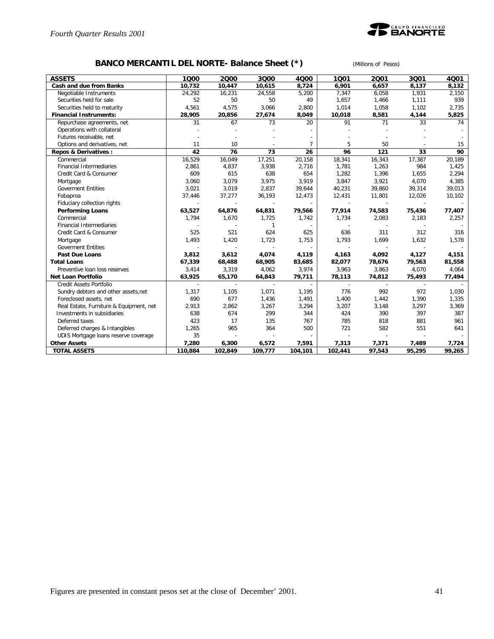

# **BANCO MERCANTIL DEL NORTE- Balance Sheet (\*)** *(Millions of Pesos)*

| <b>ASSETS</b>                           | 1000           | 2000    | 3Q00           | 4000                     | 1001    | 2001                     | 3Q01   | 4001   |
|-----------------------------------------|----------------|---------|----------------|--------------------------|---------|--------------------------|--------|--------|
| Cash and due from Banks                 | 10,732         | 10,447  | 10,615         | 8,724                    | 6,901   | 6,657                    | 8,137  | 8,132  |
| Negotiable Instruments                  | 24,292         | 16,231  | 24,558         | 5,200                    | 7,347   | 6,058                    | 1,931  | 2,150  |
| Securities held for sale                | 52             | 50      | 50             | 49                       | 1,657   | 1,466                    | 1,111  | 939    |
| Securities held to maturity             | 4,561          | 4,575   | 3,066          | 2,800                    | 1,014   | 1,058                    | 1,102  | 2,735  |
| <b>Financial Instruments:</b>           | 28,905         | 20,856  | 27,674         | 8,049                    | 10,018  | 8,581                    | 4,144  | 5,825  |
| Repurchase agreements, net              | 31             | 67      | 73             | 20                       | 91      | 71                       | 33     | 74     |
| Operations with collateral              |                |         |                |                          |         |                          |        |        |
| Futures receivable, net                 |                |         |                |                          |         |                          |        |        |
| Options and derivatives, net            | 11             | 10      |                | 7                        | 5       | 50                       |        | 15     |
| <b>Repos &amp; Derivatives:</b>         | 42             | 76      | 73             | 26                       | 96      | 121                      | 33     | 90     |
| Commercial                              | 16,529         | 16,049  | 17,251         | 20,158                   | 18,341  | 16,343                   | 17,387 | 20,189 |
| <b>Financial Intermediaries</b>         | 2,861          | 4,837   | 3,938          | 2,716                    | 1,781   | 1,263                    | 984    | 1,425  |
| Credit Card & Consumer                  | 609            | 615     | 638            | 654                      | 1,282   | 1,396                    | 1,655  | 2,294  |
| Mortgage                                | 3,060          | 3,079   | 3,975          | 3,919                    | 3,847   | 3,921                    | 4,070  | 4,385  |
| <b>Goverment Entities</b>               | 3,021          | 3,019   | 2,837          | 39,644                   | 40,231  | 39,860                   | 39,314 | 39,013 |
| Fobaproa                                | 37,446         | 37,277  | 36,193         | 12,473                   | 12,431  | 11,801                   | 12,026 | 10,102 |
| Fiduciary collection rights             | $\overline{a}$ | $\sim$  | $\overline{a}$ | $\sim$                   |         | $\sim$                   | $\sim$ |        |
| <b>Performing Loans</b>                 | 63,527         | 64,876  | 64,831         | 79,566                   | 77,914  | 74,583                   | 75,436 | 77,407 |
| Commercial                              | 1,794          | 1,670   | 1,725          | 1,742                    | 1,734   | 2,083                    | 2,183  | 2,257  |
| <b>Financial Intermediaries</b>         |                | $\sim$  | 1              | $\sim$                   |         | $\overline{\phantom{a}}$ | $\sim$ |        |
| Credit Card & Consumer                  | 525            | 521     | 624            | 625                      | 636     | 311                      | 312    | 316    |
| Mortgage                                | 1,493          | 1,420   | 1,723          | 1,753                    | 1,793   | 1,699                    | 1,632  | 1,578  |
| <b>Goverment Entities</b>               |                |         |                | $\overline{\phantom{a}}$ | $\sim$  |                          |        |        |
| <b>Past Due Loans</b>                   | 3,812          | 3,612   | 4,074          | 4,119                    | 4,163   | 4,092                    | 4,127  | 4,151  |
| <b>Total Loans</b>                      | 67,339         | 68,488  | 68,905         | 83,685                   | 82,077  | 78,676                   | 79,563 | 81,558 |
| Preventive loan loss reserves           | 3,414          | 3,319   | 4,062          | 3,974                    | 3,963   | 3,863                    | 4,070  | 4,064  |
| <b>Net Loan Portfolio</b>               | 63,925         | 65,170  | 64,843         | 79,711                   | 78,113  | 74,812                   | 75,493 | 77,494 |
| Credit Assets Portfolio                 | $\overline{a}$ | $\sim$  | $\sim$         | $\overline{\phantom{a}}$ | $\sim$  | $\sim$                   | $\sim$ |        |
| Sundry debtors and other assets, net    | 1,317          | 1,105   | 1,071          | 1,195                    | 776     | 992                      | 972    | 1,030  |
| Foreclosed assets, net                  | 690            | 677     | 1,436          | 1,491                    | 1,400   | 1,442                    | 1,390  | 1,335  |
| Real Estate, Furniture & Equipment, net | 2,913          | 2,862   | 3,267          | 3,294                    | 3,207   | 3,148                    | 3,297  | 3,369  |
| Investments in subsidiaries             | 638            | 674     | 299            | 344                      | 424     | 390                      | 397    | 387    |
| Deferred taxes                          | 423            | 17      | 135            | 767                      | 785     | 818                      | 881    | 961    |
| Deferred charges & Intangibles          | 1,265          | 965     | 364            | 500                      | 721     | 582                      | 551    | 641    |
| UDIS Mortgage loans reserve coverage    | 35             |         |                |                          |         |                          |        |        |
| <b>Other Assets</b>                     | 7,280          | 6,300   | 6,572          | 7,591                    | 7,313   | 7,371                    | 7,489  | 7,724  |
| <b>TOTAL ASSETS</b>                     | 110,884        | 102,849 | 109,777        | 104,101                  | 102,441 | 97,543                   | 95,295 | 99,265 |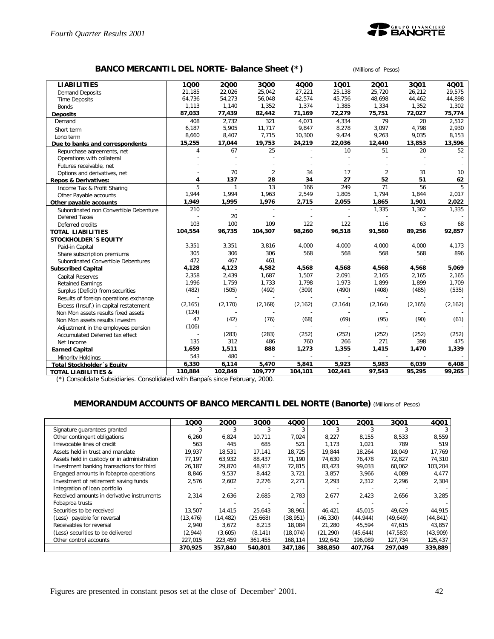

### **BANCO MERCANTIL DEL NORTE- Balance Sheet (\*)** *(Millions of Pesos)*

| <b>LIABILITIES</b>                     | 1000     | 2000         | 3Q00           | 4000     | 1001     | 2001           | 3Q01           | 4Q01     |
|----------------------------------------|----------|--------------|----------------|----------|----------|----------------|----------------|----------|
| <b>Demand Deposits</b>                 | 21,185   | 22,026       | 25,042         | 27,221   | 25,138   | 25,720         | 26,212         | 29,575   |
| <b>Time Deposits</b>                   | 64,736   | 54,273       | 56,048         | 42,574   | 45,756   | 48,698         | 44,462         | 44,898   |
| <b>Bonds</b>                           | 1,113    | 1,140        | 1,352          | 1,374    | 1,385    | 1,334          | 1,352          | 1,302    |
| <b>Deposits</b>                        | 87,033   | 77,439       | 82,442         | 71,169   | 72,279   | 75,751         | 72,027         | 75,774   |
| Demand                                 | 408      | 2,732        | 321            | 4,071    | 4,334    | 79             | 20             | 2,512    |
| Short term                             | 6,187    | 5,905        | 11,717         | 9,847    | 8,278    | 3,097          | 4,798          | 2,930    |
| Long term                              | 8,660    | 8,407        | 7,715          | 10,300   | 9,424    | 9,263          | 9,035          | 8,153    |
| Due to banks and correspondents        | 15,255   | 17,044       | 19,753         | 24,219   | 22,036   | 12,440         | 13,853         | 13,596   |
| Repurchase agreements, net             | 4        | 67           | 25             |          | 10       | 51             | 20             | 52       |
| Operations with collateral             |          |              |                |          |          |                |                |          |
| Futures receivable, net                |          |              |                |          |          |                |                |          |
| Options and derivatives, net           |          | 70           | $\overline{2}$ | 34       | 17       | $\overline{2}$ | 31             | 10       |
| <b>Repos &amp; Derivatives:</b>        | 4        | 137          | 28             | 34       | 27       | 52             | 51             | 62       |
| Income Tax & Profit Sharing            | 5        | $\mathbf{1}$ | 13             | 166      | 249      | 71             | 56             | 5        |
| Other Payable accounts                 | 1,944    | 1,994        | 1,963          | 2,549    | 1,805    | 1,794          | 1,844          | 2,017    |
| Other payable accounts                 | 1,949    | 1,995        | 1,976          | 2,715    | 2,055    | 1,865          | 1,901          | 2,022    |
| Subordinated non Convertible Debenture | 210      |              |                |          |          | 1,335          | 1,362          | 1,335    |
| Defered Taxes                          |          | 20           |                |          |          |                |                |          |
| Deferred credits                       | 103      | 100          | 109            | 122      | 122      | 116            | 63             | 68       |
| <b>TOTAL LIABILITIES</b>               | 104,554  | 96,735       | 104,307        | 98,260   | 96,518   | 91,560         | 89,256         | 92,857   |
| <b>STOCKHOLDER 'S EQUITY</b>           |          |              |                |          |          |                |                |          |
| Paid-in Capital                        | 3,351    | 3,351        | 3,816          | 4,000    | 4,000    | 4,000          | 4,000          | 4,173    |
| Share subscription premiums            | 305      | 306          | 306            | 568      | 568      | 568            | 568            | 896      |
| Subordinated Convertible Debentures    | 472      | 467          | 461            |          |          |                |                |          |
| <b>Subscribed Capital</b>              | 4,128    | 4,123        | 4,582          | 4,568    | 4,568    | 4,568          | 4,568          | 5,069    |
| Capital Reserves                       | 2.358    | 2.439        | 1.687          | 1,507    | 2.091    | 2,165          | 2,165          | 2.165    |
| <b>Retained Earnings</b>               | 1,996    | 1,759        | 1,733          | 1,798    | 1,973    | 1,899          | 1,899          | 1,709    |
| Surplus (Deficit) from securities      | (482)    | (505)        | (492)          | (309)    | (490)    | (408)          | (485)          | (535)    |
| Results of foreign operations exchange |          |              |                |          |          |                |                |          |
| Excess (Insuf.) in capital restatement | (2, 165) | (2, 170)     | (2, 168)       | (2, 162) | (2, 164) | (2, 164)       | (2, 165)       | (2, 162) |
| Non Mon assets results fixed assets    | (124)    |              |                |          |          |                |                |          |
| Non Mon assets results Investm         | 47       | (42)         | (76)           | (68)     | (69)     | (95)           | (90)           | (61)     |
| Adjustment in the employees pension    | (106)    |              |                |          |          |                |                |          |
| Accumulated Deferred tax effect        |          | (283)        | (283)          | (252)    | (252)    | (252)          | (252)          | (252)    |
| Net Income                             | 135      | 312          | 486            | 760      | 266      | 271            | 398            | 475      |
| <b>Earned Capital</b>                  | 1,659    | 1,511        | 888            | 1,273    | 1,355    | 1,415          | 1,470          | 1,339    |
| Minority Holdings                      | 543      | 480          | $\overline{a}$ |          |          | $\overline{a}$ | $\overline{a}$ |          |
| Total Stockholder's Equity             | 6,330    | 6,114        | 5,470          | 5,841    | 5,923    | 5,983          | 6,039          | 6,408    |
| <b>TOTAL LIABILITIES &amp;</b>         | 110,884  | 102,849      | 109,777        | 104,101  | 102,441  | 97,543         | 95,295         | 99,265   |

(\*) Consolidate Subsidiaries. Consolidated with Banpaís since February, 2000.

#### **MEMORANDUM ACCOUNTS OF BANCO MERCANTIL DEL NORTE (Banorte)** *(Millions of Pesos)*

|                                             | 1000      | 2000      | 3Q00     | 4Q00      | 1Q01      | 2001      | 3Q01      | 4Q01      |
|---------------------------------------------|-----------|-----------|----------|-----------|-----------|-----------|-----------|-----------|
| Signature guarantees granted                |           |           |          |           |           |           |           |           |
| Other contingent obligations                | 6,260     | 6,824     | 10,711   | 7,024     | 8,227     | 8,155     | 8,533     | 8,559     |
| Irrevocable lines of credit                 | 563       | 445       | 685      | 521       | 1,173     | 1,021     | 789       | 519       |
| Assets held in trust and mandate            | 19,937    | 18,531    | 17,141   | 18,725    | 19.844    | 18,264    | 18,049    | 17,769    |
| Assets held in custody or in administration | 77,197    | 63,932    | 88,437   | 71,190    | 74,630    | 76,478    | 72,827    | 74,310    |
| Investment banking transactions for third   | 26,187    | 29,870    | 48,917   | 72,815    | 83,423    | 99,033    | 60,062    | 103,204   |
| Engaged amounts in fobaproa operations      | 8,846     | 9,537     | 8,442    | 3,721     | 3,857     | 3,966     | 4,089     | 4,477     |
| Investment of retirement saving funds       | 2,576     | 2,602     | 2,276    | 2,271     | 2,293     | 2,312     | 2,296     | 2,304     |
| Integration of loan portfolio               |           |           |          |           |           |           |           |           |
| Received amounts in derivative instruments  | 2,314     | 2,636     | 2,685    | 2,783     | 2,677     | 2,423     | 2,656     | 3,285     |
| Fobaproa trusts                             |           |           |          |           |           |           |           |           |
| Securities to be received                   | 13,507    | 14.415    | 25.643   | 38,961    | 46.421    | 45.015    | 49.629    | 44,915    |
| (Less) payable for reversal                 | (13, 476) | (14, 482) | (25,668) | (38, 951) | (46,330)  | (44, 944) | (49, 649) | (44, 841) |
| Receivables for reversal                    | 2.940     | 3,672     | 8.213    | 18,084    | 21.280    | 45.594    | 47.615    | 43,857    |
| (Less) securities to be delivered           | (2,944)   | (3,605)   | (8, 141) | (18, 074) | (21, 290) | (45, 644) | (47, 583) | (43,909)  |
| Other control accounts                      | 227,015   | 223,459   | 361,455  | 168,114   | 192,642   | 196,089   | 127,734   | 125,437   |
|                                             | 370,925   | 357,840   | 540,801  | 347,186   | 388,850   | 407,764   | 297,049   | 339,889   |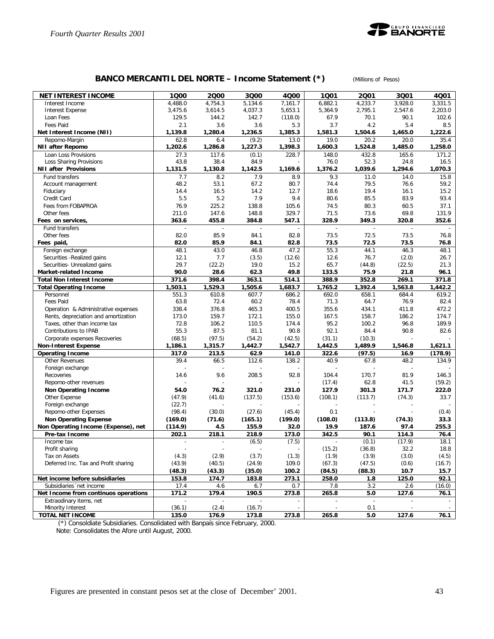

# **BANCO MERCANTIL DEL NORTE – Income Statement (\*)** *(Millions of Pesos)*

| <b>NET INTEREST INCOME</b>                             | 1000             | 2000             | 3000              | 4000              | 1001              | 2001              | 3Q01            | 4Q01               |
|--------------------------------------------------------|------------------|------------------|-------------------|-------------------|-------------------|-------------------|-----------------|--------------------|
| Interest Income                                        | 4,488.0          | 4,754.3          | 5.134.6           | 7,161.7           | 6,882.1           | 4,233.7           | 3.928.0         | 3,331.5            |
| <b>Interest Expense</b>                                | 3,475.6          | 3,614.5          | 4,037.3           | 5,653.1           | 5,364.9           | 2,795.1           | 2,547.6         | 2,203.0            |
| Loan Fees                                              | 129.5            | 144.2            | 142.7             | (118.0)           | 67.9              | 70.1              | 90.1            | 102.6              |
| Fees Paid                                              | 2.1              | 3.6              | 3.6               | 5.3               | 3.7               | 4.2               | 5.4             | 8.5                |
| Net Interest Income (NII)                              | 1,139.8          | 1,280.4          | 1,236.5           | 1,385.3           | 1,581.3           | 1,504.6           | 1,465.0         | 1,222.6            |
| Repomo-Margin<br><b>NII after Repomo</b>               | 62.8<br>1,202.6  | 6.4<br>1,286.8   | (9.2)<br>1,227.3  | 13.0<br>1,398.3   | 19.0<br>1,600.3   | 20.2<br>1,524.8   | 20.0<br>1,485.0 | 35.4<br>1,258.0    |
| Loan Loss Provisions                                   | 27.3             | 117.6            | (0.1)             | 228.7             | 148.0             | 432.8             | 165.6           | 171.2              |
| Loss Sharing Provisions                                | 43.8             | 38.4             | 84.9              |                   | 76.0              | 52.3              | 24.8            | 16.5               |
| <b>NII after Provisions</b>                            | 1,131.5          | 1,130.8          | 1,142.5           | 1,169.6           | 1,376.2           | 1,039.6           | 1,294.6         | 1,070.3            |
| Fund transfers                                         | 7.7              | 8.2              | 7.9               | 8.9               | 9.3               | 11.0              | 14.0            | 15.8               |
| Account management                                     | 48.2             | 53.1             | 67.2              | 80.7              | 74.4              | 79.5              | 76.6            | 59.2               |
| Fiduciary                                              | 14.4             | 16.5             | 14.2              | 12.7              | 18.6              | 19.4              | 16.1            | 15.2               |
| Credit Card                                            | 5.5              | 5.2              | 7.9               | 9.4               | 80.6              | 85.5              | 83.9            | 93.4               |
| Fees from FOBAPROA                                     | 76.9             | 225.2            | 138.8             | 105.6             | 74.5              | 80.3              | 60.5            | 37.1               |
| Other fees                                             | 211.0            | 147.6            | 148.8             | 329.7             | 71.5              | 73.6              | 69.8            | 131.9              |
| Fees on services,                                      | 363.6            | 455.8            | 384.8             | 547.1             | 328.9             | 349.3             | 320.8           | 352.6              |
| Fund transfers                                         |                  |                  |                   |                   |                   |                   |                 |                    |
| Other fees                                             | 82.0<br>82.0     | 85.9<br>85.9     | 84.1<br>84.1      | 82.8<br>82.8      | 73.5<br>73.5      | 72.5<br>72.5      | 73.5<br>73.5    | 76.8               |
| Fees paid,                                             | 48.1             | 43.0             | 46.8              | 47.2              | 55.3              | 44.1              | 46.3            | 76.8<br>48.1       |
| Foreign exchange<br>Securities - Realized gains        | 12.1             | 7.7              | (3.5)             | (12.6)            | 12.6              | 76.7              | (2.0)           | 26.7               |
| Securities- Unrealized gains                           | 29.7             | (22.2)           | 19.0              | 15.2              | 65.7              | (44.8)            | (22.5)          | 21.3               |
| Market-related Income                                  | 90.0             | 28.6             | 62.3              | 49.8              | 133.5             | 75.9              | 21.8            | 96.1               |
| <b>Total Non Interest Income</b>                       | 371.6            | 398.4            | 363.1             | 514.1             | 388.9             | 352.8             | 269.1           | 371.8              |
| <b>Total Operating Income</b>                          | 1,503.1          | 1,529.3          | 1,505.6           | 1,683.7           | 1,765.2           | 1,392.4           | 1,563.8         | 1,442.2            |
| Personnel                                              | 551.3            | 610.8            | 607.7             | 686.2             | 692.0             | 658.1             | 684.4           | 619.2              |
| <b>Fees Paid</b>                                       | 63.8             | 72.4             | 60.2              | 78.4              | 71.3              | 64.7              | 76.9            | 82.4               |
| Operation & Administrative expenses                    | 338.4            | 376.8            | 465.3             | 400.5             | 355.6             | 434.1             | 411.8           | 472.2              |
| Rents, depreciation and amortization                   | 173.0            | 159.7            | 172.1             | 155.0             | 167.5             | 158.7             | 186.2           | 174.7              |
| Taxes, other than income tax                           | 72.8             | 106.2            | 110.5             | 174.4             | 95.2              | 100.2             | 96.8            | 189.9              |
| Contributions to IPAB                                  | 55.3             | 87.5             | 81.1              | 90.8              | 92.1              | 84.4              | 90.8            | 82.6               |
| Corporate expenses Recoveries                          | (68.5)           | (97.5)           | (54.2)<br>1,442.7 | (42.5)<br>1,542.7 | (31.1)<br>1,442.5 | (10.3)<br>1,489.9 |                 |                    |
| <b>Non-Interest Expense</b><br><b>Operating Income</b> | 1,186.1<br>317.0 | 1,315.7<br>213.5 | 62.9              | 141.0             | 322.6             | (97.5)            | 1,546.8<br>16.9 | 1,621.1<br>(178.9) |
| <b>Other Revenues</b>                                  | 39.4             | 66.5             | 112.6             | 138.2             | 40.9              | 67.8              | 48.2            | 134.9              |
| Foreign exchange                                       |                  |                  |                   |                   |                   |                   |                 |                    |
| Recoveries                                             | 14.6             | 9.6              | 208.5             | 92.8              | 104.4             | 170.7             | 81.9            | 146.3              |
| Repomo-other revenues                                  |                  |                  |                   |                   | (17.4)            | 62.8              | 41.5            | (59.2)             |
| Non Operating Income                                   | 54.0             | 76.2             | 321.0             | 231.0             | 127.9             | 301.3             | 171.7           | 222.0              |
| Other Expense                                          | (47.9)           | (41.6)           | (137.5)           | (153.6)           | (108.1)           | (113.7)           | (74.3)          | 33.7               |
| Foreign exchange                                       | (22.7)           |                  |                   |                   |                   |                   |                 |                    |
| Repomo-other Expenses                                  | (98.4)           | (30.0)           | (27.6)            | (45.4)            | 0.1               |                   |                 | (0.4)              |
| <b>Non Operating Expense</b>                           | (169.0)          | (71.6)           | (165.1)           | (199.0)           | (108.0)           | (113.8)           | (74.3)          | 33.3               |
| Non Operating Income (Expense), net                    | (114.9)          | 4.5              | 155.9             | 32.0              | 19.9              | 187.6             | 97.4            | 255.3              |
| Pre-tax Income                                         | 202.1            | 218.1            | 218.9             | 173.0             | 342.5             | 90.1              | 114.3           | 76.4               |
| Income tax                                             |                  |                  | (6.5)             | (7.5)             |                   | (0.1)             | (17.9)          | 18.1               |
| Profit sharing                                         |                  |                  |                   |                   | (15.2)            | (36.8)            | 32.2            | 18.8               |
| Tax on Assets<br>Deferred Inc. Tax and Profit sharing  | (4.3)<br>(43.9)  | (2.9)            | (3.7)<br>(24.9)   | (1.3)<br>109.0    | (1.9)             | (3.9)<br>(47.5)   | (3.0)<br>(0.6)  | (4.5)              |
|                                                        | (48.3)           | (40.5)<br>(43.3) | (35.0)            | 100.2             | (67.3)<br>(84.5)  | (88.3)            | 10.7            | (16.7)<br>15.7     |
| Net income before subsidiaries                         | 153.8            | 174.7            | 183.8             | 273.1             | 258.0             | 1.8               | 125.0           | 92.1               |
| Subsidiaries 'net income                               | 17.4             | 4.6              | 6.7               | 0.7               | 7.8               | 3.2               | 2.6             | (16.0)             |
| Net Income from continuos operations                   | 171.2            | 179.4            | 190.5             | 273.8             | 265.8             | 5.0               | 127.6           | 76.1               |
| Extraodinary items, net                                |                  |                  |                   |                   |                   |                   |                 |                    |
| Minority Interest                                      | (36.1)           | (2.4)            | (16.7)            |                   |                   | 0.1               |                 |                    |
| <b>TOTAL NET INCOME</b>                                | 135.0            | 176.9            | 173.8             | 273.8             | 265.8             | 5.0               | 127.6           | 76.1               |

(\*) Consoldiate Subsidiaries. Consolidated with Banpaís since February, 2000.

Note: Consolidates the Afore until August, 2000.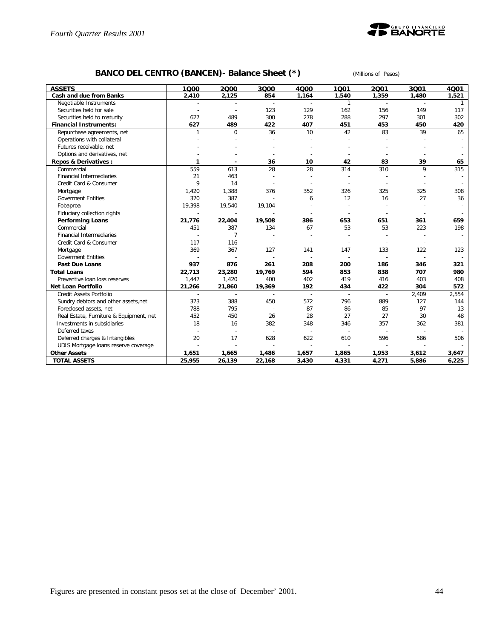

# **BANCO DEL CENTRO (BANCEN)- Balance Sheet (\*)** *(Millions of Pesos)*

| <b>ASSETS</b>                           | 1000                     | 2000           | 3Q00   | 4000  | 1001         | 2001  | 3Q01  | 4001         |
|-----------------------------------------|--------------------------|----------------|--------|-------|--------------|-------|-------|--------------|
| Cash and due from Banks                 | 2,410                    | 2,125          | 854    | 1,164 | 1,540        | 1,359 | 1,480 | 1,521        |
| Negotiable Instruments                  |                          |                |        |       | $\mathbf{1}$ |       |       | $\mathbf{1}$ |
| Securities held for sale                |                          |                | 123    | 129   | 162          | 156   | 149   | 117          |
| Securities held to maturity             | 627                      | 489            | 300    | 278   | 288          | 297   | 301   | 302          |
| <b>Financial Instruments:</b>           | 627                      | 489            | 422    | 407   | 451          | 453   | 450   | 420          |
| Repurchase agreements, net              | 1                        | $\mathbf 0$    | 36     | 10    | 42           | 83    | 39    | 65           |
| Operations with collateral              |                          |                |        |       |              |       |       |              |
| Futures receivable, net                 |                          |                |        |       |              |       |       |              |
| Options and derivatives, net            |                          |                |        |       |              |       |       |              |
| <b>Repos &amp; Derivatives:</b>         | 1                        |                | 36     | 10    | 42           | 83    | 39    | 65           |
| Commercial                              | 559                      | 613            | 28     | 28    | 314          | 310   | 9     | 315          |
| Financial Intermediaries                | 21                       | 463            |        |       |              |       |       |              |
| Credit Card & Consumer                  | 9                        | 14             |        |       |              |       |       |              |
| Mortgage                                | 1,420                    | 1,388          | 376    | 352   | 326          | 325   | 325   | 308          |
| <b>Goverment Entities</b>               | 370                      | 387            |        | 6     | 12           | 16    | 27    | 36           |
| Fobaproa                                | 19,398                   | 19,540         | 19,104 |       |              |       |       |              |
| Fiduciary collection rights             | $\overline{\phantom{a}}$ |                |        |       |              |       |       |              |
| <b>Performing Loans</b>                 | 21,776                   | 22,404         | 19,508 | 386   | 653          | 651   | 361   | 659          |
| Commercial                              | 451                      | 387            | 134    | 67    | 53           | 53    | 223   | 198          |
| <b>Financial Intermediaries</b>         |                          | $\overline{7}$ |        |       |              |       |       |              |
| Credit Card & Consumer                  | 117                      | 116            |        |       |              |       |       |              |
| Mortgage                                | 369                      | 367            | 127    | 141   | 147          | 133   | 122   | 123          |
| <b>Goverment Entities</b>               |                          |                |        |       |              |       |       |              |
| <b>Past Due Loans</b>                   | 937                      | 876            | 261    | 208   | 200          | 186   | 346   | 321          |
| <b>Total Loans</b>                      | 22,713                   | 23,280         | 19,769 | 594   | 853          | 838   | 707   | 980          |
| Preventive loan loss reserves           | 1,447                    | 1,420          | 400    | 402   | 419          | 416   | 403   | 408          |
| <b>Net Loan Portfolio</b>               | 21,266                   | 21,860         | 19,369 | 192   | 434          | 422   | 304   | 572          |
| Credit Assets Portfolio                 |                          |                |        |       |              |       | 2,409 | 2,554        |
| Sundry debtors and other assets, net    | 373                      | 388            | 450    | 572   | 796          | 889   | 127   | 144          |
| Foreclosed assets, net                  | 788                      | 795            |        | 87    | 86           | 85    | 97    | 13           |
| Real Estate, Furniture & Equipment, net | 452                      | 450            | 26     | 28    | 27           | 27    | 30    | 48           |
| Investments in subsidiaries             | 18                       | 16             | 382    | 348   | 346          | 357   | 362   | 381          |
| Deferred taxes                          |                          |                |        |       |              |       |       |              |
| Deferred charges & Intangibles          | 20                       | 17             | 628    | 622   | 610          | 596   | 586   | 506          |
| UDIS Mortgage loans reserve coverage    |                          |                |        |       |              |       |       |              |
| <b>Other Assets</b>                     | 1,651                    | 1,665          | 1,486  | 1,657 | 1,865        | 1,953 | 3,612 | 3,647        |
| <b>TOTAL ASSETS</b>                     | 25,955                   | 26,139         | 22,168 | 3,430 | 4,331        | 4,271 | 5,886 | 6,225        |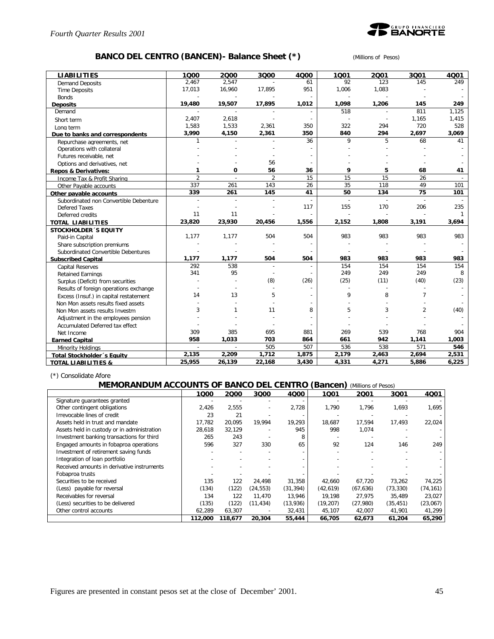

### **BANCO DEL CENTRO (BANCEN)- Balance Sheet (\*)** *(Millions of Pesos)*

| <b>LIABILITIES</b>                     | 1000           | 2000           | 3000           | 4000   | 1001  | 2001  | 3001           | 4001         |
|----------------------------------------|----------------|----------------|----------------|--------|-------|-------|----------------|--------------|
| <b>Demand Deposits</b>                 | 2,467          | 2,547          |                | 61     | 92    | 123   | 145            | 249          |
| <b>Time Deposits</b>                   | 17,013         | 16,960         | 17,895         | 951    | 1,006 | 1,083 |                |              |
| <b>Bonds</b>                           |                |                |                |        |       |       |                |              |
| <b>Deposits</b>                        | 19,480         | 19,507         | 17,895         | 1,012  | 1,098 | 1,206 | 145            | 249          |
| Demand                                 |                |                |                |        | 518   |       | 811            | 1,125        |
| Short term                             | 2,407          | 2,618          |                | $\sim$ |       |       | 1,165          | 1,415        |
| Long term                              | 1,583          | 1,533          | 2,361          | 350    | 322   | 294   | 720            | 528          |
| Due to banks and correspondents        | 3,990          | 4,150          | 2,361          | 350    | 840   | 294   | 2,697          | 3,069        |
| Repurchase agreements, net             | $\mathbf{1}$   |                |                | 36     | 9     | 5     | 68             | 41           |
| Operations with collateral             |                |                |                |        |       |       |                |              |
| Futures receivable, net                |                |                |                |        |       |       |                |              |
| Options and derivatives, net           |                |                | 56             |        |       |       |                |              |
| <b>Repos &amp; Derivatives:</b>        | 1              | 0              | 56             | 36     | 9     | 5     | 68             | 41           |
| Income Tax & Profit Sharing            | $\overline{2}$ |                | $\overline{2}$ | 15     | 15    | 15    | 26             |              |
| Other Payable accounts                 | 337            | 261            | 143            | 26     | 35    | 118   | 49             | 101          |
| Other pavable accounts                 | 339            | 261            | 145            | 41     | 50    | 134   | 75             | 101          |
| Subordinated non Convertible Debenture |                |                |                |        |       |       |                |              |
| <b>Defered Taxes</b>                   |                |                |                | 117    | 155   | 170   | 206            | 235          |
| Deferred credits                       | 11             | 11             |                |        |       |       |                | $\mathbf{1}$ |
| <b>TOTAL LIABILITIES</b>               | 23,820         | 23,930         | 20,456         | 1,556  | 2,152 | 1,808 | 3,191          | 3,694        |
| <b>STOCKHOLDER 'S EQUITY</b>           |                |                |                |        |       |       |                |              |
| Paid-in Capital                        | 1,177          | 1,177          | 504            | 504    | 983   | 983   | 983            | 983          |
| Share subscription premiums            |                |                |                |        |       |       |                |              |
| Subordinated Convertible Debentures    |                |                |                |        |       |       |                |              |
| <b>Subscribed Capital</b>              | 1,177          | 1,177          | 504            | 504    | 983   | 983   | 983            | 983          |
| <b>Capital Reserves</b>                | 292            | 538            | $\overline{a}$ |        | 154   | 154   | 154            | 154          |
| <b>Retained Earnings</b>               | 341            | 95             |                |        | 249   | 249   | 249            | 8            |
| Surplus (Deficit) from securities      |                |                | (8)            | (26)   | (25)  | (11)  | (40)           | (23)         |
| Results of foreign operations exchange |                |                |                |        |       |       |                |              |
| Excess (Insuf.) in capital restatement | 14             | 13             | 5              |        | 9     | 8     | $\overline{7}$ |              |
| Non Mon assets results fixed assets    |                |                |                |        |       |       |                |              |
| Non Mon assets results Investm         | 3              | $\mathbf{1}$   | 11             | 8      | 5     | 3     | $\overline{2}$ | (40)         |
| Adjustment in the employees pension    |                |                |                |        |       |       |                |              |
| Accumulated Deferred tax effect        |                |                |                |        |       |       |                |              |
| Net Income                             | 309            | 385            | 695            | 881    | 269   | 539   | 768            | 904          |
| <b>Earned Capital</b>                  | 958            | 1,033          | 703            | 864    | 661   | 942   | 1,141          | 1,003        |
| Minority Holdings                      | $\overline{a}$ | $\overline{a}$ | 505            | 507    | 536   | 538   | 571            | 546          |
| <b>Total Stockholder</b> 's Equity     | 2,135          | 2,209          | 1,712          | 1,875  | 2,179 | 2,463 | 2,694          | 2,531        |
| <b>TOTAL LIABILITIES &amp;</b>         | 25,955         | 26,139         | 22,168         | 3,430  | 4,331 | 4,271 | 5,886          | 6,225        |

(\*) Consolidate Afore

#### **MEMORANDUM ACCOUNTS OF BANCO DEL CENTRO (Bancen)** *(Millions of Pesos)*

|                                             | 1000    | 2000    | 3000                     | 4Q00      | 1Q01      | 2001      | 3Q01      | 4Q01      |
|---------------------------------------------|---------|---------|--------------------------|-----------|-----------|-----------|-----------|-----------|
| Signature guarantees granted                |         |         |                          |           |           |           |           |           |
| Other contingent obligations                | 2,426   | 2,555   | $\overline{\phantom{a}}$ | 2,728     | 1,790     | 1,796     | 1,693     | 1,695     |
| Irrevocable lines of credit                 | 23      | 21      |                          |           |           |           |           |           |
| Assets held in trust and mandate            | 17,782  | 20,095  | 19,994                   | 19,293    | 18,687    | 17,594    | 17,493    | 22,024    |
| Assets held in custody or in administration | 28,618  | 32,129  |                          | 945       | 998       | 1.074     |           |           |
| Investment banking transactions for third   | 265     | 243     |                          | 8         |           |           |           |           |
| Engaged amounts in fobaproa operations      | 596     | 327     | 330                      | 65        | 92        | 124       | 146       | 249       |
| Investment of retirement saving funds       |         |         |                          |           |           |           |           |           |
| Integration of loan portfolio               |         |         |                          |           |           |           |           |           |
| Received amounts in derivative instruments  |         |         |                          |           |           |           |           |           |
| Fobaproa trusts                             |         |         |                          |           |           |           |           |           |
| Securities to be received                   | 135     | 122     | 24,498                   | 31,358    | 42,660    | 67,720    | 73,262    | 74,225    |
| (Less) payable for reversal                 | (134)   | (122)   | (24, 553)                | (31, 394) | (42, 619) | (67, 636) | (73, 330) | (74, 161) |
| Receivables for reversal                    | 134     | 122     | 11,470                   | 13,946    | 19,198    | 27,975    | 35,489    | 23,027    |
| (Less) securities to be delivered           | (135)   | (122)   | (11, 434)                | (13,936)  | (19, 207) | (27,980)  | (35, 451) | (23,067)  |
| Other control accounts                      | 62,289  | 63.307  |                          | 32,431    | 45,107    | 42,007    | 41,901    | 41,299    |
|                                             | 112,000 | 118,677 | 20,304                   | 55,444    | 66,705    | 62,673    | 61,204    | 65,290    |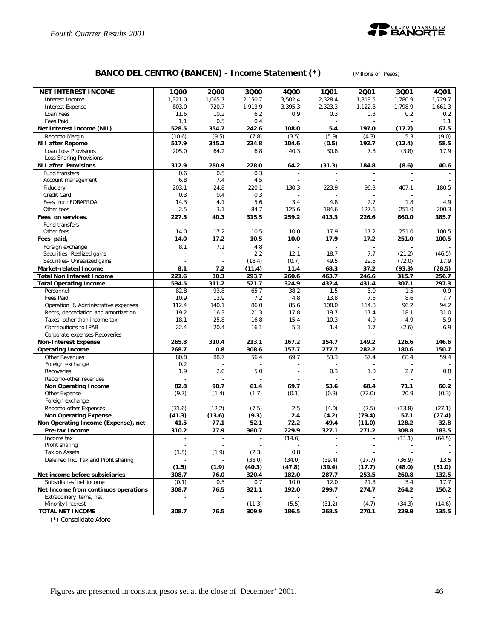

# **BANCO DEL CENTRO (BANCEN) - Income Statement (\*)** *(Millions of Pesos)*

| NET INTEREST INCOME                  | 1000                      | 2000                     | 3Q00         | 4Q00    | 1001           | 2001           | 3Q01    | 4Q01    |
|--------------------------------------|---------------------------|--------------------------|--------------|---------|----------------|----------------|---------|---------|
| Interest Income                      | 1,321.0                   | 1,065.7                  | 2,150.7      | 3,502.4 | 2,328.4        | 1,319.5        | 1,780.9 | 1,729.7 |
| Interest Expense                     | 803.0                     | 720.7                    | 1,913.9      | 3,395.3 | 2,323.3        | 1,122.8        | 1,798.9 | 1,661.3 |
| Loan Fees                            | 11.6                      | 10.2                     | 6.2          | 0.9     | 0.3            | 0.3            | 0.2     | 0.2     |
| Fees Paid                            | 1.1                       | 0.5                      | 0.4          |         | $\overline{a}$ | $\overline{a}$ |         | 1.1     |
| Net Interest Income (NII)            | 528.5                     | 354.7                    | 242.6        | 108.0   | 5.4            | 197.0          | (17.7)  | 67.5    |
| Repomo-Margin                        | (10.6)                    | (9.5)                    | (7.8)        | (3.5)   | (5.9)          | (4.3)          | 5.3     | (9.0)   |
| <b>NII after Repomo</b>              | 517.9                     | 345.2                    | 234.8        | 104.6   | (0.5)          | 192.7          | (12.4)  | 58.5    |
| Loan Loss Provisions                 | 205.0                     | 64.2                     | 6.8          | 40.3    | 30.8           | 7.8            | (3.8)   | 17.9    |
| Loss Sharing Provisions              |                           |                          |              |         |                |                |         |         |
| <b>NII after Provisions</b>          | 312.9                     | 280.9                    | 228.0        | 64.2    | (31.3)         | 184.8          | (8.6)   | 40.6    |
| Fund transfers                       | 0.6                       | 0.5                      | 0.3          |         |                | $\sim$         |         |         |
| Account management                   | 6.8                       | 7.4                      | 4.5          |         |                |                |         |         |
| Fiduciary                            | 203.1                     | 24.8                     | 220.1        | 130.3   | 223.9          | 96.3           | 407.1   | 180.5   |
| Credit Card                          | 0.3                       | 0.4                      | 0.3          |         |                |                |         |         |
| Fees from FOBAPROA                   | 14.3                      | 4.1                      | 5.6          | 3.4     | 4.8            | 2.7            | 1.8     | 4.9     |
| Other fees                           | 2.5                       | 3.1                      | 84.7         | 125.6   | 184.6          | 127.6          | 251.0   | 200.3   |
| Fees on services,                    | 227.5                     | 40.3                     | 315.5        | 259.2   | 413.3          | 226.6          | 660.0   | 385.7   |
| Fund transfers                       |                           | $\overline{a}$           |              |         |                |                |         |         |
| Other fees                           | 14.0                      | 17.2                     | 10.5         | 10.0    | 17.9           | 17.2           | 251.0   | 100.5   |
| Fees paid,                           | 14.0                      | 17.2                     | 10.5         | 10.0    | 17.9           | 17.2           | 251.0   | 100.5   |
| Foreign exchange                     | 8.1                       | 7.1                      | 4.8          |         |                | $\blacksquare$ |         |         |
| Securities - Realized gains          |                           |                          | 2.2          | 12.1    | 18.7           | 7.7            | (21.2)  | (46.5)  |
| Securities- Unrealized gains         |                           |                          | (18.4)       | (0.7)   | 49.5           | 29.5           | (72.0)  | 17.9    |
| Market-related Income                | 8.1                       | 7.2                      | (11.4)       | 11.4    | 68.3           | 37.2           | (93.3)  | (28.5)  |
| <b>Total Non Interest Income</b>     | 221.6                     | 30.3                     | 293.7        | 260.6   | 463.7          | 246.6          | 315.7   | 256.7   |
| <b>Total Operating Income</b>        | 534.5                     | 311.2                    | 521.7        | 324.9   | 432.4          | 431.4          | 307.1   | 297.3   |
| Personnel                            | 82.8                      | 93.8                     | 65.7         | 38.2    | 1.5            | 3.0            | 1.5     | 0.9     |
| Fees Paid                            | 10.9                      | 13.9                     | 7.2          | 4.8     | 13.8           | 7.5            | 8.6     | 7.7     |
| Operation & Administrative expenses  | 112.4                     | 140.1                    | 86.0         | 85.6    | 108.0          | 114.8          | 96.2    | 94.2    |
| Rents, depreciation and amortization | 19.2                      | 16.3                     | 21.3         | 17.8    | 19.7           | 17.4           | 18.1    | 31.0    |
| Taxes, other than income tax         | 18.1                      | 25.8                     | 16.8         | 15.4    | 10.3           | 4.9            | 4.9     | 5.9     |
| Contributions to IPAB                | 22.4                      | 20.4                     | 16.1         | 5.3     | 1.4            | 1.7            | (2.6)   | 6.9     |
| Corporate expenses Recoveries        |                           |                          |              |         |                |                |         |         |
| <b>Non-Interest Expense</b>          | 265.8                     | 310.4                    | 213.1        | 167.2   | 154.7          | 149.2          | 126.6   | 146.6   |
| <b>Operating Income</b>              | 268.7                     | 0.8                      | 308.6        | 157.7   | 277.7          | 282.2          | 180.6   | 150.7   |
| <b>Other Revenues</b>                | 80.8                      | 88.7                     | 56.4         | 69.7    | 53.3           | 67.4           | 68.4    | 59.4    |
| Foreign exchange                     | 0.2                       |                          |              |         |                |                |         |         |
| Recoveries                           | 1.9                       | 2.0                      | 5.0          |         | 0.3            | 1.0            | 2.7     | 0.8     |
| Repomo-other revenues                |                           | ÷                        |              |         | $\overline{a}$ |                |         |         |
| <b>Non Operating Income</b>          | 82.8                      | 90.7                     | 61.4         | 69.7    | 53.6           | 68.4           | 71.1    | 60.2    |
| Other Expense                        | (9.7)                     | (1.4)                    | (1.7)        | (0.1)   | (0.3)          | (72.0)         | 70.9    | (0.3)   |
| Foreign exchange                     |                           |                          |              |         |                |                |         |         |
| Repomo-other Expenses                | (31.6)                    | (12.2)                   | (7.5)        | 2.5     | (4.0)          | (7.5)          | (13.8)  | (27.1)  |
| <b>Non Operating Expense</b>         | (41.3)                    | (13.6)                   | (9.3)        | 2.4     | (4.2)          | (79.4)         | 57.1    | (27.4)  |
| Non Operating Income (Expense), net  | 41.5                      | 77.1                     | 52.1         | 72.2    | 49.4           | (11.0)         | 128.2   | 32.8    |
| Pre-tax Income                       | 310.2                     | 77.9                     | 360.7        | 229.9   | 327.1          | 271.2          | 308.8   | 183.5   |
| Income tax                           | $\overline{a}$            | $\overline{a}$           | $\mathbb{L}$ | (14.6)  | $\sim$         | $\blacksquare$ | (11.1)  | (64.5)  |
| Profit sharing                       |                           |                          |              |         |                |                |         |         |
| Tax on Assets                        | (1.5)                     | (1.9)                    | (2.3)        | 0.8     |                |                |         |         |
| Deferred Inc. Tax and Profit sharing |                           |                          | (38.0)       | (34.0)  | (39.4)         | (17.7)         | (36.9)  | 13.5    |
|                                      | (1.5)                     | (1.9)                    | (40.3)       | (47.8)  | (39.4)         | (17.7)         | (48.0)  | (51.0)  |
| Net income before subsidiaries       | 308.7                     | 76.0                     | 320.4        | 182.0   | 287.7          | 253.5          | 260.8   | 132.5   |
| Subsidiaries 'net income             | (0.1)                     | 0.5                      | 0.7          | 10.0    | 12.0           | 21.3           | 3.4     | 17.7    |
| Net Income from continuos operations | 308.7                     | 76.5                     | 321.1        | 192.0   | 299.7          | 274.7          | 264.2   | 150.2   |
| Extraodinary items, net              | $\mathbb{L}^{\mathbb{N}}$ | $\overline{a}$           |              |         |                |                |         |         |
| Minority Interest                    | $\overline{\phantom{a}}$  | $\overline{\phantom{a}}$ | (11.3)       | (5.5)   | (31.2)         | (4.7)          | (34.3)  | (14.6)  |
| <b>TOTAL NET INCOME</b>              | 308.7                     | 76.5                     | 309.9        | 186.5   | 268.5          | 270.1          | 229.9   | 135.5   |

(\*) Consolidate Afore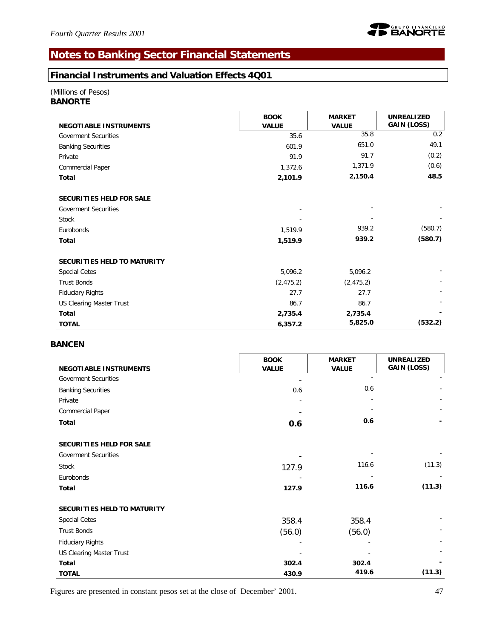# **Notes to Banking Sector Financial Statements**

### **Financial Instruments and Valuation Effects 4Q01**

#### *(Millions of Pesos) BANORTE*

| 3ANOR I E |  |
|-----------|--|
|-----------|--|

|                               | <b>BOOK</b>  | <b>MARKET</b> | <b>UNREALIZED</b> |
|-------------------------------|--------------|---------------|-------------------|
| <b>NEGOTIABLE INSTRUMENTS</b> | <b>VALUE</b> | <b>VALUE</b>  | GAIN (LOSS)       |
| <b>Goverment Securities</b>   | 35.6         | 35.8          | 0.2               |
| <b>Banking Securities</b>     | 601.9        | 651.0         | 49.1              |
| Private                       | 91.9         | 91.7          | (0.2)             |
| Commercial Paper              | 1,372.6      | 1,371.9       | (0.6)             |
| Total                         | 2,101.9      | 2,150.4       | 48.5              |
| SECURITIES HELD FOR SALE      |              |               |                   |
| <b>Goverment Securities</b>   |              |               |                   |
| Stock                         |              |               |                   |
| Eurobonds                     | 1,519.9      | 939.2         | (580.7)           |
| Total                         | 1,519.9      | 939.2         | (580.7)           |
| SECURITIES HELD TO MATURITY   |              |               |                   |
| <b>Special Cetes</b>          | 5,096.2      | 5,096.2       |                   |
| <b>Trust Bonds</b>            | (2, 475.2)   | (2, 475.2)    |                   |
| <b>Fiduciary Rights</b>       | 27.7         | 27.7          |                   |
| US Clearing Master Trust      | 86.7         | 86.7          |                   |
| Total                         | 2,735.4      | 2,735.4       |                   |
| <b>TOTAL</b>                  | 6,357.2      | 5,825.0       | (532.2)           |

### *BANCEN*

|                               | <b>BOOK</b>  | <b>MARKET</b> | <b>UNREALIZED</b> |
|-------------------------------|--------------|---------------|-------------------|
| <b>NEGOTIABLE INSTRUMENTS</b> | <b>VALUE</b> | <b>VALUE</b>  | GAIN (LOSS)       |
| <b>Goverment Securities</b>   |              |               |                   |
| <b>Banking Securities</b>     | 0.6          | 0.6           |                   |
| Private                       |              |               |                   |
| Commercial Paper              |              |               |                   |
| Total                         | 0.6          | 0.6           |                   |
| SECURITIES HELD FOR SALE      |              |               |                   |
| <b>Goverment Securities</b>   |              |               |                   |
| Stock                         | 127.9        | 116.6         | (11.3)            |
| Eurobonds                     |              |               |                   |
| Total                         | 127.9        | 116.6         | (11.3)            |
| SECURITIES HELD TO MATURITY   |              |               |                   |
| <b>Special Cetes</b>          | 358.4        | 358.4         |                   |
| <b>Trust Bonds</b>            | (56.0)       | (56.0)        |                   |
| <b>Fiduciary Rights</b>       |              |               |                   |
| US Clearing Master Trust      |              |               |                   |
| Total                         | 302.4        | 302.4         |                   |
| <b>TOTAL</b>                  | 430.9        | 419.6         | (11.3)            |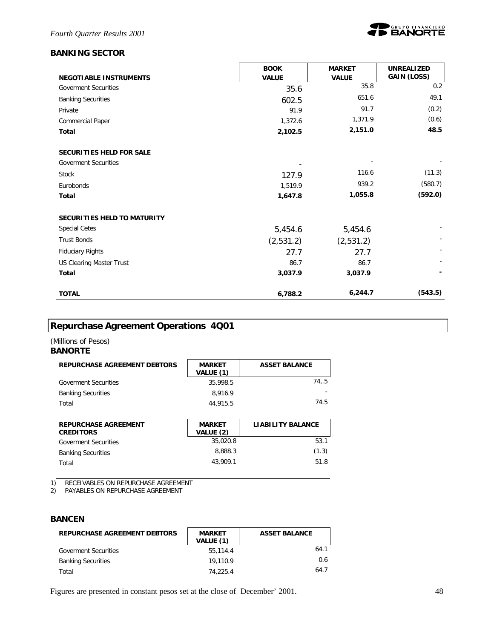### *BANKING SECTOR*



|                               | <b>BOOK</b>  | <b>MARKET</b> | <b>UNREALIZED</b>  |
|-------------------------------|--------------|---------------|--------------------|
| <b>NEGOTIABLE INSTRUMENTS</b> | <b>VALUE</b> | <b>VALUE</b>  | <b>GAIN (LOSS)</b> |
| <b>Goverment Securities</b>   | 35.6         | 35.8          | 0.2                |
| <b>Banking Securities</b>     | 602.5        | 651.6         | 49.1               |
| Private                       | 91.9         | 91.7          | (0.2)              |
| Commercial Paper              | 1,372.6      | 1,371.9       | (0.6)              |
| <b>Total</b>                  | 2,102.5      | 2,151.0       | 48.5               |
|                               |              |               |                    |
| SECURITIES HELD FOR SALE      |              |               |                    |
| <b>Goverment Securities</b>   |              |               |                    |
| Stock                         | 127.9        | 116.6         | (11.3)             |
| Eurobonds                     | 1,519.9      | 939.2         | (580.7)            |
| Total                         | 1,647.8      | 1,055.8       | (592.0)            |
| SECURITIES HELD TO MATURITY   |              |               |                    |
| <b>Special Cetes</b>          | 5,454.6      | 5,454.6       |                    |
| <b>Trust Bonds</b>            | (2,531.2)    | (2,531.2)     |                    |
| <b>Fiduciary Rights</b>       | 27.7         | 27.7          |                    |
| US Clearing Master Trust      | 86.7         | 86.7          |                    |
| Total                         | 3,037.9      | 3,037.9       |                    |
| <b>TOTAL</b>                  | 6,788.2      | 6,244.7       | (543.5)            |

# **Repurchase Agreement Operations 4Q01**

#### *(Millions of Pesos) BANORTE*

| <b>REPURCHASE AGREEMENT DEBTORS</b> | <b>MARKET</b><br>VALUE (1) | <b>ASSET BALANCE</b>     |
|-------------------------------------|----------------------------|--------------------------|
| <b>Goverment Securities</b>         | 35,998.5                   | 74,.5                    |
| <b>Banking Securities</b>           | 8.916.9                    |                          |
| Total                               | 44,915.5                   | 74.5                     |
| <b>REPURCHASE AGREEMENT</b>         | <b>MARKET</b>              | <b>LIABILITY BALANCE</b> |

| <b>REPURCHASE AGREEMENT</b><br><b>CREDITORS</b> | <b>MARKET</b><br>VALUE (2) | LIABILITY BALANCE |
|-------------------------------------------------|----------------------------|-------------------|
| <b>Goverment Securities</b>                     | 35.020.8                   | 53.1              |
| <b>Banking Securities</b>                       | 8.888.3                    | (1.3)             |
| Total                                           | 43.909.1                   | 51.8              |

1) RECEIVABLES ON REPURCHASE AGREEMENT

2) PAYABLES ON REPURCHASE AGREEMENT

### *BANCEN*

| REPURCHASE AGREEMENT DEBTORS | <b>MARKET</b><br>VALUE (1) | <b>ASSET BALANCE</b> |
|------------------------------|----------------------------|----------------------|
| <b>Goverment Securities</b>  | 55.114.4                   | 64.1                 |
| <b>Banking Securities</b>    | 19,110.9                   | 0.6                  |
| Total                        | 74.225.4                   | 64.7                 |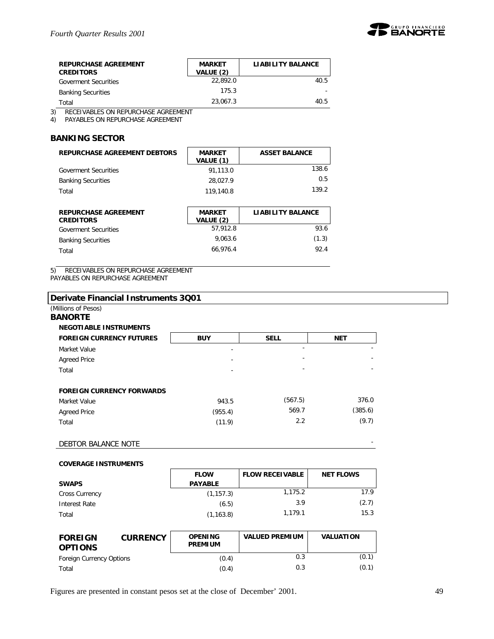

| <b>REPURCHASE AGREEMENT</b><br><b>CREDITORS</b> | <b>MARKET</b><br>VALUE (2) | <b>LIABILITY BALANCE</b> |
|-------------------------------------------------|----------------------------|--------------------------|
| <b>Goverment Securities</b>                     | 22.892.0                   | 40.5                     |
| <b>Banking Securities</b>                       | 175.3                      |                          |
| Total                                           | 23.067.3                   | 40.5                     |

3) RECEIVABLES ON REPURCHASE AGREEMENT

4) PAYABLES ON REPURCHASE AGREEMENT

#### *BANKING SECTOR*

| REPURCHASE AGREEMENT DEBTORS | <b>MARKET</b><br>VALUE (1) | <b>ASSET BALANCE</b> |
|------------------------------|----------------------------|----------------------|
| <b>Goverment Securities</b>  | 91.113.0                   | 138.6                |
| <b>Banking Securities</b>    | 28.027.9                   | 0.5                  |
| Total                        | 119,140.8                  | 139.2                |

| <b>REPURCHASE AGREEMENT</b><br><b>CREDITORS</b> | <b>MARKET</b><br>VALUE (2) | <b>LIABILITY BALANCE</b> |
|-------------------------------------------------|----------------------------|--------------------------|
| <b>Goverment Securities</b>                     | 57.912.8                   | 93.6                     |
| <b>Banking Securities</b>                       | 9.063.6                    | (1.3)                    |
| Total                                           | 66.976.4                   | 92.4                     |

5) RECEIVABLES ON REPURCHASE AGREEMENT

PAYABLES ON REPURCHASE AGREEMENT

| (Millions of Pesos)<br><b>BANORTE</b> |            |             |            |
|---------------------------------------|------------|-------------|------------|
| <b>NEGOTIABLE INSTRUMENTS</b>         |            |             |            |
| <b>FOREIGN CURRENCY FUTURES</b>       | <b>BUY</b> | <b>SELL</b> | <b>NET</b> |
| Market Value                          |            |             |            |
| <b>Agreed Price</b>                   |            |             |            |
| Total                                 |            | ٠           | ۰          |
| <b>FOREIGN CURRENCY FORWARDS</b>      |            |             |            |
| Market Value                          | 943.5      | (567.5)     | 376.0      |
| <b>Agreed Price</b>                   | (955.4)    | 569.7       | (385.6)    |
| Total                                 | (11.9)     | 2.2         | (9.7)      |

#### **COVERAGE INSTRUMENTS**

|                       | <b>FLOW</b>    | <b>FLOW RECEIVABLE</b> | <b>NET FLOWS</b> |
|-----------------------|----------------|------------------------|------------------|
| <b>SWAPS</b>          | <b>PAYABLE</b> |                        |                  |
| <b>Cross Currency</b> | (1, 157.3)     | 1.175.2                | 17.9             |
| Interest Rate         | (6.5)          | 3.9                    | (2.7)            |
| Total                 | (1, 163.8)     | 1.179.1                | 15.3             |

| <b>FOREIGN</b><br><b>OPTIONS</b> | <b>CURRENCY</b> | <b>OPENING</b><br><b>PREMIUM</b> | <b>VALUED PREMIUM</b> | <b>VALUATION</b> |
|----------------------------------|-----------------|----------------------------------|-----------------------|------------------|
| Foreign Currency Options         |                 | (0.4)                            | 0.3                   | (0.1)            |
| Total                            |                 | (0.4)                            | 0.3                   | (0.1)            |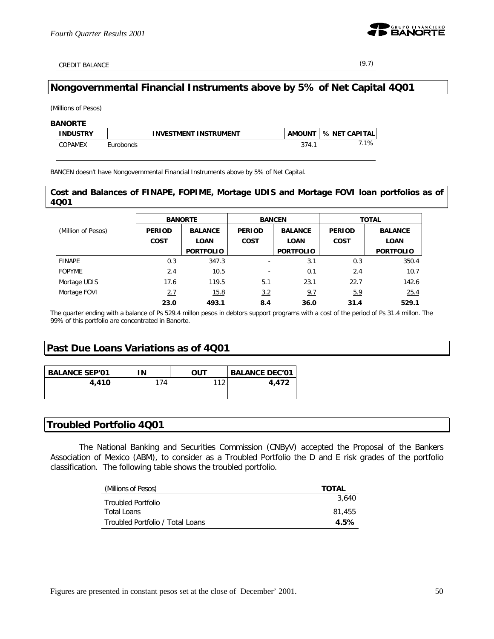

CREDIT BALANCE (9.7)

### **Nongovernmental Financial Instruments above by 5% of Net Capital 4Q01**

*(Millions of Pesos)*

| <b>BANORTE</b>  |                              |               |               |
|-----------------|------------------------------|---------------|---------------|
| <b>INDUSTRY</b> | <b>INVESTMENT INSTRUMENT</b> | <b>AMOUNT</b> | % NET CAPITAL |
| COPAMEX         | Eurobonds                    | 374.7         | 7.1%          |

BANCEN doesn't have Nongovernmental Financial Instruments above by 5% of Net Capital.

#### **Cost and Balances of FINAPE, FOPIME, Mortage UDIS and Mortage FOVI loan portfolios as of 4Q01**

|                    | <b>BANORTE</b> |                  |                          | <b>BANCEN</b>    | <b>TOTAL</b>  |                  |  |
|--------------------|----------------|------------------|--------------------------|------------------|---------------|------------------|--|
| (Million of Pesos) | <b>PERIOD</b>  | <b>BALANCE</b>   | <b>PERIOD</b>            | <b>BALANCE</b>   | <b>PERIOD</b> | <b>BALANCE</b>   |  |
|                    | <b>COST</b>    | <b>LOAN</b>      | <b>COST</b>              | <b>LOAN</b>      | <b>COST</b>   | <b>LOAN</b>      |  |
|                    |                | <b>PORTFOLIO</b> |                          | <b>PORTFOLIO</b> |               | <b>PORTFOLIO</b> |  |
| FINAPE             | 0.3            | 347.3            |                          | 3.1              | 0.3           | 350.4            |  |
| <b>FOPYME</b>      | 2.4            | 10.5             | $\overline{\phantom{a}}$ | 0.1              | 2.4           | 10.7             |  |
| Mortage UDIS       | 17.6           | 119.5            | 5.1                      | 23.1             | 22.7          | 142.6            |  |
| Mortage FOVI       | 2.7            | 15.8             | 3.2                      | 9.7              | 5.9           | 25.4             |  |
|                    | 23.0           | 493.1            | 8.4                      | 36.0             | 31.4          | 529.1            |  |

The quarter ending with a balance of Ps 529.4 millon pesos in debtors support programs with a cost of the period of Ps 31.4 millon. The 99% of this portfolio are concentrated in Banorte.

### **Past Due Loans Variations as of 4Q01**

| <b>BALANCE SEP'01</b> | 'N  | ουτ  | <b>BALANCE DEC'01</b> |
|-----------------------|-----|------|-----------------------|
| 4,410                 | 174 | 11 7 | 4.472                 |
|                       |     |      |                       |

### **Troubled Portfolio 4Q01**

The National Banking and Securities Commission (CNByV) accepted the Proposal of the Bankers Association of Mexico (ABM), to consider as a Troubled Portfolio the D and E risk grades of the portfolio classification. The following table shows the troubled portfolio.

| (Millions of Pesos)              | <b>TOTAL</b> |
|----------------------------------|--------------|
| Troubled Portfolio               | 3.640        |
| Total Loans                      | 81,455       |
| Troubled Portfolio / Total Loans | 4.5%         |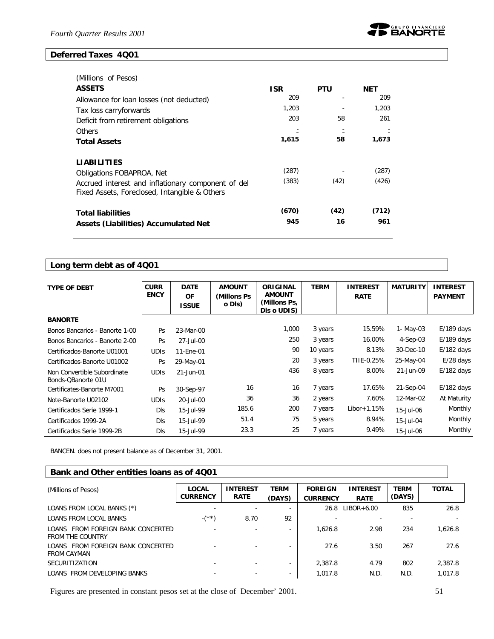#### **Deferred Taxes 4Q01**



| (Millions of Pesos)                                                                                 |            |            |            |
|-----------------------------------------------------------------------------------------------------|------------|------------|------------|
| <b>ASSETS</b>                                                                                       | <b>ISR</b> | <b>PTU</b> | <b>NET</b> |
| Allowance for loan losses (not deducted)                                                            | 209        |            | 209        |
| Tax loss carryforwards                                                                              | 1,203      |            | 1,203      |
| Deficit from retirement obligations                                                                 | 203        | 58         | 261        |
| Others                                                                                              |            |            |            |
| <b>Total Assets</b>                                                                                 | 1,615      | 58         | 1,673      |
| <b>LIABILITIES</b>                                                                                  |            |            |            |
| Obligations FOBAPROA, Net                                                                           | (287)      |            | (287)      |
| Accrued interest and inflationary component of del<br>Fixed Assets, Foreclosed, Intangible & Others | (383)      | (42)       | (426)      |
| <b>Total liabilities</b>                                                                            | (670)      | (42)       | (712)      |
| <b>Assets (Liabilities) Accumulated Net</b>                                                         | 945        | 16         | 961        |

# **Long term debt as of 4Q01**

| <b>TYPE OF DEBT</b>            | <b>CURR</b> | <b>DATE</b>  | <b>AMOUNT</b> | <b>ORIGINAL</b> | <b>TERM</b> | <b>INTEREST</b> | <b>MATURITY</b> | <b>INTEREST</b> |  |
|--------------------------------|-------------|--------------|---------------|-----------------|-------------|-----------------|-----------------|-----------------|--|
|                                | <b>ENCY</b> | <b>OF</b>    | (Millons Ps   | <b>AMOUNT</b>   |             | <b>RATE</b>     |                 | <b>PAYMENT</b>  |  |
|                                |             | <b>ISSUE</b> | o DIs)        | (Millons Ps,    |             |                 |                 |                 |  |
|                                |             |              |               | Dis o UDIS)     |             |                 |                 |                 |  |
| <b>BANORTE</b>                 |             |              |               |                 |             |                 |                 |                 |  |
| Bonos Bancarios - Banorte 1-00 | Ps          | 23-Mar-00    |               | 1,000           | 3 years     | 15.59%          | 1- May-03       | $E/189$ days    |  |
| Bonos Bancarios - Banorte 2-00 | Ps          | 27-Jul-00    |               | 250             | 3 years     | 16.00%          | $4-Sep-03$      | $E/189$ days    |  |
| Certificados-Banorte U01001    | <b>UDIS</b> | 11-Ene-01    |               | 90              | 10 years    | 8.13%           | 30-Dec-10       | $E/182$ days    |  |
| Certificados-Banorte U01002    | Ps          | 29-May-01    |               | 20              | 3 years     | TIIE-0.25%      | 25-May-04       | $E/28$ days     |  |
| Non Convertible Subordinate    | <b>UDIS</b> | 21-Jun-01    |               | 436             | 8 years     | 8.00%           | 21-Jun-09       | $E/182$ days    |  |
| Bonds-QBanorte 01U             |             |              |               |                 |             |                 |                 |                 |  |
| Certificates-Banorte M7001     | Ps          | 30-Sep-97    | 16            | 16              | 7 years     | 17.65%          | 21-Sep-04       | $E/182$ days    |  |
| Note-Banorte U02102            | <b>UDIS</b> | 20-Jul-00    | 36            | 36              | 2 years     | 7.60%           | 12-Mar-02       | At Maturity     |  |
| Certificados Serie 1999-1      | <b>DIs</b>  | 15-Jul-99    | 185.6         | 200             | 7 years     | $Libor + 1.15%$ | 15-Jul-06       | Monthly         |  |
| Certificados 1999-2A           | <b>DIs</b>  | 15-Jul-99    | 51.4          | 75              | 5 years     | 8.94%           | 15-Jul-04       | Monthly         |  |
| Certificados Serie 1999-2B     | DIs         | 15-Jul-99    | 23.3          | 25              | 7 years     | 9.49%           | 15-Jul-06       | Monthly         |  |

BANCEN. does not present balance as of December 31, 2001.

### **Bank and Other entities loans as of 4Q01**

| (Millions of Pesos)                                          | LOCAL           | <b>INTEREST</b> | <b>TERM</b>              | <b>FOREIGN</b>  | <b>INTEREST</b> | <b>TERM</b> | <b>TOTAL</b> |
|--------------------------------------------------------------|-----------------|-----------------|--------------------------|-----------------|-----------------|-------------|--------------|
|                                                              | <b>CURRENCY</b> | <b>RATE</b>     | (DAYS)                   | <b>CURRENCY</b> | <b>RATE</b>     | (DAYS)      |              |
| LOANS FROM LOCAL BANKS (*)                                   |                 |                 |                          | 26.8            | $LIBOR+6.00$    | 835         | 26.8         |
| <b>LOANS FROM LOCAL BANKS</b>                                | $-$ (**)        | 8.70            | 92                       |                 |                 |             |              |
| LOANS FROM FOREIGN BANK CONCERTED<br><b>FROM THE COUNTRY</b> |                 |                 |                          | 1.626.8         | 2.98            | 234         | 1,626.8      |
| LOANS FROM FOREIGN BANK CONCERTED<br><b>FROM CAYMAN</b>      |                 |                 |                          | 27.6            | 3.50            | 267         | 27.6         |
| <b>SECURITIZATION</b>                                        |                 |                 | $\overline{\phantom{a}}$ | 2.387.8         | 4.79            | 802         | 2,387.8      |
| LOANS FROM DEVELOPING BANKS                                  |                 |                 | $\overline{\phantom{0}}$ | 1,017.8         | N.D.            | N.D.        | 1,017.8      |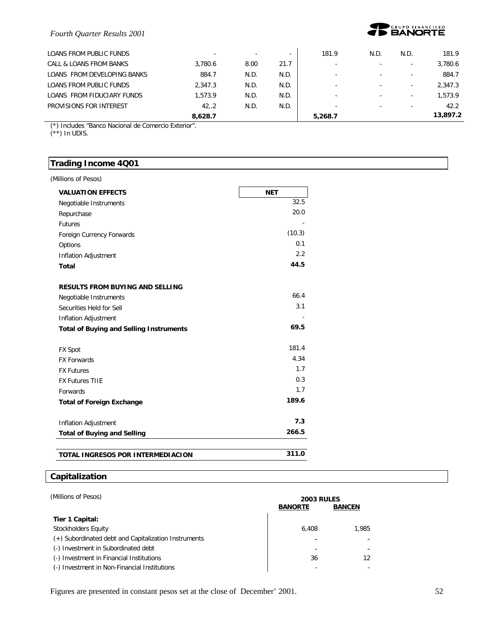

| LOANS FROM PUBLIC FUNDS     | $\overline{a}$ |      |      | 181.9                    | N.D.                     | N.D.                     | 181.9    |
|-----------------------------|----------------|------|------|--------------------------|--------------------------|--------------------------|----------|
| CALL & LOANS FROM BANKS     | 3.780.6        | 8.00 | 21.7 | $\overline{\phantom{a}}$ |                          |                          | 3,780.6  |
| LOANS FROM DEVELOPING BANKS | 884.7          | N.D. | N.D. | $\overline{\phantom{a}}$ |                          | ۰                        | 884.7    |
| LOANS FROM PUBLIC FUNDS     | 2.347.3        | N.D. | N.D. | $\overline{\phantom{0}}$ | -                        | $\overline{\phantom{0}}$ | 2.347.3  |
| LOANS FROM FIDUCIARY FUNDS  | 1.573.9        | N.D. | N.D. | $\overline{\phantom{0}}$ | $\overline{\phantom{0}}$ |                          | 1.573.9  |
| PROVISIONS FOR INTEREST     | 42.2           | N.D. | N.D. | $\overline{\phantom{0}}$ | -                        | $\overline{\phantom{0}}$ | 42.2     |
|                             | 8.628.7        |      |      | 5,268.7                  |                          |                          | 13.897.2 |

(\*) Includes "Banco Nacional de Comercio Exterior".

(\*\*) In UDIS.

### **Trading Income 4Q01**

| <b>VALUATION EFFECTS</b>                       | <b>NET</b> |
|------------------------------------------------|------------|
| Negotiable Instruments                         | 32.5       |
| Repurchase                                     | 20.0       |
| <b>Futures</b>                                 |            |
| Foreign Currency Forwards                      | (10.3)     |
| Options                                        | 0.1        |
| Inflation Adjustment                           | 2.2        |
| Total                                          | 44.5       |
| <b>RESULTS FROM BUYING AND SELLING</b>         |            |
| Negotiable Instruments                         | 66.4       |
| Securities Held for Sell                       | 3.1        |
| Inflation Adjustment                           |            |
| <b>Total of Buying and Selling Instruments</b> | 69.5       |
| <b>FX Spot</b>                                 | 181.4      |
| <b>FX Forwards</b>                             | 4.34       |
| <b>FX Futures</b>                              | 1.7        |
| <b>FX Futures TIIE</b>                         | 0.3        |
| Forwards                                       | 1.7        |
| <b>Total of Foreign Exchange</b>               | 189.6      |
| Inflation Adjustment                           | 7.3        |
| <b>Total of Buying and Selling</b>             | 266.5      |
| TOTAL INGRESOS POR INTERMEDIACION              | 311.0      |

### **Capitalization**

| (Millions of Pesos)                                  | <b>2003 RULES</b><br><b>BANORTE</b> | <b>BANCEN</b> |
|------------------------------------------------------|-------------------------------------|---------------|
| Tier 1 Capital:                                      |                                     |               |
| Stockholders Equity                                  | 6.408                               | 1.985         |
| (+) Subordinated debt and Capitalization Instruments |                                     |               |
| (-) Investment in Subordinated debt                  |                                     |               |
| (-) Investment in Financial Institutions             | 36                                  | 12            |
| (-) Investment in Non-Financial Institutions         |                                     |               |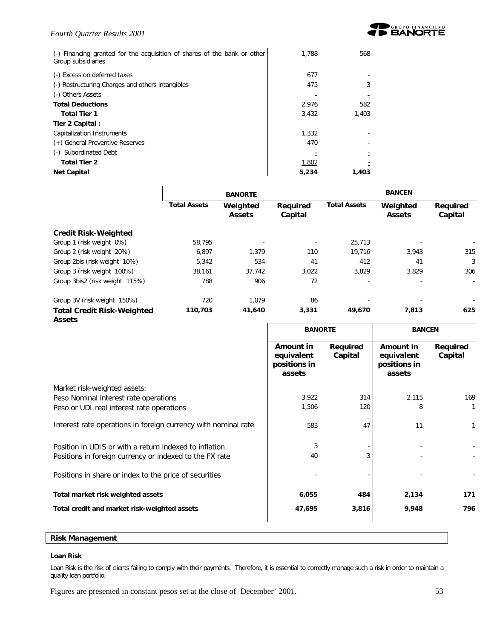

| (-) Financing granted for the acquisition of shares of the bank or other<br>Group subsidiaries | 1,788 | 568   |
|------------------------------------------------------------------------------------------------|-------|-------|
| (-) Excess on deferred taxes                                                                   | 677   |       |
| (-) Restructuring Charges and others intangibles                                               | 475   |       |
| (-) Others Assets                                                                              |       |       |
| <b>Total Deductions</b>                                                                        | 2,976 | 582   |
| <b>Total Tier 1</b>                                                                            | 3,432 | 1.403 |
| Tier 2 Capital:                                                                                |       |       |
| Capitalization Instruments                                                                     | 1.332 |       |
| (+) General Preventive Reserves                                                                | 470   |       |
| (-) Subordinated Debt                                                                          |       |       |
| <b>Total Tier 2</b>                                                                            | 1,802 |       |
| <b>Net Capital</b>                                                                             | 5,234 | 1,403 |

|                                                    | <b>BANORTE</b>      |                           |                     | <b>BANCEN</b>       |                           |                     |  |
|----------------------------------------------------|---------------------|---------------------------|---------------------|---------------------|---------------------------|---------------------|--|
|                                                    | <b>Total Assets</b> | Weighted<br><b>Assets</b> | Required<br>Capital | <b>Total Assets</b> | Weighted<br><b>Assets</b> | Required<br>Capital |  |
| <b>Credit Risk-Weighted</b>                        |                     |                           |                     |                     |                           |                     |  |
| Group 1 (risk weight 0%)                           | 58.795              |                           | $\sim$              | 25,713              |                           |                     |  |
| Group 2 (risk weight 20%)                          | 6,897               | 1.379                     | 110                 | 19,716              | 3,943                     | 315                 |  |
| Group 2bis (risk weight 10%)                       | 5,342               | 534                       | 41                  | 412                 | 41                        | 3                   |  |
| Group 3 (risk weight 100%)                         | 38.161              | 37.742                    | 3,022               | 3,829               | 3.829                     | 306                 |  |
| Group 3bis2 (risk weight 115%)                     | 788                 | 906                       | 72                  |                     |                           |                     |  |
| Group 3V (risk weight 150%)                        | 720                 | 1.079                     | 86                  |                     |                           |                     |  |
| <b>Total Credit Risk-Weighted</b><br><b>Assets</b> | 110,703             | 41,640                    | 3,331               | 49,670              | 7,813                     | 625                 |  |

|                                                                | <b>BANORTE</b>                                    |                     | <b>BANCEN</b>                                     |                     |
|----------------------------------------------------------------|---------------------------------------------------|---------------------|---------------------------------------------------|---------------------|
|                                                                | Amount in<br>equivalent<br>positions in<br>assets | Required<br>Capital | Amount in<br>equivalent<br>positions in<br>assets | Required<br>Capital |
| Market risk-weighted assets:                                   |                                                   |                     |                                                   |                     |
| Peso Nominal interest rate operations                          | 3,922                                             | 314                 | 2,115                                             | 169                 |
| Peso or UDI real interest rate operations                      | 1,506                                             | 120                 | 8                                                 |                     |
| Interest rate operations in foreign currency with nominal rate | 583                                               | 47                  | 11                                                | 1                   |
| Position in UDIS or with a return indexed to inflation         | 3                                                 |                     |                                                   |                     |
| Positions in foreign currency or indexed to the FX rate        | 40                                                | 3                   |                                                   |                     |
| Positions in share or index to the price of securities         |                                                   |                     |                                                   |                     |
| Total market risk weighted assets                              | 6,055                                             | 484                 | 2,134                                             | 171                 |
| Total credit and market risk-weighted assets                   | 47,695                                            | 3,816               | 9,948                                             | 796                 |
|                                                                |                                                   |                     |                                                   |                     |

#### **Risk Management**

#### **Loan Risk**

Loan Risk is the risk of clients failing to comply with their payments. Therefore, it is essential to correctly manage such a risk in order to maintain a quality loan portfolio.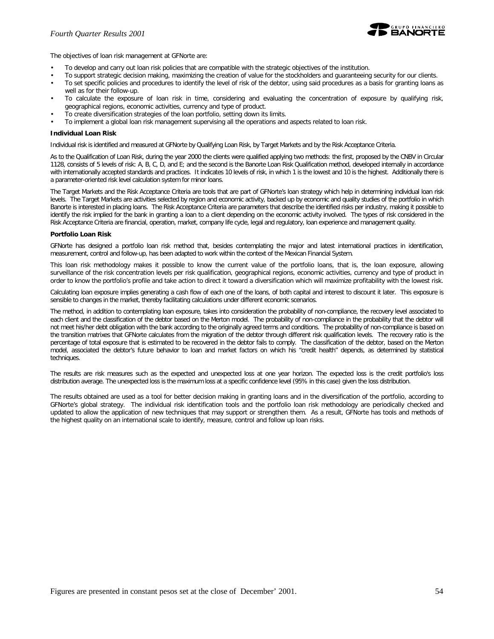

The objectives of loan risk management at GFNorte are:

- To develop and carry out loan risk policies that are compatible with the strategic objectives of the institution.
- To support strategic decision making, maximizing the creation of value for the stockholders and guaranteeing security for our clients.
- To set specific policies and procedures to identify the level of risk of the debtor, using said procedures as a basis for granting loans as well as for their follow-up.
- To calculate the exposure of loan risk in time, considering and evaluating the concentration of exposure by qualifying risk, geographical regions, economic activities, currency and type of product.
- To create diversification strategies of the loan portfolio, setting down its limits.
- To implement a global loan risk management supervising all the operations and aspects related to loan risk.

#### **Individual Loan Risk**

Individual risk is identified and measured at GFNorte by Qualifying Loan Risk, by Target Markets and by the Risk Acceptance Criteria.

As to the Qualification of Loan Risk, during the year 2000 the clients were qualified applying two methods: the first, proposed by the CNBV in Circular 1128, consists of 5 levels of risk: A, B, C, D, and E; and the second is the Banorte Loan Risk Qualification method, developed internally in accordance with internationally accepted standards and practices. It indicates 10 levels of risk, in which 1 is the lowest and 10 is the highest. Additionally there is a parameter-oriented risk level calculation system for minor loans.

The Target Markets and the Risk Acceptance Criteria are tools that are part of GFNorte's loan strategy which help in determining individual loan risk levels. The Target Markets are activities selected by region and economic activity, backed up by economic and quality studies of the portfolio in which Banorte is interested in placing loans. The Risk Acceptance Criteria are parameters that describe the identified risks per industry, making it possible to identify the risk implied for the bank in granting a loan to a client depending on the economic activity involved. The types of risk considered in the Risk Acceptance Criteria are financial, operation, market, company life cycle, legal and regulatory, loan experience and management quality.

#### **Portfolio Loan Risk**

GFNorte has designed a portfolio loan risk method that, besides contemplating the major and latest international practices in identification, measurement, control and follow-up, has been adapted to work within the context of the Mexican Financial System.

This loan risk methodology makes it possible to know the current value of the portfolio loans, that is, *the loan exposure*, allowing surveillance of the risk concentration levels per risk qualification, geographical regions, economic activities, currency and type of product in order to know the portfolio's profile and take action to direct it toward a diversification which will maximize profitability with the lowest risk.

Calculating loan exposure implies generating a cash flow of each one of the loans, of both capital and interest to discount it later. This exposure is sensible to changes in the market, thereby facilitating calculations under different economic scenarios.

The method, in addition to contemplating loan exposure, takes into consideration the probability of non-compliance, the recovery level associated to each client and the classification of the debtor based on the Merton model. The *probability of non-compliance* in the probability that the debtor will not meet his/her debt obligation with the bank according to the originally agreed terms and conditions. The probability of non-compliance is based on the transition matrixes that GFNorte calculates from the migration of the debtor through different risk qualification levels. The *recovery ratio* is the percentage of total exposure that is estimated to be recovered in the debtor fails to comply. The *classification of the debtor*, based on the Merton model, associated the debtor's future behavior to loan and market factors on which his "credit health" depends, as determined by statistical techniques.

The results are risk measures such as the expected and unexpected loss at one year horizon. The expected loss is the credit portfolio's loss distribution average. The unexpected loss is the maximum loss at a specific confidence level (95% in this case) given the loss distribution.

The results obtained are used as a tool for better decision making in granting loans and in the diversification of the portfolio, according to GFNorte's global strategy. The individual risk identification tools and the portfolio loan risk methodology are periodically checked and updated to allow the application of new techniques that may support or strengthen them. As a result, GFNorte has tools and methods of the highest quality on an international scale to identify, measure, control and follow up loan risks.